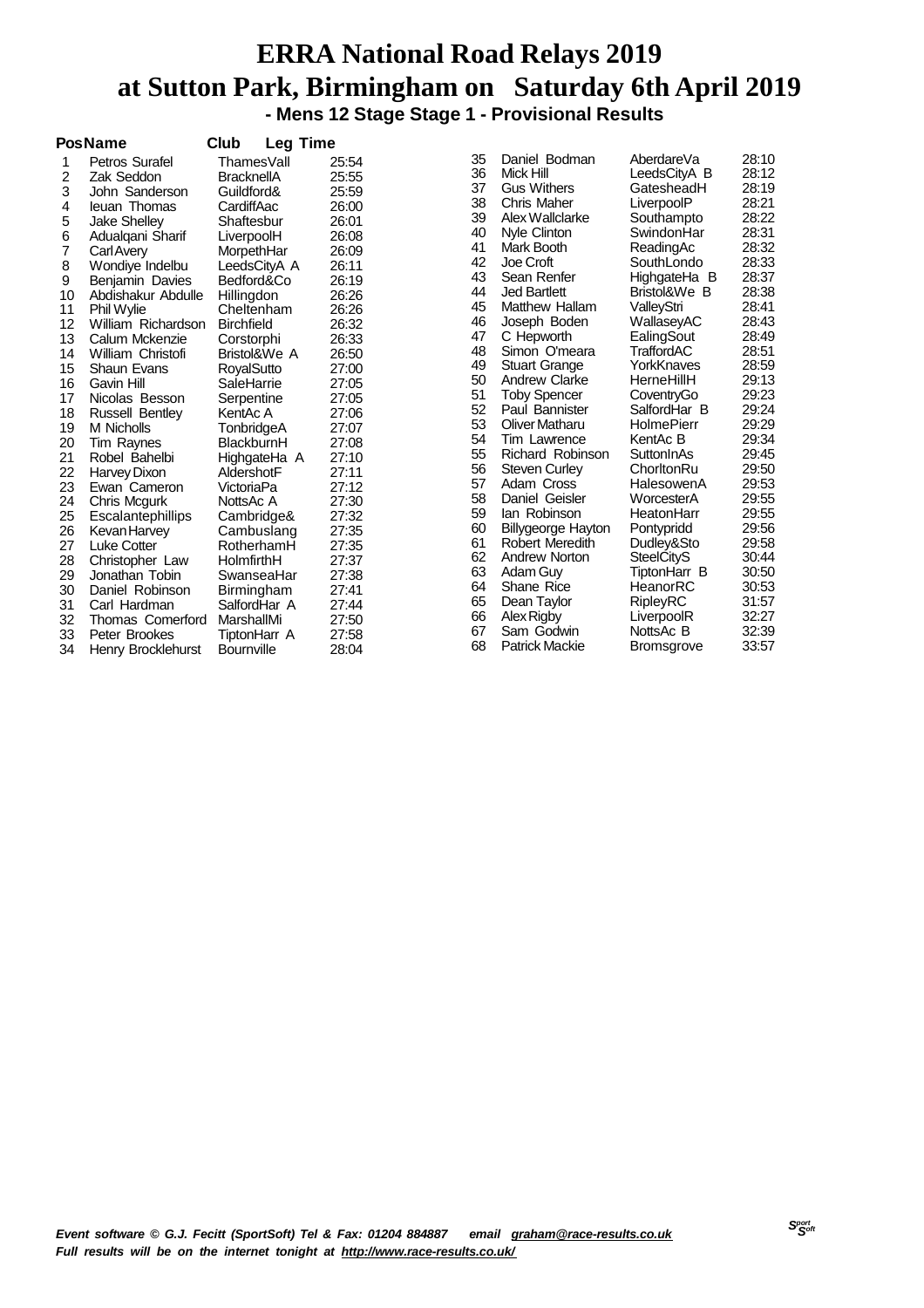#### **ERRA National Road Relays 2019 at Sutton Park, Birmingham on Saturday 6th April 2019 - Mens 12 Stage Stage 1 - Provisional Results**

|    | <b>PosName</b>         | Club              | <b>Leg Time</b> |       |    |                           |                   |       |
|----|------------------------|-------------------|-----------------|-------|----|---------------------------|-------------------|-------|
| 1  | Petros Surafel         | ThamesVall        |                 | 25:54 | 35 | Daniel Bodman             | AberdareVa        | 28:10 |
| 2  | Zak Seddon             | <b>BracknellA</b> |                 | 25:55 | 36 | Mick Hill                 | LeedsCityA B      | 28:12 |
| 3  | John Sanderson         | Guildford&        |                 | 25:59 | 37 | <b>Gus Withers</b>        | GatesheadH        | 28:19 |
| 4  | leuan Thomas           | CardiffAac        |                 | 26:00 | 38 | Chris Maher               | LiverpoolP        | 28:21 |
| 5  | <b>Jake Shelley</b>    | Shaftesbur        |                 | 26:01 | 39 | Alex Wallclarke           | Southampto        | 28:22 |
| 6  | Adualgani Sharif       | LiverpoolH        |                 | 26:08 | 40 | Nyle Clinton              | SwindonHar        | 28:31 |
| 7  | <b>Carl Avery</b>      | MorpethHar        |                 | 26:09 | 41 | Mark Booth                | ReadingAc         | 28:32 |
| 8  | Wondiye Indelbu        | LeedsCityA A      |                 | 26:11 | 42 | Joe Croft                 | SouthLondo        | 28:33 |
| 9  | Benjamin Davies        | Bedford&Co        |                 | 26:19 | 43 | Sean Renfer               | HighgateHa B      | 28:37 |
| 10 | Abdishakur Abdulle     | Hillingdon        |                 | 26:26 | 44 | <b>Jed Bartlett</b>       | Bristol&We B      | 28:38 |
| 11 | Phil Wylie             | Cheltenham        |                 | 26:26 | 45 | <b>Matthew Hallam</b>     | ValleyStri        | 28:41 |
| 12 | William Richardson     | <b>Birchfield</b> |                 | 26:32 | 46 | Joseph Boden              | WallaseyAC        | 28:43 |
| 13 | Calum Mckenzie         | Corstorphi        |                 | 26:33 | 47 | C Hepworth                | EalingSout        | 28:49 |
| 14 | William Christofi      | Bristol&We A      |                 | 26:50 | 48 | Simon O'meara             | <b>TraffordAC</b> | 28:51 |
| 15 | <b>Shaun Evans</b>     | <b>RoyalSutto</b> |                 | 27:00 | 49 | <b>Stuart Grange</b>      | YorkKnaves        | 28:59 |
| 16 | Gavin Hill             | SaleHarrie        |                 | 27:05 | 50 | <b>Andrew Clarke</b>      | HerneHillH        | 29:13 |
| 17 | Nicolas Besson         | Serpentine        |                 | 27:05 | 51 | <b>Toby Spencer</b>       | CoventryGo        | 29:23 |
| 18 | <b>Russell Bentley</b> | KentAc A          |                 | 27:06 | 52 | Paul Bannister            | SalfordHar B      | 29:24 |
| 19 | M Nicholls             | TonbridgeA        |                 | 27:07 | 53 | Oliver Matharu            | <b>HolmePierr</b> | 29:29 |
| 20 | Tim Raynes             | BlackburnH        |                 | 27:08 | 54 | Tim Lawrence              | KentAc B          | 29:34 |
| 21 | Robel Bahelbi          | HighgateHa A      |                 | 27:10 | 55 | Richard Robinson          | SuttonInAs        | 29:45 |
| 22 | Harvey Dixon           | AldershotF        |                 | 27:11 | 56 | <b>Steven Curley</b>      | ChorltonRu        | 29:50 |
| 23 | Ewan Cameron           | VictoriaPa        |                 | 27:12 | 57 | Adam Cross                | HalesowenA        | 29:53 |
| 24 | Chris Mcgurk           | NottsAc A         |                 | 27:30 | 58 | Daniel Geisler            | WorcesterA        | 29:55 |
| 25 | Escalantephillips      | Cambridge&        |                 | 27:32 | 59 | lan Robinson              | HeatonHarr        | 29:55 |
| 26 | Kevan Harvey           | Cambuslang        |                 | 27:35 | 60 | <b>Billygeorge Hayton</b> | Pontypridd        | 29:56 |
| 27 | Luke Cotter            | RotherhamH        |                 | 27:35 | 61 | Robert Meredith           | Dudley&Sto        | 29:58 |
| 28 | Christopher Law        | HolmfirthH        |                 | 27:37 | 62 | Andrew Norton             | <b>SteelCityS</b> | 30:44 |
| 29 | Jonathan Tobin         | SwanseaHar        |                 | 27:38 | 63 | Adam Guy                  | TiptonHarr B      | 30:50 |
| 30 | Daniel Robinson        | Birmingham        |                 | 27:41 | 64 | <b>Shane Rice</b>         | HeanorRC          | 30:53 |
| 31 | Carl Hardman           | SalfordHar A      |                 | 27:44 | 65 | Dean Taylor               | <b>RipleyRC</b>   | 31:57 |
| 32 | Thomas Comerford       | MarshallMi        |                 | 27:50 | 66 | Alex Rigby                | LiverpoolR        | 32:27 |
| 33 | Peter Brookes          | TiptonHarr A      |                 | 27:58 | 67 | Sam Godwin                | NottsAc B         | 32:39 |
| 34 | Henry Brocklehurst     | <b>Bournville</b> |                 | 28:04 | 68 | <b>Patrick Mackie</b>     | <b>Bromsgrove</b> | 33:57 |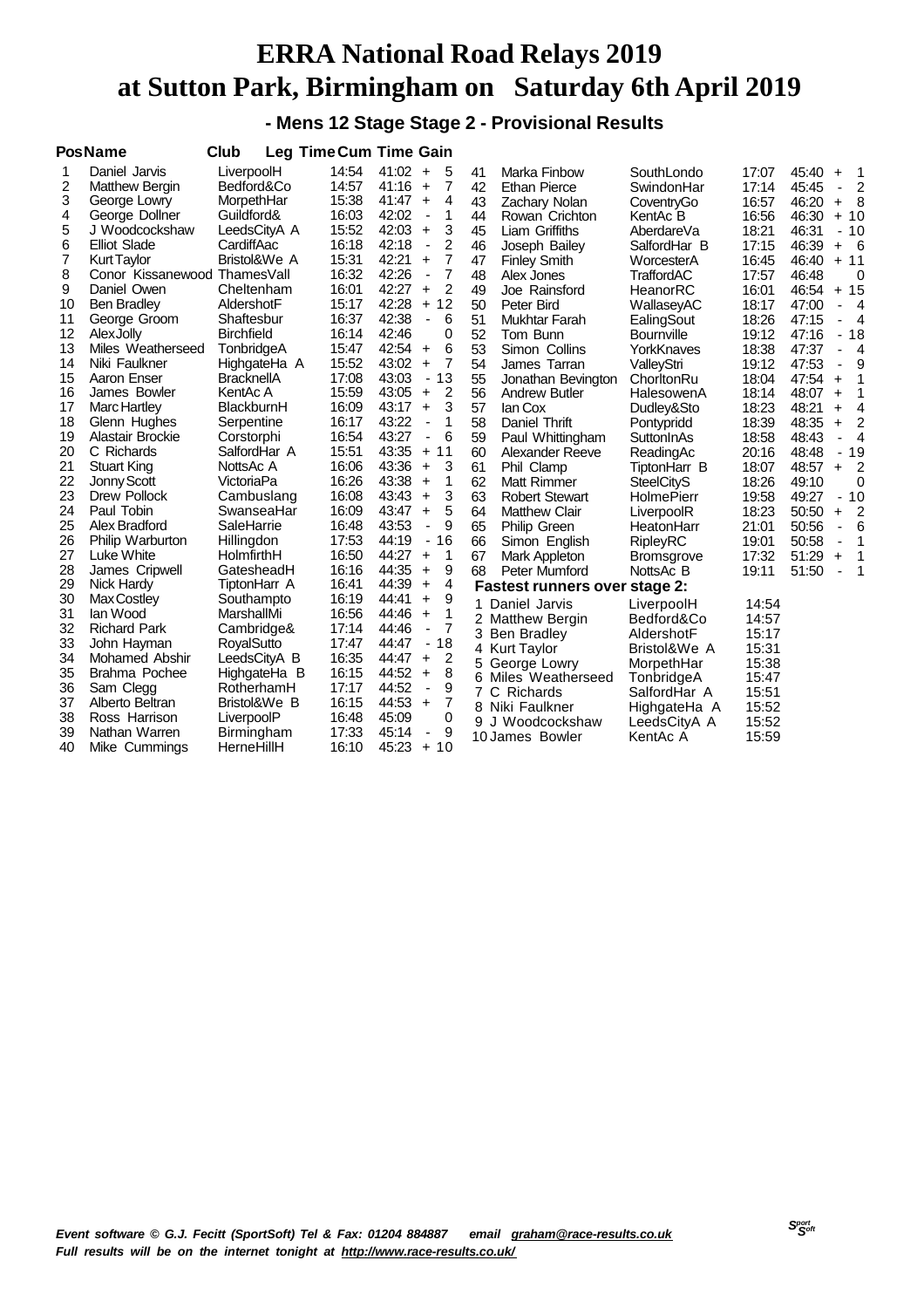**- Mens 12 Stage Stage 2 - Provisional Results**

|    | <b>PosName</b>               | Club              |       | <b>Leg Time Cum Time Gain</b>             |    |                                      |                   |       |       |                                  |
|----|------------------------------|-------------------|-------|-------------------------------------------|----|--------------------------------------|-------------------|-------|-------|----------------------------------|
| 1  | Daniel Jarvis                | LiverpoolH        | 14:54 | 41:02<br>$\ddot{}$<br>5                   | 41 | Marka Finbow                         | SouthLondo        | 17:07 | 45:40 | -1<br>$\ddot{}$                  |
| 2  | Matthew Bergin               | Bedford&Co        | 14:57 | $\overline{7}$<br>41:16<br>$\ddot{}$      | 42 | <b>Ethan Pierce</b>                  | SwindonHar        | 17:14 | 45:45 | $\overline{c}$<br>$\overline{a}$ |
| 3  | George Lowry                 | MorpethHar        | 15:38 | 4<br>41:47<br>$\ddot{}$                   | 43 | <b>Zachary Nolan</b>                 | CoventryGo        | 16:57 | 46:20 | - 8<br>$\ddot{}$                 |
| 4  | George Dollner               | Guildford&        | 16:03 | 42:02<br>1<br>$\centerdot$                | 44 | Rowan Crichton                       | KentAc B          | 16:56 | 46:30 | $+10$                            |
| 5  | J Woodcockshaw               | LeedsCityA A      | 15:52 | 42:03<br>3<br>$\ddot{}$                   | 45 | <b>Liam Griffiths</b>                | AberdareVa        | 18:21 | 46:31 | $-10$                            |
| 6  | <b>Elliot Slade</b>          | CardiffAac        | 16:18 | 2<br>42:18<br>ł,                          | 46 | Joseph Bailey                        | SalfordHar B      | 17:15 | 46:39 | - 6<br>$\ddot{}$                 |
| 7  | <b>Kurt Taylor</b>           | Bristol&We A      | 15:31 | 42:21<br>7<br>$+$                         | 47 | <b>Finley Smith</b>                  | WorcesterA        | 16:45 | 46:40 | $+ 11$                           |
| 8  | Conor Kissanewood ThamesVall |                   | 16:32 | $\overline{7}$<br>42:26<br>$\blacksquare$ | 48 | Alex Jones                           | <b>TraffordAC</b> | 17:57 | 46:48 | 0                                |
| 9  | Daniel Owen                  | Cheltenham        | 16:01 | 2<br>42:27<br>$\ddot{}$                   | 49 | Joe Rainsford                        | HeanorRC          | 16:01 | 46:54 | $+15$                            |
| 10 | <b>Ben Bradley</b>           | AldershotF        | 15:17 | 42:28<br>12<br>$+$                        | 50 | Peter Bird                           | WallaseyAC        | 18:17 | 47:00 | $\overline{4}$<br>÷              |
| 11 | George Groom                 | Shaftesbur        | 16:37 | 42:38<br>6<br>÷,                          | 51 | Mukhtar Farah                        | EalingSout        | 18:26 | 47:15 | 4                                |
| 12 | <b>Alex Jolly</b>            | <b>Birchfield</b> | 16:14 | 42:46<br>0                                | 52 | Tom Bunn                             | <b>Bournville</b> | 19:12 | 47:16 | $-18$                            |
| 13 | Miles Weatherseed            | TonbridgeA        | 15:47 | 42:54<br>6<br>$\ddot{}$                   | 53 | Simon Collins                        | YorkKnaves        | 18:38 | 47:37 | $\overline{4}$<br>÷,             |
| 14 | Niki Faulkner                | HighgateHa A      | 15:52 | $\overline{7}$<br>43:02<br>$\ddot{}$      | 54 | James Tarran                         | ValleyStri        | 19:12 | 47:53 | 9<br>$\overline{a}$              |
| 15 | Aaron Enser                  | <b>BracknellA</b> | 17:08 | 43:03<br>$-13$                            | 55 | Jonathan Bevington                   | ChorltonRu        | 18:04 | 47:54 | 1<br>$\ddot{}$                   |
| 16 | James Bowler                 | KentAc A          | 15:59 | 43:05<br>2<br>$\ddot{}$                   | 56 | <b>Andrew Butler</b>                 | HalesowenA        | 18:14 | 48:07 | 1<br>$\ddot{}$                   |
| 17 | Marc Hartley                 | BlackburnH        | 16:09 | 3<br>43:17<br>$+$                         | 57 | lan Cox                              | Dudley&Sto        | 18:23 | 48:21 | 4<br>$\ddot{}$                   |
| 18 | Glenn Hughes                 | Serpentine        | 16:17 | 43:22<br>1<br>$\overline{\phantom{a}}$    | 58 | Daniel Thrift                        | Pontypridd        | 18:39 | 48:35 | $\overline{2}$<br>$\ddot{}$      |
| 19 | Alastair Brockie             | Corstorphi        | 16:54 | 43:27<br>6<br>÷,                          | 59 | Paul Whittingham                     | SuttonInAs        | 18:58 | 48:43 | $\overline{4}$<br>÷,             |
| 20 | C Richards                   | SalfordHar A      | 15:51 | 43:35<br>11<br>$+$                        | 60 | Alexander Reeve                      | ReadingAc         | 20:16 | 48:48 | $-19$                            |
| 21 | <b>Stuart King</b>           | NottsAc A         | 16:06 | 43:36<br>3<br>$\ddot{}$                   | 61 | Phil Clamp                           | TiptonHarr B      | 18:07 | 48:57 | $\overline{2}$<br>$+$            |
| 22 | Jonny Scott                  | VictoriaPa        | 16:26 | 43:38<br>1<br>$\ddot{}$                   | 62 | Matt Rimmer                          | <b>SteelCityS</b> | 18:26 | 49:10 | $\mathbf 0$                      |
| 23 | Drew Pollock                 | Cambuslang        | 16:08 | 3<br>43:43<br>$\ddot{}$                   | 63 | <b>Robert Stewart</b>                | <b>HolmePierr</b> | 19:58 | 49:27 | $-10$                            |
| 24 | Paul Tobin                   | SwanseaHar        | 16:09 | 5<br>43:47<br>$\ddot{}$                   | 64 | <b>Matthew Clair</b>                 | LiverpoolR        | 18:23 | 50:50 | $\overline{2}$<br>$\ddot{}$      |
| 25 | Alex Bradford                | SaleHarrie        | 16:48 | 43:53<br>9<br>÷,                          | 65 | <b>Philip Green</b>                  | HeatonHarr        | 21:01 | 50:56 | 6<br>$\blacksquare$              |
| 26 | Philip Warburton             | Hillingdon        | 17:53 | 16<br>44:19<br>$\blacksquare$             | 66 | Simon English                        | <b>RipleyRC</b>   | 19:01 | 50:58 | 1<br>$\blacksquare$              |
| 27 | Luke White                   | HolmfirthH        | 16:50 | 44:27<br>1<br>$\ddot{}$                   | 67 | Mark Appleton                        | <b>Bromsgrove</b> | 17:32 | 51:29 | 1<br>$\ddot{}$                   |
| 28 | James Cripwell               | GatesheadH        | 16:16 | 44:35<br>9<br>$\ddot{}$                   | 68 | Peter Mumford                        | NottsAc B         | 19:11 | 51:50 | 1                                |
| 29 | Nick Hardy                   | TiptonHarr A      | 16:41 | 44:39<br>4<br>$\ddot{}$                   |    | <b>Fastest runners over stage 2:</b> |                   |       |       |                                  |
| 30 | Max Costley                  | Southampto        | 16:19 | 44:41<br>9<br>$\ddot{}$                   |    | Daniel Jarvis                        | LiverpoolH        | 14:54 |       |                                  |
| 31 | lan Wood                     | MarshallMi        | 16:56 | 44:46<br>1<br>$\ddot{}$                   |    | 2 Matthew Bergin                     | Bedford&Co        | 14:57 |       |                                  |
| 32 | <b>Richard Park</b>          | Cambridge&        | 17:14 | 7<br>44:46<br>÷                           | 3  | Ben Bradley                          | AldershotF        | 15:17 |       |                                  |
| 33 | John Hayman                  | RoyalSutto        | 17:47 | 18<br>44:47<br>$\blacksquare$             |    | 4 Kurt Taylor                        | Bristol&We A      | 15:31 |       |                                  |
| 34 | Mohamed Abshir               | LeedsCityA B      | 16:35 | 44:47<br>2<br>$\ddot{}$                   | 5  | George Lowry                         | MorpethHar        | 15:38 |       |                                  |
| 35 | Brahma Pochee                | HighgateHa B      | 16:15 | 8<br>44:52<br>$\ddot{}$                   |    | 6 Miles Weatherseed                  | TonbridgeA        | 15:47 |       |                                  |
| 36 | Sam Clegg                    | RotherhamH        | 17:17 | 44:52<br>9<br>$\overline{\phantom{a}}$    |    | C Richards                           | SalfordHar A      | 15:51 |       |                                  |
| 37 | Alberto Beltran              | Bristol&We B      | 16:15 | 7<br>44:53<br>$\ddot{}$                   |    | 8 Niki Faulkner                      | HighgateHa A      | 15:52 |       |                                  |
| 38 | Ross Harrison                | LiverpoolP        | 16:48 | 45:09<br>0                                | 9  | J Woodcockshaw                       | LeedsCityA A      | 15:52 |       |                                  |
| 39 | Nathan Warren                | Birmingham        | 17:33 | 45:14<br>9<br>٠                           |    | 10 James Bowler                      | KentAc A          | 15:59 |       |                                  |
| 40 | Mike Cummings                | HerneHillH        | 16:10 | 45:23<br>$+10$                            |    |                                      |                   |       |       |                                  |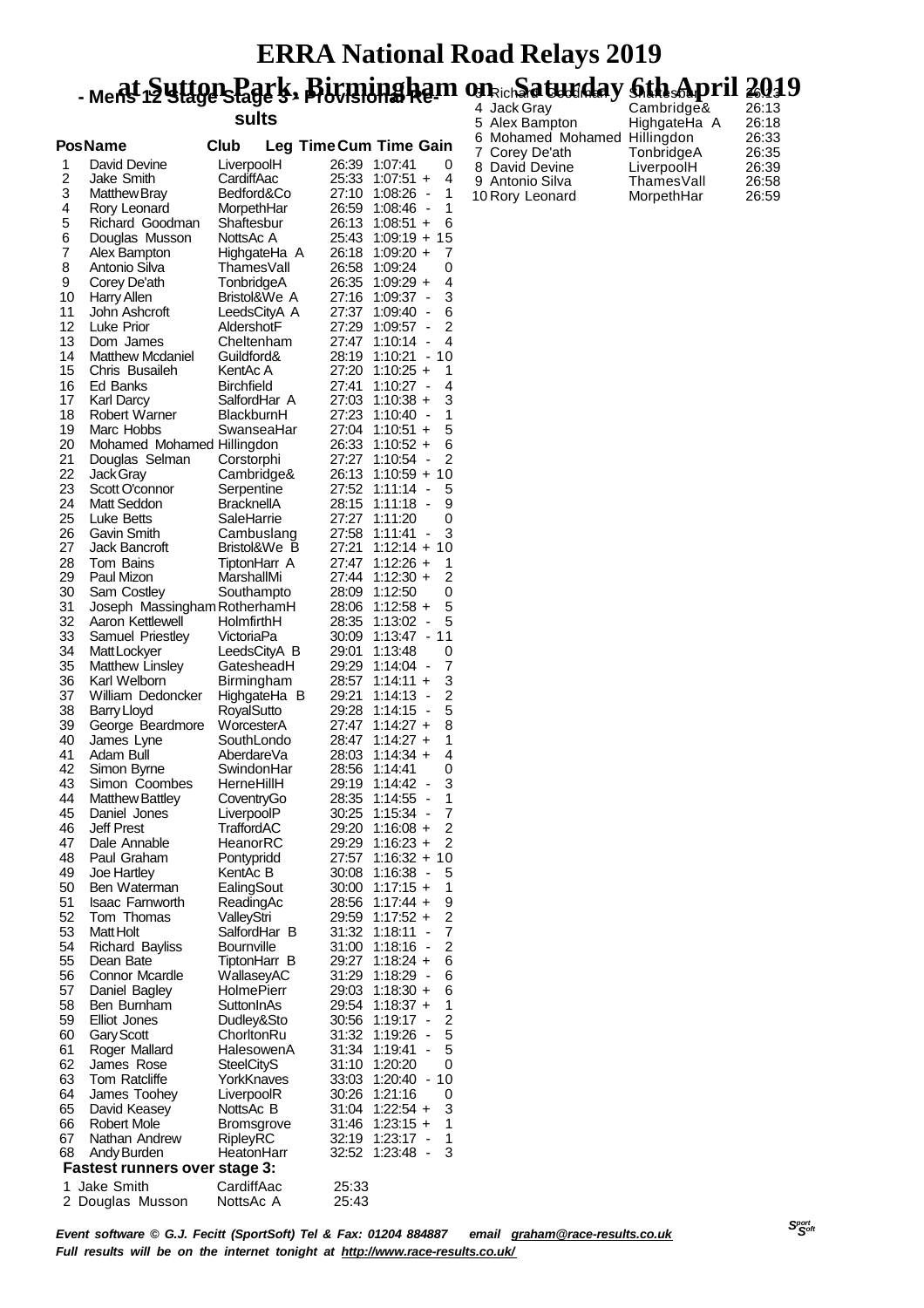#### **ERRA National Road Relays 2019** - Ment Suttgrslagels, Birmingham on ich at widay 6th April 2019 8 Rich**ard Goodinary Shaftesburp 1°11 26**:13

**sults**

|                | <b>PosName</b>                       | Club                            |                | Leg Time Cum Time Gain                                                    |
|----------------|--------------------------------------|---------------------------------|----------------|---------------------------------------------------------------------------|
| 1              | David Devine                         | LiverpoolH                      | 26:39          | 1:07:41<br>0                                                              |
| $\overline{2}$ | Jake Smith                           | CardiffAac                      | 25:33          | 4<br>$1:07:51 +$                                                          |
| 3              | <b>Matthew Bray</b>                  | Bedford&Co                      | 27:10          | 1<br>1:08:26<br>$\overline{\phantom{a}}$                                  |
| 4              | Rory Leonard                         | MorpethHar                      | 26:59          | 1<br>$1:08:46 -$                                                          |
| 5              | Richard Goodman                      | Shaftesbur                      | 26:13          | 6<br>$1:08:51 +$                                                          |
| 6              | Douglas Musson                       | NottsAc A                       | 25:43          | 15<br>$1:09:19 +$                                                         |
| 7              | Alex Bampton                         | HighgateHa A                    | 26:18          | 7<br>$1:09:20 +$                                                          |
| 8              | Antonio Silva                        | <b>ThamesVall</b>               | 26:58          | 0<br>1:09:24                                                              |
| 9              | Corey De'ath                         | TonbridgeA                      | 26:35          | 4<br>$1:09:29 +$                                                          |
| 10<br>11       | Harry Allen<br>John Ashcroft         | Bristol&We A<br>LeedsCityA A    | 27:16<br>27:37 | 3<br>1:09:37<br>$\overline{\phantom{a}}$<br>6<br>$\overline{\phantom{a}}$ |
| 12             | Luke Prior                           | AldershotF                      | 27:29          | 1:09:40<br>2<br>1:09:57                                                   |
| 13             | Dom James                            | Cheltenham                      | 27:47          | 4<br>$1:10:14 -$                                                          |
| 14             | <b>Matthew Mcdaniel</b>              | Guildford&                      | 28:19          | 10<br>1:10:21<br>$\blacksquare$                                           |
| 15             | Chris Busaileh                       | KentAc A                        | 27:20          | $1:10:25 +$<br>1                                                          |
| 16             | Ed Banks                             | Birchfield                      | 27:41          | 4<br>1:10:27<br>$\blacksquare$                                            |
| 17             | Karl Darcy                           | SalfordHar A                    | 27:03          | 3<br>$1:10:38 +$                                                          |
| 18             | <b>Robert Warner</b>                 | BlackburnH                      | 27:23          | 1<br>1:10:40                                                              |
| 19             | Marc Hobbs                           | SwanseaHar                      | 27:04          | 5<br>1:10:51<br>$\ddot{}$                                                 |
| 20             | Mohamed Mohamed Hillingdon           |                                 | 26:33          | 6<br>$1:10:52 +$                                                          |
| 21             | Douglas Selman                       | Corstorphi                      | 27:27          | $\overline{2}$<br>1:10:54<br>$\overline{\phantom{a}}$                     |
| 22             | Jack Gray                            | Cambridge&                      | 26:13          | 10<br>1:10:59 +                                                           |
| 23             | Scott O'connor                       | Serpentine                      | 27:52          | 1:11:14<br>5<br>$\overline{\phantom{a}}$                                  |
| 24             | Matt Seddon                          | <b>BracknellA</b>               | 28:15          | 9<br>1:11:18                                                              |
| 25             | Luke Betts                           | SaleHarrie                      | 27:27          | 1:11:20<br>0                                                              |
| 26             | Gavin Smith                          | Cambuslang                      | 27:58          | 3<br>1:11:41<br>$\overline{\phantom{a}}$                                  |
| 27             | <b>Jack Bancroft</b>                 | Bristol&We B                    | 27:21          | $1:12:14 +$<br>10                                                         |
| 28<br>29       | Tom Bains<br>Paul Mizon              | TiptonHarr A<br>MarshallMi      | 27:47<br>27:44 | $1:12:26 +$<br>1<br>2<br>$1:12:30 +$                                      |
| 30             | Sam Costley                          | Southampto                      | 28:09          | 1:12:50<br>0                                                              |
| 31             | Joseph Massingham RotherhamH         |                                 | 28:06          | 5<br>$1:12:58 +$                                                          |
| 32             | Aaron Kettlewell                     | HolmfirthH                      | 28:35          | 5<br>1:13:02<br>$\overline{\phantom{a}}$                                  |
| 33             | Samuel Priestley                     | VictoriaPa                      | 30:09          | 11<br>1:13:47<br>$\blacksquare$                                           |
| 34             | Matt Lockyer                         | LeedsCityA B                    | 29:01          | 0<br>1:13:48                                                              |
| 35             | <b>Matthew Linsley</b>               | GatesheadH                      | 29:29          | 7<br>1:14:04<br>$\overline{\phantom{a}}$                                  |
| 36             | Karl Welborn                         | Birmingham                      | 28:57          | 3<br>$1:14:11 +$                                                          |
| 37             | William Dedoncker                    | HighgateHa B                    | 29:21          | $\overline{c}$<br>1:14:13<br>$\overline{\phantom{a}}$                     |
| 38             | <b>Barry Lloyd</b>                   | RoyalSutto                      | 29:28          | 5<br>1:14:15<br>$\qquad \qquad \blacksquare$                              |
| 39             | George Beardmore                     | WorcesterA                      | 27:47          | $1:14:27 +$<br>8                                                          |
| 40             | James Lyne                           | SouthLondo                      | 28:47          | 1<br>$1:14:27 +$                                                          |
| 41             | Adam Bull                            | AberdareVa                      | 28:03          | 4<br>$1:14:34 +$                                                          |
| 42             | Simon Byrne                          | SwindonHar                      | 28:56          | 1:14:41<br>0                                                              |
| 43<br>44       | Simon Coombes<br>Matthew Battley     | HerneHillH                      | 29:19<br>28:35 | 3<br>1:14:42<br>1<br>1:14:55<br>÷,                                        |
| 45             | Daniel Jones                         | CoventryGo<br>LiverpoolP        | 30:25          | 7<br>1:15:34                                                              |
| 46             | <b>Jeff Prest</b>                    | TraffordAC                      | 29:20          | 2<br>1:16:08 +                                                            |
| 47             | Dale Annable                         | HeanorRC                        | 29:29          | 2<br>$1:16:23 +$                                                          |
| 48             | Paul Graham                          | Pontypridd                      | 27:57          | 1:16:32 +<br>10                                                           |
| 49             | Joe Hartley                          | KentAc B                        | 30:08          | 5<br>1:16:38<br>$\overline{\phantom{a}}$                                  |
| 50             | Ben Waterman                         | EalingSout                      | 30:00          | $1:17:15 +$<br>1                                                          |
| 51             | Isaac Farnworth                      | ReadingAc                       | 28:56          | $1:17:44 +$<br>9                                                          |
| 52             | Tom Thomas                           | ValleyStri                      | 29:59          | $\overline{c}$<br>$1:17:52 +$                                             |
| 53             | Matt Holt                            | SalfordHar B                    | 31:32          | 7<br>1:18:11<br>$\qquad \qquad \blacksquare$                              |
| 54             | <b>Richard Bayliss</b>               | Bournville                      | 31:00          | 2<br>1:18:16<br>$\blacksquare$                                            |
| 55             | Dean Bate                            | TiptonHarr B                    | 29:27          | 6<br>$1:18:24 +$                                                          |
| 56             | Connor Mcardle                       | WallaseyAC                      | 31:29          | 6<br>1:18:29<br>$\overline{\phantom{a}}$                                  |
| 57<br>58       | Daniel Bagley                        | <b>HolmePierr</b><br>SuttonInAs | 29:03<br>29:54 | 6<br>$1:18:30 +$<br>1<br>$1:18:37 +$                                      |
| 59             | Ben Burnham<br><b>Elliot Jones</b>   | Dudley&Sto                      | 30:56          | $\overline{c}$<br>1:19:17<br>$\overline{\phantom{a}}$                     |
| 60             | Gary Scott                           | ChorltonRu                      | 31:32          | 5<br>1:19:26                                                              |
| 61             | Roger Mallard                        | HalesowenA                      | 31:34          | 5<br>1:19:41<br>$\blacksquare$                                            |
| 62             | James Rose                           | <b>SteelCityS</b>               | 31:10          | 1:20:20<br>0                                                              |
| 63             | Tom Ratcliffe                        | YorkKnaves                      | 33:03          | 10<br>1:20:40<br>$\overline{\phantom{0}}$                                 |
| 64             | James Toohey                         | LiverpoolR                      | 30:26          | 1:21:16<br>0                                                              |
| 65             | David Keasey                         | NottsAc B                       | 31:04          | 3<br>$1:22:54 +$                                                          |
| 66             | Robert Mole                          | Bromsgrove                      | 31:46          | $1:23:15 +$<br>1                                                          |
| 67             | Nathan Andrew                        | RipleyRC                        | 32:19          | 1<br>1:23:17<br>$\overline{\phantom{a}}$                                  |
| 68             | Andy Burden                          | HeatonHarr                      | 32:52          | 3<br>1:23:48<br>$\overline{\phantom{a}}$                                  |
|                | <b>Fastest runners over stage 3:</b> |                                 |                |                                                                           |
| 1              | Jake Smith                           | CardiffAac                      | 25:33          |                                                                           |
| 2              | Douglas Musson                       | NottsAc A                       | 25:43          |                                                                           |

 Jack Gray Cambridge& 26:13 Alex Bampton HighgateHa A 26:18 6 Mohamed Mohamed Hillingdon 26:33<br>7 Corey De'ath TonbridgeA 26:35 Corey De'ath TonbridgeA 26:35 8 David Devine LiverpoolH 26:39<br>9 Antonio Silva Thames Vall 26:58 9 Antonio Silva ThamesVall 26:58<br>10 Rory Leonard MorpethHar 26:59 10 Rory Leonard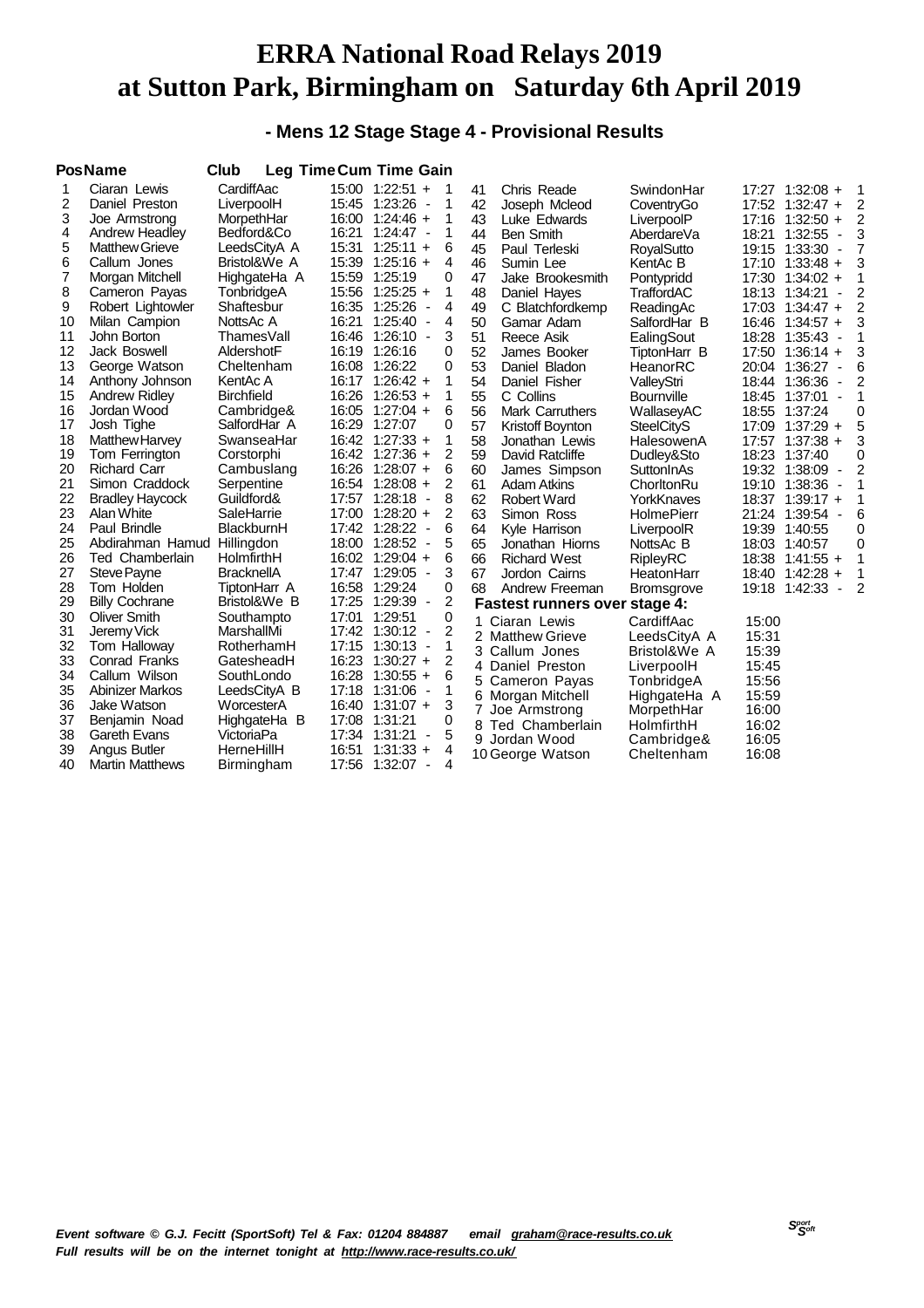#### **- Mens 12 Stage Stage 4 - Provisional Results**

|    | <b>PosName</b>         | Club              | <b>Leg Time Cum Time Gain</b> |                   |                          |                |    |                                      |                   |       |                 |                          |                |
|----|------------------------|-------------------|-------------------------------|-------------------|--------------------------|----------------|----|--------------------------------------|-------------------|-------|-----------------|--------------------------|----------------|
| 1  | Ciaran Lewis           | CardiffAac        |                               | 15:00 1:22:51 +   |                          | -1             | 41 | Chris Reade                          | SwindonHar        |       | 17:27 1:32:08 + |                          | 1              |
| 2  | Daniel Preston         | LiverpoolH        |                               | 15:45 1:23:26     | $\overline{\phantom{a}}$ | 1              | 42 | Joseph Mcleod                        | CoventryGo        |       | 17:52 1:32:47 + |                          | 2              |
| 3  | Joe Armstrong          | MorpethHar        |                               | $16:00$ 1:24:46 + |                          | 1              | 43 | Luke Edwards                         | LiverpoolP        |       | 17:16 1:32:50 + |                          | $\overline{2}$ |
| 4  | Andrew Headley         | Bedford&Co        | 16:21                         | $1:24:47 -$       |                          | 1              | 44 | <b>Ben Smith</b>                     | AberdareVa        | 18:21 | 1:32:55         | $\overline{\phantom{a}}$ | 3              |
| 5  | <b>Matthew Grieve</b>  | LeedsCityA A      | 15:31                         | $1:25:11 +$       |                          | 6              | 45 | Paul Terleski                        | RoyalSutto        |       | 19:15 1:33:30   | $\overline{\phantom{a}}$ | 7              |
| 6  | Callum Jones           | Bristol&We A      | 15:39                         | $1:25:16 +$       |                          | 4              | 46 | Sumin Lee                            | KentAc B          |       | 17:10 1:33:48 + |                          | 3              |
| 7  | Morgan Mitchell        | HighgateHa A      | 15:59                         | 1:25:19           |                          | 0              | 47 | Jake Brookesmith                     | Pontypridd        |       | 17:30 1:34:02 + |                          | 1              |
| 8  | Cameron Payas          | TonbridgeA        |                               | 15:56 1:25:25 +   |                          | 1              | 48 | Daniel Hayes                         | TraffordAC        | 18:13 | 1:34:21         | $\blacksquare$           | 2              |
| 9  | Robert Lightowler      | Shaftesbur        |                               | 16:35 1:25:26     | $\overline{\phantom{a}}$ | 4              | 49 | C Blatchfordkemp                     | ReadingAc         |       | 17:03 1:34:47 + |                          | 2              |
| 10 | Milan Campion          | NottsAc A         |                               | 16:21 1:25:40     | $\overline{\phantom{a}}$ | 4              | 50 | Gamar Adam                           | SalfordHar B      |       | 16:46 1:34:57 + |                          | 3              |
| 11 | John Borton            | ThamesVall        |                               | 16:46 1:26:10 -   |                          | 3              | 51 | Reece Asik                           | EalingSout        |       | 18:28 1:35:43   | $\overline{\phantom{a}}$ | 1              |
| 12 | Jack Boswell           | AldershotF        |                               | 16:19 1:26:16     |                          | 0              | 52 | James Booker                         | TiptonHarr B      |       | 17:50 1:36:14 + |                          | 3              |
| 13 | George Watson          | Cheltenham        |                               | 16:08 1:26:22     |                          | 0              | 53 | Daniel Bladon                        | HeanorRC          | 20:04 | 1:36:27         | $\overline{\phantom{a}}$ | 6              |
| 14 | Anthony Johnson        | KentAc A          |                               | $16:17$ 1:26:42 + |                          | 1              | 54 | Daniel Fisher                        | ValleyStri        |       | 18:44 1:36:36   | $\overline{\phantom{a}}$ | 2              |
| 15 | <b>Andrew Ridley</b>   | <b>Birchfield</b> |                               | 16:26 1:26:53 +   |                          | 1              | 55 | C Collins                            | <b>Bournville</b> |       | 18:45 1:37:01   | $\overline{\phantom{a}}$ | 1              |
| 16 | Jordan Wood            | Cambridge&        |                               | 16:05 1:27:04 +   |                          | 6              | 56 | <b>Mark Carruthers</b>               | WallaseyAC        |       | 18:55 1:37:24   |                          | 0              |
| 17 | Josh Tighe             | SalfordHar A      | 16:29                         | 1:27:07           |                          | 0              | 57 | Kristoff Boynton                     | <b>SteelCityS</b> |       | 17:09 1:37:29   | $\ddot{}$                | 5              |
| 18 | Matthew Harvey         | SwanseaHar        |                               | 16:42 1:27:33 +   |                          | 1              | 58 | Jonathan Lewis                       | HalesowenA        | 17:57 | $1:37:38 +$     |                          | 3              |
| 19 | Tom Ferrington         | Corstorphi        |                               | 16:42 1:27:36 +   |                          | 2              | 59 | David Ratcliffe                      | Dudley&Sto        | 18:23 | 1:37:40         |                          | 0              |
| 20 | <b>Richard Carr</b>    | Cambuslang        |                               | 16:26 1:28:07 +   |                          | 6              | 60 | James Simpson                        | SuttonInAs        |       | 19:32 1:38:09   | $\overline{\phantom{a}}$ | 2              |
| 21 | Simon Craddock         | Serpentine        |                               | 16:54 1:28:08 +   |                          | 2              | 61 | <b>Adam Atkins</b>                   | ChorltonRu        |       | 19:10 1:38:36   | ٠                        | 1              |
| 22 | <b>Bradley Haycock</b> | Guildford&        |                               | 17:57 1:28:18     | $\overline{\phantom{a}}$ | 8              | 62 | Robert Ward                          | YorkKnaves        |       | 18:37 1:39:17 + |                          | 1              |
| 23 | Alan White             | SaleHarrie        | 17:00                         | $1:28:20 +$       |                          | 2              | 63 | Simon Ross                           | <b>HolmePierr</b> |       | 21:24 1:39:54   | $\overline{\phantom{a}}$ | 6              |
| 24 | Paul Brindle           | BlackburnH        |                               | 17:42 1:28:22     | $\overline{\phantom{a}}$ | 6              | 64 | Kyle Harrison                        | LiverpoolR        | 19:39 | 1:40:55         |                          | 0              |
| 25 | Abdirahman Hamud       | Hillingdon        |                               | 18:00 1:28:52     | $\overline{\phantom{a}}$ | 5              | 65 | Jonathan Hiorns                      | NottsAc B         |       | 18:03 1:40:57   |                          | 0              |
| 26 | Ted Chamberlain        | HolmfirthH        |                               | 16:02 1:29:04 +   |                          | 6              | 66 | <b>Richard West</b>                  | RipleyRC          |       | 18:38 1:41:55 + |                          | 1              |
| 27 | Steve Payne            | <b>BracknellA</b> |                               | 17:47 1:29:05     | $\sim$                   | 3              | 67 | Jordon Cairns                        | HeatonHarr        |       | 18:40 1:42:28   | $\ddot{}$                | 1              |
| 28 | Tom Holden             | TiptonHarr A      | 16:58                         | 1:29:24           |                          | 0              | 68 | Andrew Freeman                       | <b>Bromsgrove</b> | 19:18 | 1:42:33         |                          | $\overline{2}$ |
| 29 | <b>Billy Cochrane</b>  | Bristol&We B      |                               | 17:25 1:29:39     | $\overline{\phantom{a}}$ | $\overline{2}$ |    | <b>Fastest runners over stage 4:</b> |                   |       |                 |                          |                |
| 30 | <b>Oliver Smith</b>    | Southampto        | 17:01                         | 1:29:51           |                          | 0              |    | Ciaran Lewis                         | CardiffAac        | 15:00 |                 |                          |                |
| 31 | Jeremy Vick            | MarshallMi        |                               | 17:42 1:30:12     | $\overline{\phantom{a}}$ | 2              |    | 2 Matthew Grieve                     | LeedsCityA A      | 15:31 |                 |                          |                |
| 32 | Tom Halloway           | RotherhamH        |                               | 17:15 1:30:13     | $\overline{\phantom{a}}$ | 1              |    | 3 Callum Jones                       | Bristol&We A      | 15:39 |                 |                          |                |
| 33 | Conrad Franks          | GatesheadH        |                               | 16:23 1:30:27 +   |                          | $\overline{2}$ | 4  | Daniel Preston                       | LiverpoolH        | 15:45 |                 |                          |                |
| 34 | Callum Wilson          | SouthLondo        |                               | 16:28 1:30:55 +   |                          | 6              | 5  | Cameron Payas                        | TonbridgeA        | 15:56 |                 |                          |                |
| 35 | Abinizer Markos        | LeedsCityA B      |                               | 17:18 1:31:06 -   |                          | 1              |    | 6 Morgan Mitchell                    | HighgateHa A      | 15:59 |                 |                          |                |
| 36 | Jake Watson            | WorcesterA        |                               | $16:40$ 1:31:07 + |                          | 3              | 7  | Joe Armstrong                        | MorpethHar        | 16:00 |                 |                          |                |
| 37 | Benjamin Noad          | HighgateHa B      | 17:08                         | 1:31:21           |                          | 0              |    | 8 Ted Chamberlain                    | HolmfirthH        | 16:02 |                 |                          |                |
| 38 | <b>Gareth Evans</b>    | VictoriaPa        | 17:34                         | 1:31:21           | $\overline{\phantom{a}}$ | 5              | 9. | Jordan Wood                          | Cambridge&        | 16:05 |                 |                          |                |
| 39 | Angus Butler           | HerneHillH        | 16:51                         | $1:31:33 +$       |                          | 4              |    | 10 George Watson                     | Cheltenham        | 16:08 |                 |                          |                |
| 40 | <b>Martin Matthews</b> | Birmingham        |                               | 17:56 1:32:07     |                          | 4              |    |                                      |                   |       |                 |                          |                |
|    |                        |                   |                               |                   |                          |                |    |                                      |                   |       |                 |                          |                |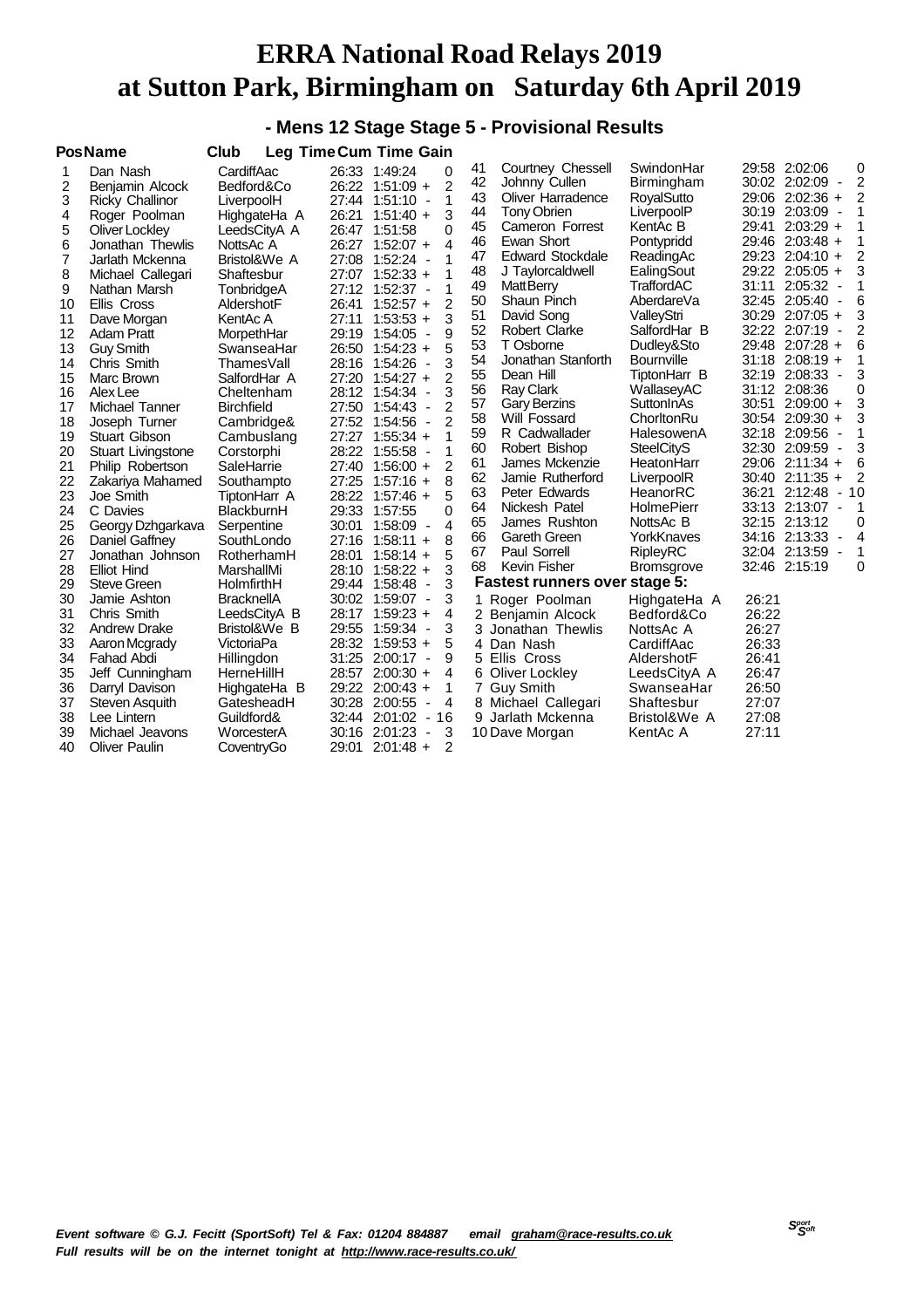#### **- Mens 12 Stage Stage 5 - Provisional Results**

|    | <b>PosName</b>            | Club              |       | <b>Leg Time Cum Time Gain</b>                         |    |                               |                   |                                                    |
|----|---------------------------|-------------------|-------|-------------------------------------------------------|----|-------------------------------|-------------------|----------------------------------------------------|
| 1  | Dan Nash                  | CardiffAac        |       | 26:33 1:49:24<br>0                                    | 41 | Courtney Chessell             | SwindonHar        | 29:58 2:02:06<br>0                                 |
| 2  | Benjamin Alcock           | Bedford&Co        |       | 2<br>26:22 1:51:09 +                                  | 42 | Johnny Cullen                 | <b>Birmingham</b> | 2<br>30:02 2:02:09<br>$\overline{\phantom{a}}$     |
| 3  | <b>Ricky Challinor</b>    | LiverpoolH        |       | 1<br>27:44 1:51:10<br>$\overline{\phantom{a}}$        | 43 | Oliver Harradence             | RoyalSutto        | 29:06 2:02:36 +<br>2                               |
| 4  | Roger Poolman             | HighgateHa A      |       | 3<br>26:21 1:51:40 +                                  | 44 | <b>Tony Obrien</b>            | LiverpoolP        | 30:19 2:03:09 -<br>1                               |
| 5  | Oliver Lockley            | LeedsCityA A      |       | 0<br>26:47 1:51:58                                    | 45 | Cameron Forrest               | KentAc B          | $2:03:29 +$<br>1<br>29:41                          |
| 6  | Jonathan Thewlis          | NottsAc A         |       | $\overline{4}$<br>26:27 1:52:07 +                     | 46 | Ewan Short                    | Pontypridd        | 1<br>29:46<br>$2:03:48 +$                          |
| 7  | Jarlath Mckenna           | Bristol&We A      |       | 1<br>27:08 1:52:24<br>$\overline{a}$                  | 47 | <b>Edward Stockdale</b>       | ReadingAc         | 2<br>29:23<br>$2:04:10 +$                          |
| 8  | Michael Callegari         | Shaftesbur        |       | 1<br>27:07 1:52:33 +                                  | 48 | J Taylorcaldwell              | EalingSout        | 3<br>29:22 2:05:05 +                               |
| 9  | Nathan Marsh              | TonbridgeA        |       | 1<br>27:12 1:52:37<br>$\overline{\phantom{a}}$        | 49 | <b>MattBerry</b>              | TraffordAC        | 31:11<br>1<br>$2:05:32 -$                          |
| 10 | Ellis Cross               | AldershotF        | 26:41 | 2<br>$1:52:57 +$                                      | 50 | Shaun Pinch                   | AberdareVa        | 6<br>32:45 2:05:40<br>$\overline{\phantom{a}}$     |
| 11 | Dave Morgan               | KentAc A          | 27:11 | 3<br>$1:53:53 +$                                      | 51 | David Song                    | ValleyStri        | 3<br>30:29 2:07:05 +                               |
| 12 | <b>Adam Pratt</b>         | MorpethHar        |       | 9<br>29:19 1:54:05<br>$\overline{\phantom{a}}$        | 52 | <b>Robert Clarke</b>          | SalfordHar B      | 2<br>32:22<br>$2:07:19 -$                          |
| 13 | <b>Guy Smith</b>          | SwanseaHar        |       | 5<br>26:50 1:54:23 +                                  | 53 | T Osborne                     | Dudley&Sto        | 29:48 2:07:28 +<br>6                               |
| 14 | Chris Smith               | ThamesVall        |       | 3<br>28:16 1:54:26<br>$\overline{\phantom{a}}$        | 54 | Jonathan Stanforth            | <b>Bournville</b> | 31:18 2:08:19 +<br>1                               |
| 15 | Marc Brown                | SalfordHar A      |       | 2<br>27:20 1:54:27 +                                  | 55 | Dean Hill                     | TiptonHarr B      | 3<br>32:19 2:08:33<br>$\blacksquare$               |
| 16 | Alex Lee                  | Cheltenham        |       | 3<br>28:12 1:54:34<br>$\overline{\phantom{a}}$        | 56 | <b>Ray Clark</b>              | WallaseyAC        | 0<br>31:12 2:08:36                                 |
| 17 | Michael Tanner            | <b>Birchfield</b> |       | 2<br>27:50 1:54:43<br>$\overline{\phantom{a}}$        | 57 | <b>Gary Berzins</b>           | SuttonInAs        | 3<br>$2:09:00 +$<br>30:51                          |
| 18 | Joseph Turner             | Cambridge&        |       | 2<br>27:52 1:54:56<br>$\overline{\phantom{a}}$        | 58 | Will Fossard                  | ChorltonRu        | 3<br>30:54<br>$2:09:30 +$                          |
| 19 | Stuart Gibson             | Cambuslang        |       | 1<br>27:27 1:55:34 +                                  | 59 | R Cadwallader                 | HalesowenA        | 32:18<br>2:09:56<br>1<br><b>.</b>                  |
| 20 | <b>Stuart Livingstone</b> | Corstorphi        | 28:22 | 1<br>1:55:58<br>$\overline{\phantom{a}}$              | 60 | Robert Bishop                 | <b>SteelCityS</b> | 3<br>32:30 2:09:59 -                               |
| 21 | Philip Robertson          | SaleHarrie        |       | 2<br>27:40 1:56:00 +                                  | 61 | James Mckenzie                | HeatonHarr        | 6<br>29:06 2:11:34 +                               |
| 22 | Zakariya Mahamed          | Southampto        |       | 8<br>$27:25$ 1:57:16 +                                | 62 | Jamie Rutherford              | LiverpoolR        | $2:11:35 +$<br>2<br>30:40                          |
| 23 | Joe Smith                 | TiptonHarr A      |       | 5<br>28:22 1:57:46 +                                  | 63 | Peter Edwards                 | HeanorRC          | 36:21<br>2:12:48<br>10<br>$\overline{\phantom{a}}$ |
| 24 | C Davies                  | BlackburnH        |       | 29:33 1:57:55<br>0                                    | 64 | Nickesh Patel                 | HolmePierr        | 33:13 2:13:07 -<br>$\mathbf 1$                     |
| 25 | Georgy Dzhgarkava         | Serpentine        | 30:01 | $\overline{4}$<br>1:58:09<br>$\overline{\phantom{a}}$ | 65 | James Rushton                 | NottsAc B         | 32:15 2:13:12<br>0                                 |
| 26 | Daniel Gaffney            | SouthLondo        |       | 27:16 1:58:11 +<br>8                                  | 66 | Gareth Green                  | YorkKnaves        | 34:16 2:13:33<br>4<br>٠                            |
| 27 | Jonathan Johnson          | RotherhamH        | 28:01 | 5<br>$1:58:14 +$                                      | 67 | Paul Sorrell                  | RipleyRC          | 32:04 2:13:59<br>1<br>$\blacksquare$               |
| 28 | <b>Elliot Hind</b>        | MarshallMi        |       | 3<br>28:10 1:58:22 +                                  | 68 | Kevin Fisher                  | <b>Bromsgrove</b> | 32:46<br>2:15:19<br>0                              |
| 29 | <b>Steve Green</b>        | HolmfirthH        |       | 3<br>29:44 1:58:48<br>$\blacksquare$                  |    | Fastest runners over stage 5: |                   |                                                    |
| 30 | Jamie Ashton              | <b>BracknellA</b> |       | 30:02 1:59:07<br>3<br>$\overline{\phantom{a}}$        | 1  | Roger Poolman                 | HighgateHa A      | 26:21                                              |
| 31 | Chris Smith               | LeedsCityA B      | 28:17 | $1:59:23 +$<br>4                                      |    | 2 Benjamin Alcock             | Bedford&Co        | 26:22                                              |
| 32 | <b>Andrew Drake</b>       | Bristol&We B      |       | 3<br>29:55 1:59:34<br>$\overline{\phantom{a}}$        |    | 3 Jonathan Thewlis            | NottsAc A         | 26:27                                              |
| 33 | Aaron Mcgrady             | VictoriaPa        |       | 5<br>28:32 1:59:53 +                                  |    | 4 Dan Nash                    | CardiffAac        | 26:33                                              |
| 34 | <b>Fahad Abdi</b>         | Hillingdon        |       | 9<br>31:25 2:00:17<br>$\overline{\phantom{a}}$        | 5. | Ellis Cross                   | AldershotF        | 26:41                                              |
| 35 | Jeff Cunningham           | HerneHillH        | 28:57 | $2:00:30 +$<br>4                                      |    | 6 Oliver Lockley              | LeedsCityA A      | 26:47                                              |
| 36 | Darryl Davison            | HighgateHa B      |       | 29:22 2:00:43 +<br>1                                  |    | 7 Guy Smith                   | SwanseaHar        | 26:50                                              |
| 37 | Steven Asquith            | GatesheadH        |       | 30:28 2:00:55<br>$\overline{4}$<br>$\blacksquare$     |    | 8 Michael Callegari           | Shaftesbur        | 27:07                                              |
| 38 | Lee Lintern               | Guildford&        | 32:44 | $2:01:02 - 16$                                        |    | 9 Jarlath Mckenna             | Bristol&We A      | 27:08                                              |
| 39 | Michael Jeavons           | WorcesterA        |       | 30:16 2:01:23<br>3<br>$\overline{\phantom{a}}$        |    | 10 Dave Morgan                | KentAc A          | 27:11                                              |
| 40 | <b>Oliver Paulin</b>      | CoventryGo        | 29:01 | $2:01:48 +$<br>2                                      |    |                               |                   |                                                    |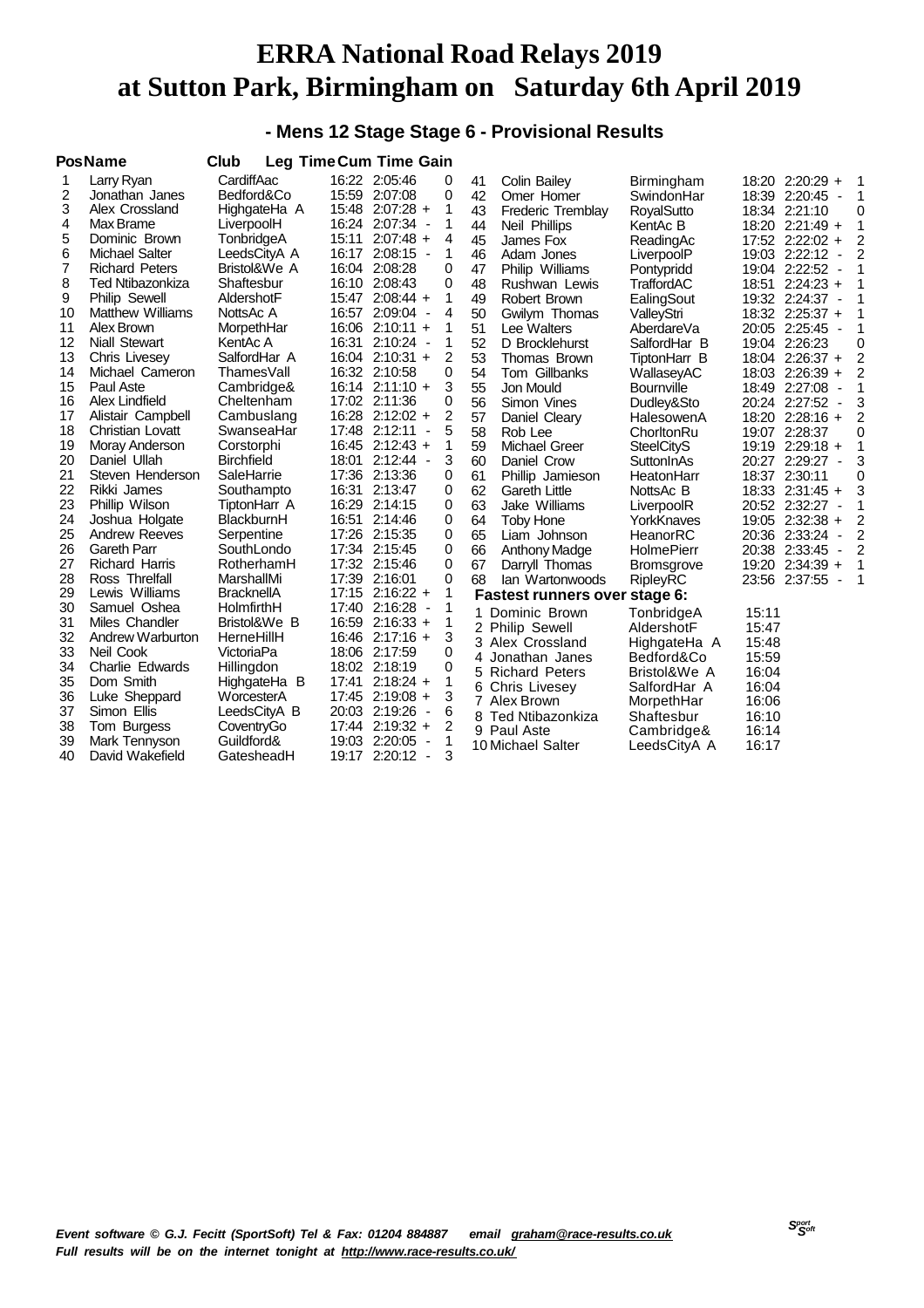#### **- Mens 12 Stage Stage 6 - Provisional Results**

|    | <b>PosName</b>          | Club              |       | <b>Leg Time Cum Time Gain</b>             |          |    |                               |                   |       |                                           |                |
|----|-------------------------|-------------------|-------|-------------------------------------------|----------|----|-------------------------------|-------------------|-------|-------------------------------------------|----------------|
|    | Larry Ryan              | CardiffAac        |       | 16:22 2:05:46                             | 0        | 41 | <b>Colin Bailey</b>           | Birmingham        |       | 18:20 2:20:29 +                           | 1              |
| 2  | Jonathan Janes          | Bedford&Co        |       | 15:59 2:07:08                             | 0        | 42 | Omer Homer                    | SwindonHar        |       | 18:39 2:20:45 -                           | $\overline{1}$ |
| 3  | Alex Crossland          | HighgateHa A      |       | 15:48 2:07:28 +                           | 1        | 43 | Frederic Tremblay             | <b>RoyalSutto</b> |       | 18:34 2:21:10                             | 0              |
| 4  | Max Brame               | LiverpoolH        |       | 16:24 2:07:34 -                           | 1        | 44 | Neil Phillips                 | KentAc B          |       | 18:20 2:21:49 +                           | 1              |
| 5  | Dominic Brown           | TonbridgeA        |       | 15:11 2:07:48 +                           | 4        | 45 | James Fox                     | ReadingAc         |       | 17:52 2:22:02 +                           | $\overline{2}$ |
| 6  | <b>Michael Salter</b>   | LeedsCityA A      |       | 16:17 2:08:15 -                           | 1        | 46 | Adam Jones                    | LiverpoolP        |       | 19:03 2:22:12<br>$\overline{\phantom{a}}$ | 2              |
| 7  | <b>Richard Peters</b>   | Bristol&We A      |       | 16:04 2:08:28                             | 0        | 47 | Philip Williams               | Pontypridd        |       | 19:04 2:22:52<br>$\overline{\phantom{a}}$ | 1              |
| 8  | Ted Ntibazonkiza        | Shaftesbur        |       | 16:10 2:08:43                             | 0        | 48 | Rushwan Lewis                 | TraffordAC        | 18:51 | $2:24:23 +$                               | 1              |
| 9  | <b>Philip Sewell</b>    | AldershotF        |       | 15:47 2:08:44 +                           | 1        | 49 | Robert Brown                  | EalingSout        |       | 19:32 2:24:37<br>$\overline{\phantom{a}}$ | 1              |
| 10 | <b>Matthew Williams</b> | NottsAc A         |       | 16:57 2:09:04 -                           | 4        | 50 | Gwilym Thomas                 | ValleyStri        |       | 18:32 2:25:37 +                           | 1              |
| 11 | Alex Brown              | MorpethHar        |       | $16:06$ 2:10:11 +                         | 1        | 51 | Lee Walters                   | AberdareVa        |       | 20:05 2:25:45<br>$\overline{\phantom{a}}$ | 1              |
| 12 | Niall Stewart           | KentAc A          |       | 16:31 2:10:24 -                           | 1        | 52 | D Brocklehurst                | SalfordHar B      |       | 19:04 2:26:23                             | 0              |
| 13 | Chris Livesey           | SalfordHar A      |       | $16:04$ 2:10:31 +                         | 2        | 53 | Thomas Brown                  | TiptonHarr B      |       | 18:04 2:26:37 +                           | $\overline{2}$ |
| 14 | Michael Cameron         | ThamesVall        |       | 16:32 2:10:58                             | 0        | 54 | Tom Gillbanks                 | WallaseyAC        |       | 18:03 2:26:39 +                           | 2              |
| 15 | Paul Aste               | Cambridge&        |       | $16:14$ 2:11:10 +                         | 3        | 55 | Jon Mould                     | <b>Bournville</b> |       | 18:49 2:27:08<br>$\overline{\phantom{a}}$ | 1              |
| 16 | Alex Lindfield          | Cheltenham        |       | 17:02 2:11:36                             | 0        | 56 | Simon Vines                   | Dudley&Sto        |       | 20:24 2:27:52<br>$\overline{\phantom{a}}$ | 3              |
| 17 | Alistair Campbell       | Cambuslang        |       | 16:28 2:12:02 +                           | 2        | 57 | Daniel Cleary                 | HalesowenA        |       | 18:20 2:28:16 +                           | 2              |
| 18 | <b>Christian Lovatt</b> | SwanseaHar        |       | 17:48 2:12:11<br>$\overline{\phantom{a}}$ | 5        | 58 | Rob Lee                       | ChorltonRu        |       | 19:07 2:28:37                             | 0              |
| 19 | Moray Anderson          | Corstorphi        |       | 16:45 2:12:43 +                           | 1        | 59 | Michael Greer                 | <b>SteelCityS</b> |       | 19:19 2:29:18 +                           | 1              |
| 20 | Daniel Ullah            | <b>Birchfield</b> |       | 18:01 2:12:44 -                           | 3        | 60 | Daniel Crow                   | SuttonInAs        |       | 20:27 2:29:27<br>$\overline{\phantom{a}}$ | 3              |
| 21 | Steven Henderson        | SaleHarrie        |       | 17:36 2:13:36                             | 0        | 61 | Phillip Jamieson              | HeatonHarr        |       | 18:37 2:30:11                             | 0              |
| 22 | Rikki James             | Southampto        |       | 16:31 2:13:47                             | 0        | 62 | <b>Gareth Little</b>          | NottsAc B         |       | 18:33 2:31:45 +                           | 3              |
| 23 | Phillip Wilson          | TiptonHarr A      |       | 16:29 2:14:15                             | 0        | 63 | Jake Williams                 | LiverpoolR        |       | 20:52 2:32:27<br>$\overline{\phantom{a}}$ | 1              |
| 24 | Joshua Holgate          | BlackburnH        |       | 16:51 2:14:46                             | 0        | 64 | <b>Toby Hone</b>              | YorkKnaves        |       | 19:05 2:32:38 +                           | 2              |
| 25 | <b>Andrew Reeves</b>    | Serpentine        |       | 17:26 2:15:35                             | $\Omega$ | 65 | Liam Johnson                  | HeanorRC          |       | 20:36 2:33:24<br>$\overline{\phantom{a}}$ | 2              |
| 26 | <b>Gareth Parr</b>      | SouthLondo        |       | 17:34 2:15:45                             | 0        | 66 | <b>Anthony Madge</b>          | <b>HolmePierr</b> |       | 20:38 2:33:45<br>$\overline{\phantom{a}}$ | 2              |
| 27 | <b>Richard Harris</b>   | RotherhamH        |       | 17:32 2:15:46                             | 0        | 67 | Darryll Thomas                | <b>Bromsgrove</b> |       | 19:20 2:34:39 +                           | 1              |
| 28 | Ross Threlfall          | MarshallMi        |       | 17:39 2:16:01                             | 0        | 68 | Ian Wartonwoods               | <b>RipleyRC</b>   |       | 23:56 2:37:55<br>$\overline{\phantom{a}}$ | 1              |
| 29 | Lewis Williams          | <b>BracknellA</b> |       | $17:15$ 2:16:22 +                         | 1        |    | Fastest runners over stage 6: |                   |       |                                           |                |
| 30 | Samuel Oshea            | HolmfirthH        |       | 17:40 2:16:28 -                           | 1        |    | Dominic Brown                 | TonbridgeA        | 15:11 |                                           |                |
| 31 | Miles Chandler          | Bristol&We B      |       | 16:59 2:16:33 +                           | 1        |    | 2 Philip Sewell               | AldershotF        | 15:47 |                                           |                |
| 32 | Andrew Warburton        | HerneHillH        |       | 16:46 2:17:16 +                           | 3        |    | 3 Alex Crossland              | HighgateHa A      | 15:48 |                                           |                |
| 33 | Neil Cook               | VictoriaPa        |       | 18:06 2:17:59                             | $\Omega$ | 4  | Jonathan Janes                | Bedford&Co        | 15:59 |                                           |                |
| 34 | Charlie Edwards         | Hillingdon        |       | 18:02 2:18:19                             | 0        |    | 5 Richard Peters              | Bristol&We A      | 16:04 |                                           |                |
| 35 | Dom Smith               | HighgateHa B      | 17:41 | $2:18:24 +$                               | 1        |    | 6 Chris Livesey               | SalfordHar A      | 16:04 |                                           |                |
| 36 | Luke Sheppard           | WorcesterA        |       | 17:45 2:19:08 +                           | 3        |    | 7 Alex Brown                  | MorpethHar        | 16:06 |                                           |                |
| 37 | Simon Ellis             | LeedsCityA B      |       | 20:03 2:19:26 -                           | 6        |    | 8 Ted Ntibazonkiza            | Shaftesbur        | 16:10 |                                           |                |
| 38 | Tom Burgess             | CoventryGo        |       | 17:44 2:19:32 +                           | 2        |    | 9 Paul Aste                   | Cambridge&        | 16:14 |                                           |                |
| 39 | Mark Tennyson           | Guildford&        |       | 19:03 2:20:05 -                           | 1        |    | 10 Michael Salter             | LeedsCityA A      | 16:17 |                                           |                |
| 40 | David Wakefield         | GatesheadH        | 19:17 | 2:20:12<br>$\blacksquare$                 | 3        |    |                               |                   |       |                                           |                |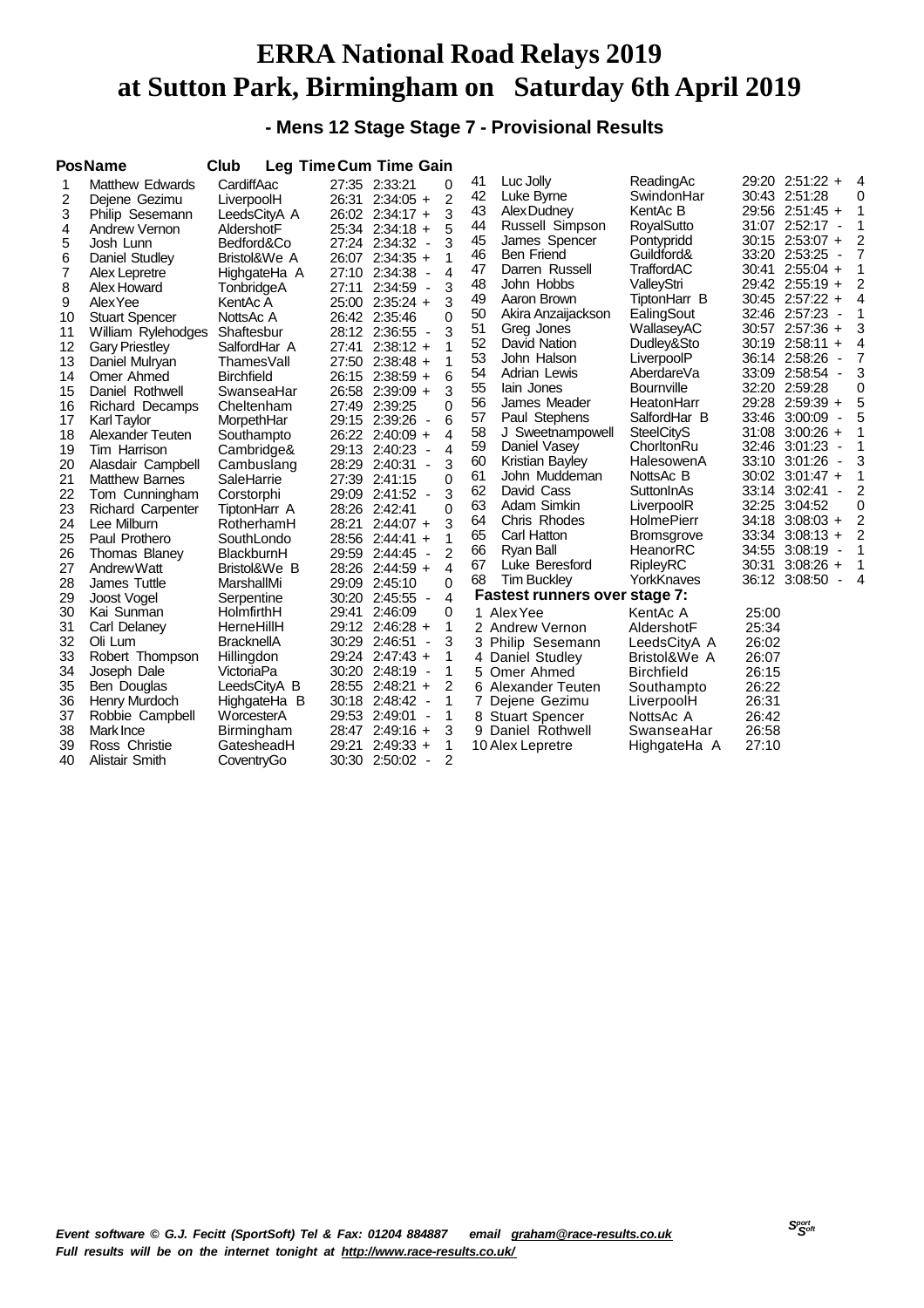**- Mens 12 Stage Stage 7 - Provisional Results**

|    | <b>PosName</b>           | Club              |       | <b>Leg Time Cum Time Gain</b>                 |                |    |                                      |                   |       |                     |                          |                |
|----|--------------------------|-------------------|-------|-----------------------------------------------|----------------|----|--------------------------------------|-------------------|-------|---------------------|--------------------------|----------------|
| 1  | <b>Matthew Edwards</b>   | CardiffAac        |       | 27:35 2:33:21                                 | 0              | 41 | Luc Jolly                            | ReadingAc         |       | 29:20 2:51:22 +     |                          | 4              |
| 2  | Dejene Gezimu            | LiverpoolH        | 26:31 | $2:34:05 +$                                   | $\overline{2}$ | 42 | Luke Byrne                           | SwindonHar        |       | 30:43 2:51:28       |                          | 0              |
| 3  | Philip Sesemann          | LeedsCityA A      |       | 26:02 2:34:17 +                               | 3              | 43 | Alex Dudney                          | KentAc B          |       | 29:56 2:51:45 +     |                          | 1              |
| 4  | Andrew Vernon            | AldershotF        |       | 25:34 2:34:18 +                               | 5              | 44 | Russell Simpson                      | RoyalSutto        |       | 31:07 2:52:17       | $\overline{\phantom{a}}$ | 1              |
| 5  | Josh Lunn                | Bedford&Co        |       | 27:24 2:34:32<br>$\overline{\phantom{a}}$     | 3              | 45 | James Spencer                        | Pontypridd        |       | $30:15$ 2:53:07 +   |                          | 2              |
| 6  | Daniel Studley           | Bristol&We A      |       | 26:07 2:34:35 +                               | 1              | 46 | <b>Ben Friend</b>                    | Guildford&        |       | 33:20 2:53:25       | $\blacksquare$           | $\overline{7}$ |
| 7  | Alex Lepretre            | HighgateHa A      | 27:10 | 2:34:38<br>$\overline{\phantom{a}}$           | 4              | 47 | Darren Russell                       | TraffordAC        | 30:41 | $2:55:04 +$         |                          | 1              |
| 8  | Alex Howard              | TonbridgeA        | 27:11 | 2:34:59<br>$\overline{\phantom{a}}$           | 3              | 48 | John Hobbs                           | ValleyStri        |       | 29:42 2:55:19 +     |                          | 2              |
| 9  | Alex Yee                 | KentAc A          |       | 25:00 2:35:24 +                               | 3              | 49 | Aaron Brown                          | TiptonHarr B      |       | 30:45 2:57:22       | $\ddot{}$                | $\overline{4}$ |
| 10 | <b>Stuart Spencer</b>    | NottsAc A         |       | 26:42 2:35:46                                 | 0              | 50 | Akira Anzaijackson                   | EalingSout        |       | 32:46 2:57:23       | $\overline{\phantom{a}}$ | 1              |
| 11 | William Rylehodges       | Shaftesbur        |       | 28:12 2:36:55<br>$\overline{\phantom{a}}$     | 3              | 51 | Greg Jones                           | WallaseyAC        |       | 30:57 2:57:36 +     |                          | 3              |
| 12 | <b>Gary Priestley</b>    | SalfordHar A      | 27:41 | $2:38:12 +$                                   | 1              | 52 | David Nation                         | Dudley&Sto        |       | 30:19 2:58:11 +     |                          | 4              |
| 13 | Daniel Mulryan           | ThamesVall        |       | 27:50 2:38:48 +                               | 1              | 53 | John Halson                          | LiverpoolP        |       | 36:14 2:58:26       | $\overline{\phantom{a}}$ | 7              |
| 14 | Omer Ahmed               | <b>Birchfield</b> |       | 26:15 2:38:59 +                               | 6              | 54 | Adrian Lewis                         | AberdareVa        |       | 33:09 2:58:54       | $\overline{\phantom{a}}$ | 3              |
| 15 | Daniel Rothwell          | SwanseaHar        |       | 26:58 2:39:09 +                               | 3              | 55 | lain Jones                           | <b>Bournville</b> | 32:20 | 2:59:28             |                          | 0              |
| 16 | <b>Richard Decamps</b>   | Cheltenham        |       | 27:49 2:39:25                                 | 0              | 56 | James Meader                         | HeatonHarr        |       | 29:28 2:59:39 +     |                          | 5              |
| 17 | Karl Taylor              | MorpethHar        |       | 29:15 2:39:26<br>$\overline{\phantom{a}}$     | 6              | 57 | Paul Stephens                        | SalfordHar B      |       | 33:46 3:00:09       | ÷,                       | 5              |
| 18 | Alexander Teuten         | Southampto        |       | 26:22 2:40:09 +                               | 4              | 58 | J Sweetnampowell                     | <b>SteelCityS</b> | 31:08 | $3:00:26 +$         |                          | 1              |
| 19 | Tim Harrison             | Cambridge&        |       | 29:13 2:40:23<br>$\overline{\phantom{a}}$     | 4              | 59 | Daniel Vasey                         | ChorltonRu        | 32:46 | 3:01:23             | ÷,                       | 1              |
| 20 | Alasdair Campbell        | Cambuslang        |       | 28:29 2:40:31<br>$\blacksquare$               | 3              | 60 | Kristian Bayley                      | HalesowenA        | 33:10 | 3:01:26             | $\blacksquare$           | 3              |
| 21 | <b>Matthew Barnes</b>    | SaleHarrie        | 27:39 | 2:41:15                                       | 0              | 61 | John Muddeman                        | NottsAc B         |       | $30:02$ $3:01:47$ + |                          | 1              |
| 22 | Tom Cunningham           | Corstorphi        |       | 29:09 2:41:52 -                               | 3              | 62 | David Cass                           | SuttonInAs        | 33:14 | 3:02:41             | $\overline{\phantom{a}}$ | 2              |
| 23 | <b>Richard Carpenter</b> | TiptonHarr A      |       | 28:26 2:42:41                                 | 0              | 63 | Adam Simkin                          | LiverpoolR        | 32:25 | 3:04:52             |                          | 0              |
| 24 | Lee Milburn              | RotherhamH        | 28:21 | $2:44:07 +$                                   | 3              | 64 | Chris Rhodes                         | HolmePierr        | 34:18 | $3:08:03 +$         |                          | $\overline{c}$ |
| 25 | Paul Prothero            | SouthLondo        |       | 28:56 2:44:41 +                               | 1              | 65 | Carl Hatton                          | <b>Bromsgrove</b> |       | 33:34 3:08:13 +     |                          | $\overline{2}$ |
| 26 | Thomas Blaney            | BlackburnH        |       | 29:59 2:44:45<br>$\overline{\phantom{a}}$     | $\overline{2}$ | 66 | Ryan Ball                            | HeanorRC          | 34:55 | 3:08:19             | ÷,                       | 1              |
| 27 | Andrew Watt              | Bristol&We B      |       | 28:26 2:44:59 +                               | 4              | 67 | Luke Beresford                       | <b>RipleyRC</b>   | 30:31 | $3:08:26 +$         |                          | 1              |
| 28 | James Tuttle             | MarshallMi        |       | 29:09 2:45:10                                 | 0              | 68 | <b>Tim Buckley</b>                   | YorkKnaves        |       | 36:12 3:08:50       |                          | $\overline{4}$ |
| 29 | Joost Vogel              | Serpentine        | 30:20 | 2:45:55<br>$\overline{\phantom{a}}$           | 4              |    | <b>Fastest runners over stage 7:</b> |                   |       |                     |                          |                |
| 30 | Kai Sunman               | HolmfirthH        | 29:41 | 2:46:09                                       | 0              |    | 1 Alex Yee                           | KentAc A          | 25:00 |                     |                          |                |
| 31 | Carl Delaney             | HerneHillH        |       | 29:12 2:46:28 +                               | 1              |    | 2 Andrew Vernon                      | AldershotF        | 25:34 |                     |                          |                |
| 32 | Oli Lum                  | <b>BracknellA</b> |       | 30:29 2:46:51<br>$\overline{\phantom{a}}$     | 3              |    | 3 Philip Sesemann                    | LeedsCityA A      | 26:02 |                     |                          |                |
| 33 | Robert Thompson          | Hillingdon        |       | 29:24 2:47:43 +                               | 1              |    | 4 Daniel Studley                     | Bristol&We A      | 26:07 |                     |                          |                |
| 34 | Joseph Dale              | VictoriaPa        |       | 30:20 2:48:19<br>$\blacksquare$               | 1              | 5. | Omer Ahmed                           | <b>Birchfield</b> | 26:15 |                     |                          |                |
| 35 | Ben Douglas              | LeedsCityA B      |       | 28:55 2:48:21 +                               | 2              |    | 6 Alexander Teuten                   | Southampto        | 26:22 |                     |                          |                |
| 36 | Henry Murdoch            | HighgateHa B      |       | 30:18 2:48:42<br>$\overline{\phantom{a}}$     | 1              |    | Dejene Gezimu                        | LiverpoolH        | 26:31 |                     |                          |                |
| 37 | Robbie Campbell          | WorcesterA        |       | 29:53 2:49:01<br>$\qquad \qquad \blacksquare$ | 1              |    | 8 Stuart Spencer                     | NottsAc A         | 26:42 |                     |                          |                |
| 38 | Mark Ince                | Birmingham        |       | 28:47 2:49:16 +                               | 3              |    | 9 Daniel Rothwell                    | SwanseaHar        | 26:58 |                     |                          |                |
| 39 | Ross Christie            | GatesheadH        | 29:21 | $2:49:33 +$                                   | 1              |    | 10 Alex Lepretre                     | HighgateHa A      | 27:10 |                     |                          |                |
| 40 | <b>Alistair Smith</b>    | CoventryGo        | 30:30 | 2:50:02<br>$\sim$                             | 2              |    |                                      |                   |       |                     |                          |                |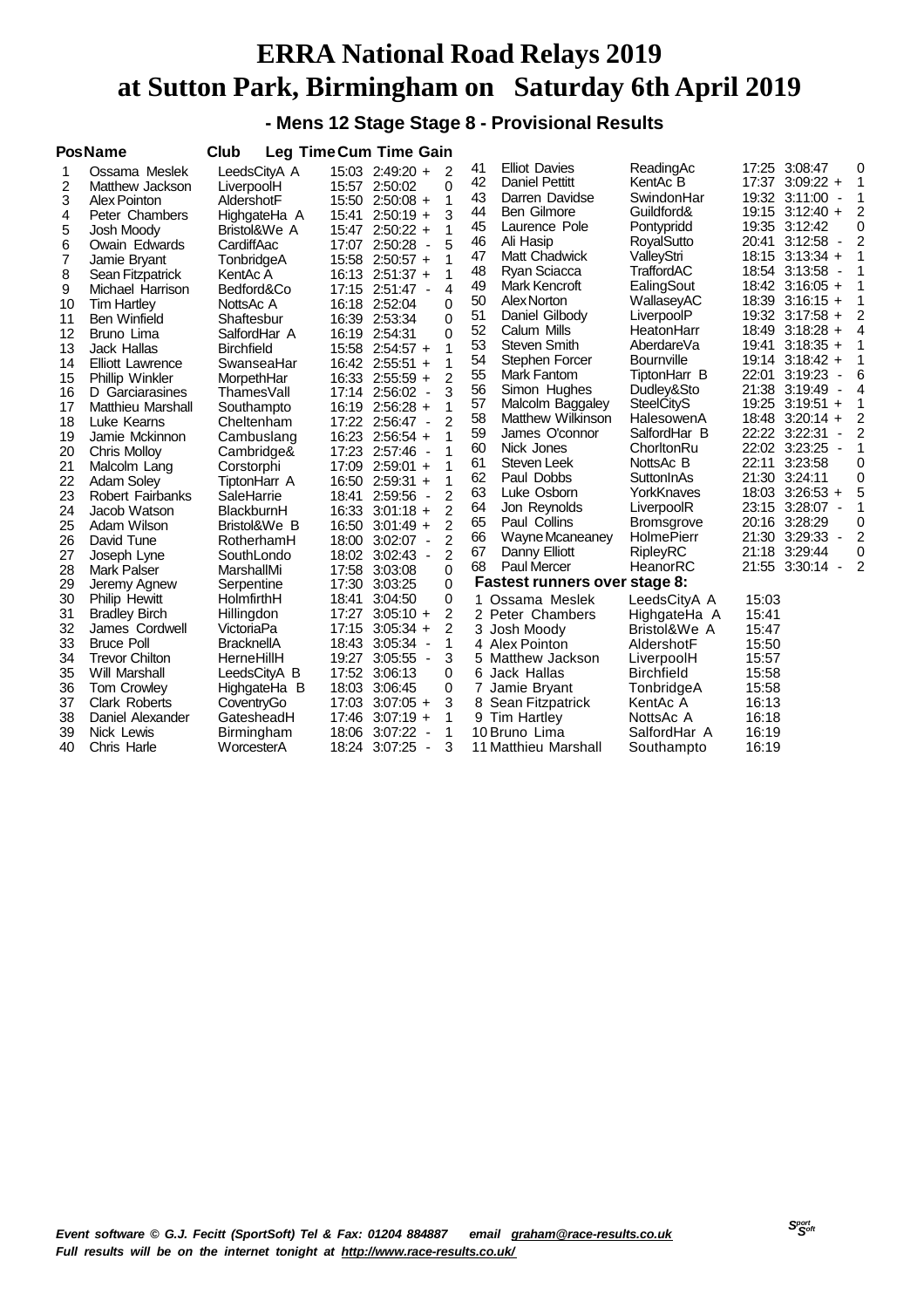**- Mens 12 Stage Stage 8 - Provisional Results**

|    | <b>PosName</b>           | Club              |       | <b>Leg Time Cum Time Gain</b>             |                          |                |                |                                      |                   |       |                     |                          |   |
|----|--------------------------|-------------------|-------|-------------------------------------------|--------------------------|----------------|----------------|--------------------------------------|-------------------|-------|---------------------|--------------------------|---|
| 1  | Ossama Meslek            | LeedsCityA A      |       | 15:03 2:49:20 +                           |                          | 2              | 41             | <b>Elliot Davies</b>                 | ReadingAc         | 17:25 | 3:08:47             |                          | 0 |
| 2  | Matthew Jackson          | LiverpoolH        |       | 15:57 2:50:02                             |                          | 0              | 42             | <b>Daniel Pettitt</b>                | KentAc B          |       | 17:37 3:09:22 +     |                          | 1 |
| 3  | Alex Pointon             | AldershotF        |       | 15:50 2:50:08 +                           |                          | 1              | 43             | Darren Davidse                       | SwindonHar        |       | 19:32 3:11:00       | $\overline{\phantom{a}}$ | 1 |
| 4  | Peter Chambers           | HighgateHa A      | 15:41 | $2:50:19 +$                               |                          | 3              | 44             | <b>Ben Gilmore</b>                   | Guildford&        |       | $19:15$ 3:12:40 +   |                          | 2 |
| 5  | Josh Moody               | Bristol&We A      |       | 15:47 2:50:22 +                           |                          | 1              | 45             | Laurence Pole                        | Pontypridd        |       | 19:35 3:12:42       |                          | 0 |
| 6  | Owain Edwards            | CardiffAac        |       | 17:07 2:50:28                             | $\overline{\phantom{a}}$ | 5              | 46             | Ali Hasip                            | RoyalSutto        | 20:41 | 3:12:58             | $\blacksquare$           | 2 |
| 7  | Jamie Bryant             | TonbridgeA        |       | 15:58 2:50:57 +                           |                          | 1              | 47             | Matt Chadwick                        | ValleyStri        |       | 18:15 3:13:34 +     |                          | 1 |
| 8  | Sean Fitzpatrick         | KentAc A          |       | 16:13 2:51:37 +                           |                          | 1              | 48             | Ryan Sciacca                         | TraffordAC        |       | 18:54 3:13:58       | $\overline{\phantom{a}}$ | 1 |
| 9  | Michael Harrison         | Bedford&Co        |       | 17:15 2:51:47 -                           |                          | 4              | 49             | Mark Kencroft                        | EalingSout        |       | 18:42 3:16:05 +     |                          | 1 |
| 10 | <b>Tim Hartley</b>       | NottsAc A         |       | 16:18 2:52:04                             |                          | 0              | 50             | Alex Norton                          | WallaseyAC        |       | $18:39$ $3:16:15 +$ |                          | 1 |
| 11 | <b>Ben Winfield</b>      | Shaftesbur        |       | 16:39 2:53:34                             |                          | $\Omega$       | 51             | Daniel Gilbody                       | LiverpoolP        |       | 19:32 3:17:58 +     |                          | 2 |
| 12 | Bruno Lima               | SalfordHar A      |       | 16:19 2:54:31                             |                          | 0              | 52             | Calum Mills                          | HeatonHarr        |       | 18:49 3:18:28 +     |                          | 4 |
| 13 | <b>Jack Hallas</b>       | <b>Birchfield</b> |       | 15:58 2:54:57 +                           |                          | 1              | 53             | Steven Smith                         | AberdareVa        | 19:41 | $3:18:35 +$         |                          | 1 |
| 14 | <b>Elliott Lawrence</b>  | SwanseaHar        |       | 16:42 2:55:51 +                           |                          | 1              | 54             | Stephen Forcer                       | <b>Bournville</b> |       | 19:14 3:18:42 +     |                          | 1 |
| 15 | <b>Phillip Winkler</b>   | MorpethHar        |       | 16:33 2:55:59 +                           |                          | 2              | 55             | Mark Fantom                          | TiptonHarr B      | 22:01 | 3:19:23             |                          | 6 |
| 16 | D Garciarasines          | ThamesVall        |       | 17:14 2:56:02 -                           |                          | 3              | 56             | Simon Hughes                         | Dudley&Sto        |       | 21:38 3:19:49       |                          | 4 |
| 17 | <b>Matthieu Marshall</b> | Southampto        |       | 16:19 2:56:28 +                           |                          | 1              | 57             | Malcolm Baggaley                     | <b>SteelCityS</b> |       | 19:25 3:19:51 +     |                          | 1 |
| 18 | Luke Kearns              | Cheltenham        |       | 17:22 2:56:47 -                           |                          | 2              | 58             | <b>Matthew Wilkinson</b>             | HalesowenA        |       | 18:48 3:20:14 +     |                          | 2 |
| 19 | Jamie Mckinnon           | Cambuslang        |       | 16:23 2:56:54 +                           |                          | 1              | 59             | James O'connor                       | SalfordHar B      |       | 22:22 3:22:31       | ٠                        | 2 |
| 20 | <b>Chris Molloy</b>      | Cambridge&        |       | 17:23 2:57:46<br>$\sim$                   |                          | 1              | 60             | Nick Jones                           | ChorltonRu        |       | 22:02 3:23:25       | $\overline{\phantom{a}}$ | 1 |
| 21 | Malcolm Lang             | Corstorphi        |       | 17:09 2:59:01 +                           |                          | 1              | 61             | Steven Leek                          | NottsAc B         | 22:11 | 3:23:58             |                          | 0 |
| 22 | <b>Adam Soley</b>        | TiptonHarr A      |       | $16:50$ 2:59:31 +                         |                          | 1              | 62             | Paul Dobbs                           | SuttonInAs        |       | 21:30 3:24:11       |                          | 0 |
| 23 | <b>Robert Fairbanks</b>  | SaleHarrie        | 18:41 | $2:59:56 -$                               |                          | $\overline{2}$ | 63             | Luke Osborn                          | YorkKnaves        |       | 18:03 3:26:53 +     |                          | 5 |
| 24 | Jacob Watson             | BlackburnH        |       | 16:33 3:01:18 +                           |                          | 2              | 64             | Jon Reynolds                         | LiverpoolR        |       | 23:15 3:28:07       | $\overline{\phantom{a}}$ | 1 |
| 25 | Adam Wilson              | Bristol&We B      |       | $16:50$ 3:01:49 +                         |                          | $\overline{2}$ | 65             | Paul Collins                         | <b>Bromsgrove</b> |       | 20:16 3:28:29       |                          | 0 |
| 26 | David Tune               | RotherhamH        |       | 18:00 3:02:07 -                           |                          | $\overline{2}$ | 66             | Wayne Mcaneaney                      | <b>HolmePierr</b> |       | 21:30 3:29:33       | $\overline{\phantom{a}}$ | 2 |
| 27 | Joseph Lyne              | SouthLondo        |       | 18:02 3:02:43 -                           |                          | 2              | 67             | Danny Elliott                        | <b>RipleyRC</b>   | 21:18 | 3:29:44             |                          | 0 |
| 28 | <b>Mark Palser</b>       | MarshallMi        |       | 17:58 3:03:08                             |                          | $\Omega$       | 68             | <b>Paul Mercer</b>                   | HeanorRC          | 21:55 | 3:30:14             | $\blacksquare$           | 2 |
| 29 | Jeremy Agnew             | Serpentine        |       | 17:30 3:03:25                             |                          | 0              |                | <b>Fastest runners over stage 8:</b> |                   |       |                     |                          |   |
| 30 | <b>Philip Hewitt</b>     | HolmfirthH        | 18:41 | 3:04:50                                   |                          | 0              | 1              | Ossama Meslek                        | LeedsCityA A      | 15:03 |                     |                          |   |
| 31 | <b>Bradley Birch</b>     | Hillingdon        |       | $17:27$ 3:05:10 +                         |                          | 2              |                | 2 Peter Chambers                     | HighgateHa A      | 15:41 |                     |                          |   |
| 32 | James Cordwell           | VictoriaPa        |       | $17:15$ 3:05:34 +                         |                          | 2              |                | 3 Josh Moody                         | Bristol&We A      | 15:47 |                     |                          |   |
| 33 | <b>Bruce Poll</b>        | <b>BracknellA</b> |       | 18:43 3:05:34                             | $\overline{\phantom{a}}$ | 1              |                | 4 Alex Pointon                       | AldershotF        | 15:50 |                     |                          |   |
| 34 | <b>Trevor Chilton</b>    | HerneHillH        |       | 19:27 3:05:55 -                           |                          | 3              |                | 5 Matthew Jackson                    | LiverpoolH        | 15:57 |                     |                          |   |
| 35 | Will Marshall            | LeedsCityA B      |       | 17:52 3:06:13                             |                          | 0              | 6              | Jack Hallas                          | <b>Birchfield</b> | 15:58 |                     |                          |   |
| 36 | <b>Tom Crowley</b>       | HighgateHa B      |       | 18:03 3:06:45                             |                          | 0              | $\overline{7}$ | Jamie Bryant                         | TonbridgeA        | 15:58 |                     |                          |   |
| 37 | <b>Clark Roberts</b>     | CoventryGo        |       | $17:03$ $3:07:05$ +                       |                          | 3              |                | 8 Sean Fitzpatrick                   | KentAc A          | 16:13 |                     |                          |   |
| 38 | Daniel Alexander         | GatesheadH        |       | $17:46$ 3:07:19 +                         |                          | 1              |                | 9 Tim Hartley                        | NottsAc A         | 16:18 |                     |                          |   |
| 39 | Nick Lewis               | Birmingham        |       | 18:06 3:07:22<br>$\overline{\phantom{a}}$ |                          | 1              |                | 10 Bruno Lima                        | SalfordHar A      | 16:19 |                     |                          |   |
| 40 | Chris Harle              | WorcesterA        | 18:24 | 3:07:25                                   | $\overline{\phantom{a}}$ | 3              |                | 11 Matthieu Marshall                 | Southampto        | 16:19 |                     |                          |   |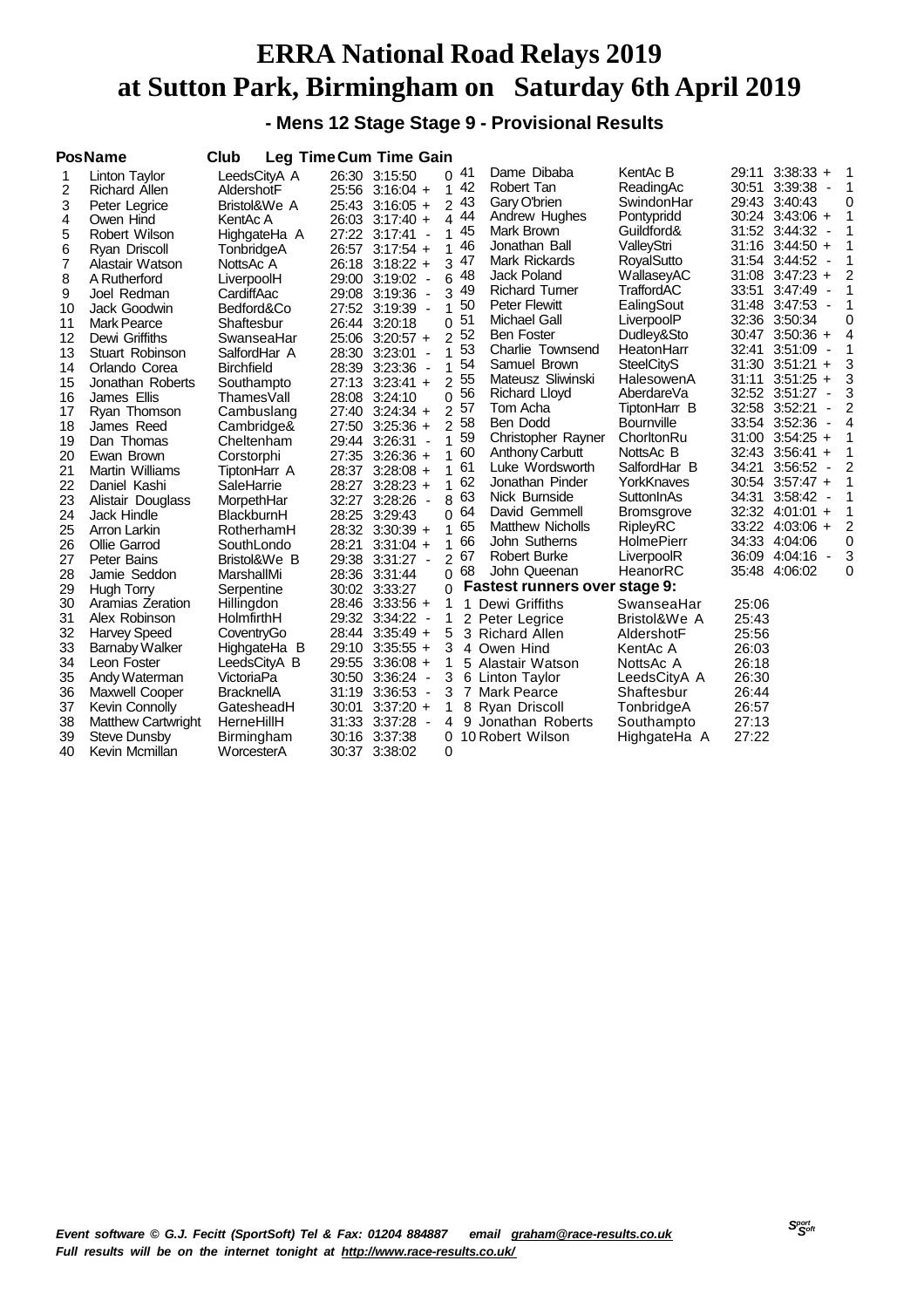**- Mens 12 Stage Stage 9 - Provisional Results**

|    | <b>PosName</b>            | Club              |       | Leg Time Cum Time Gain |                |     |                               |                   |       |                                           |          |
|----|---------------------------|-------------------|-------|------------------------|----------------|-----|-------------------------------|-------------------|-------|-------------------------------------------|----------|
| 1  | Linton Taylor             | LeedsCityA A      |       | 26:30 3:15:50          |                | 041 | Dame Dibaba                   | KentAc B          | 29:11 | $3:38:33 +$                               | 1        |
| 2  | <b>Richard Allen</b>      | AldershotF        |       | 25:56 3:16:04 +        | 1              | 42  | Robert Tan                    | ReadingAc         |       | 30:51 3:39:38 -                           | 1        |
| 3  | Peter Legrice             | Bristol&We A      |       | 25:43 3:16:05 +        | $\overline{c}$ | 43  | Gary O'brien                  | SwindonHar        |       | 29:43 3:40:43                             | 0        |
| 4  | Owen Hind                 | KentAc A          |       | 26:03 3:17:40 +        | 4              | 44  | Andrew Hughes                 | Pontypridd        |       | 30:24 3:43:06 +                           | 1        |
| 5  | Robert Wilson             | HighgateHa A      |       | 27:22 3:17:41 -        | 1              | 45  | Mark Brown                    | Guildford&        | 31:52 | $3:44:32 -$                               | 1        |
| 6  | Ryan Driscoll             | TonbridgeA        |       | 26:57 3:17:54 +        | 1              | 46  | Jonathan Ball                 | ValleyStri        |       | $31:16$ $3:44:50 +$                       | 1        |
| 7  | Alastair Watson           | NottsAc A         | 26:18 | $3:18:22 +$            | 3              | 47  | Mark Rickards                 | RoyalSutto        |       | 31:54 3:44:52 -                           | 1        |
| 8  | A Rutherford              | LiverpoolH        |       | 29:00 3:19:02 -        | 6              | 48  | Jack Poland                   | WallaseyAC        | 31:08 | $3:47:23 +$                               | 2        |
| 9  | Joel Redman               | CardiffAac        |       | 29:08 3:19:36 -        | 3              | 49  | <b>Richard Turner</b>         | TraffordAC        | 33:51 | 3:47:49                                   | 1        |
| 10 | Jack Goodwin              | Bedford&Co        |       | 27:52 3:19:39 -        | 1              | 50  | <b>Peter Flewitt</b>          | EalingSout        | 31:48 | $3:47:53 -$                               | 1        |
| 11 | <b>Mark Pearce</b>        | Shaftesbur        |       | 26:44 3:20:18          | 0              | 51  | Michael Gall                  | LiverpoolP        |       | 32:36 3:50:34                             | 0        |
| 12 | Dewi Griffiths            | SwanseaHar        |       | 25:06 3:20:57 +        | 2              | 52  | <b>Ben Foster</b>             | Dudley&Sto        | 30:47 | $3:50:36 +$                               | 4        |
| 13 | Stuart Robinson           | SalfordHar A      |       | 28:30 3:23:01          | 1              | 53  | Charlie Townsend              | HeatonHarr        | 32:41 | 3:51:09<br>$\overline{\phantom{a}}$       | 1        |
| 14 | Orlando Corea             | <b>Birchfield</b> |       | 28:39 3:23:36 -        | 1              | 54  | Samuel Brown                  | <b>SteelCityS</b> |       | $31:30$ $3:51:21$ +                       | 3        |
| 15 | Jonathan Roberts          | Southampto        |       | 27:13 3:23:41 +        | $\overline{2}$ | 55  | Mateusz Sliwinski             | HalesowenA        | 31:11 | $3:51:25 +$                               | 3        |
| 16 | James Ellis               | ThamesVall        |       | 28:08 3:24:10          | 0              | 56  | <b>Richard Lloyd</b>          | AberdareVa        |       | 32:52 3:51:27<br>$\overline{\phantom{a}}$ | 3        |
| 17 | Ryan Thomson              | Cambuslang        |       | 27:40 3:24:34 +        | 2              | 57  | Tom Acha                      | TiptonHarr B      |       | 32:58 3:52:21<br>÷                        | 2        |
| 18 | James Reed                | Cambridge&        | 27:50 | $3:25:36 +$            | $\overline{2}$ | 58  | Ben Dodd                      | <b>Bournville</b> |       | 33:54 3:52:36<br>$\overline{\phantom{a}}$ | 4        |
| 19 | Dan Thomas                | Cheltenham        | 29:44 | $3:26:31 -$            | 1              | 59  | Christopher Rayner            | ChorltonRu        | 31:00 | $3:54:25 +$                               | 1        |
| 20 | Ewan Brown                | Corstorphi        |       | 27:35 3:26:36 +        | 1              | 60  | Anthony Carbutt               | NottsAc B         |       | 32:43 3:56:41 +                           | 1        |
| 21 | Martin Williams           | TiptonHarr A      | 28:37 | $3:28:08 +$            |                | 61  | Luke Wordsworth               | SalfordHar B      | 34:21 | 3:56:52<br>$\overline{\phantom{a}}$       | 2        |
| 22 | Daniel Kashi              | SaleHarrie        |       | 28:27 3:28:23 +        | 1              | 62  | Jonathan Pinder               | YorkKnaves        |       | 30:54 3:57:47 +                           | 1        |
| 23 | Alistair Douglass         | MorpethHar        | 32:27 | $3:28:26$ -            | 8              | 63  | Nick Burnside                 | SuttonInAs        | 34:31 | 3:58:42<br>$\overline{\phantom{a}}$       | 1        |
| 24 | Jack Hindle               | BlackburnH        |       | 28:25 3:29:43          | $\Omega$       | 64  | David Gemmell                 | <b>Bromsgrove</b> |       | 32:32 4:01:01 +                           | 1        |
| 25 | Arron Larkin              | RotherhamH        |       | 28:32 3:30:39 +        |                | 65  | <b>Matthew Nicholls</b>       | RipleyRC          |       | 33:22 4:03:06 +                           | 2        |
| 26 | Ollie Garrod              | SouthLondo        | 28:21 | $3:31:04 +$            | 1              | 66  | John Sutherns                 | <b>HolmePierr</b> | 34:33 | 4:04:06                                   | $\Omega$ |
| 27 | Peter Bains               | Bristol&We B      |       | 29:38 3:31:27 -        | $\overline{2}$ | 67  | <b>Robert Burke</b>           | LiverpoolR        |       | 36:09 4:04:16<br>$\sim$                   | 3        |
| 28 | Jamie Seddon              | MarshallMi        |       | 28:36 3:31:44          | $\Omega$       | 68  | John Queenan                  | HeanorRC          | 35:48 | 4:06:02                                   | 0        |
| 29 | Hugh Torry                | Serpentine        |       | 30:02 3:33:27          | $\Omega$       |     | Fastest runners over stage 9: |                   |       |                                           |          |
| 30 | Aramias Zeration          | Hillingdon        |       | 28:46 3:33:56 +        | 1              |     | 1 Dewi Griffiths              | SwanseaHar        | 25:06 |                                           |          |
| 31 | Alex Robinson             | HolmfirthH        |       | 29:32 3:34:22 -        |                |     | 2 Peter Legrice               | Bristol&We A      | 25:43 |                                           |          |
| 32 | <b>Harvey Speed</b>       | CoventryGo        |       | 28:44 3:35:49 +        | 5              |     | 3 Richard Allen               | AldershotF        | 25:56 |                                           |          |
| 33 | <b>Barnaby Walker</b>     | HighgateHa B      |       | 29:10 3:35:55 +        | 3              |     | 4 Owen Hind                   | KentAc A          | 26:03 |                                           |          |
| 34 | Leon Foster               | LeedsCityA B      |       | 29:55 3:36:08 +        | 1              |     | 5 Alastair Watson             | NottsAc A         | 26:18 |                                           |          |
| 35 | Andy Waterman             | VictoriaPa        |       | 30:50 3:36:24 -        | 3              |     | 6 Linton Taylor               | LeedsCityA A      | 26:30 |                                           |          |
| 36 | Maxwell Cooper            | <b>BracknellA</b> |       | 31:19 3:36:53 -        | 3              |     | 7 Mark Pearce                 | Shaftesbur        | 26:44 |                                           |          |
| 37 | Kevin Connolly            | GatesheadH        | 30:01 | $3:37:20 +$            |                |     | 8 Ryan Driscoll               | TonbridgeA        | 26:57 |                                           |          |
| 38 | <b>Matthew Cartwright</b> | HerneHillH        |       | 31:33 3:37:28          | 4              |     | 9 Jonathan Roberts            | Southampto        | 27:13 |                                           |          |
| 39 | Steve Dunsby              | Birmingham        |       | 30:16 3:37:38          | 0              |     | 10 Robert Wilson              | HighgateHa A      | 27:22 |                                           |          |
| 40 | Kevin Mcmillan            | WorcesterA        |       | 30:37 3:38:02          | 0              |     |                               |                   |       |                                           |          |

 *Soft Event software © G.J. Fecitt (SportSoft) Tel & Fax: 01204 884887 email [graham@race-results.co.uk](mailto:graham@race-results.co.uk) Full results will be on the internet tonight at <http://www.race-results.co.uk/>*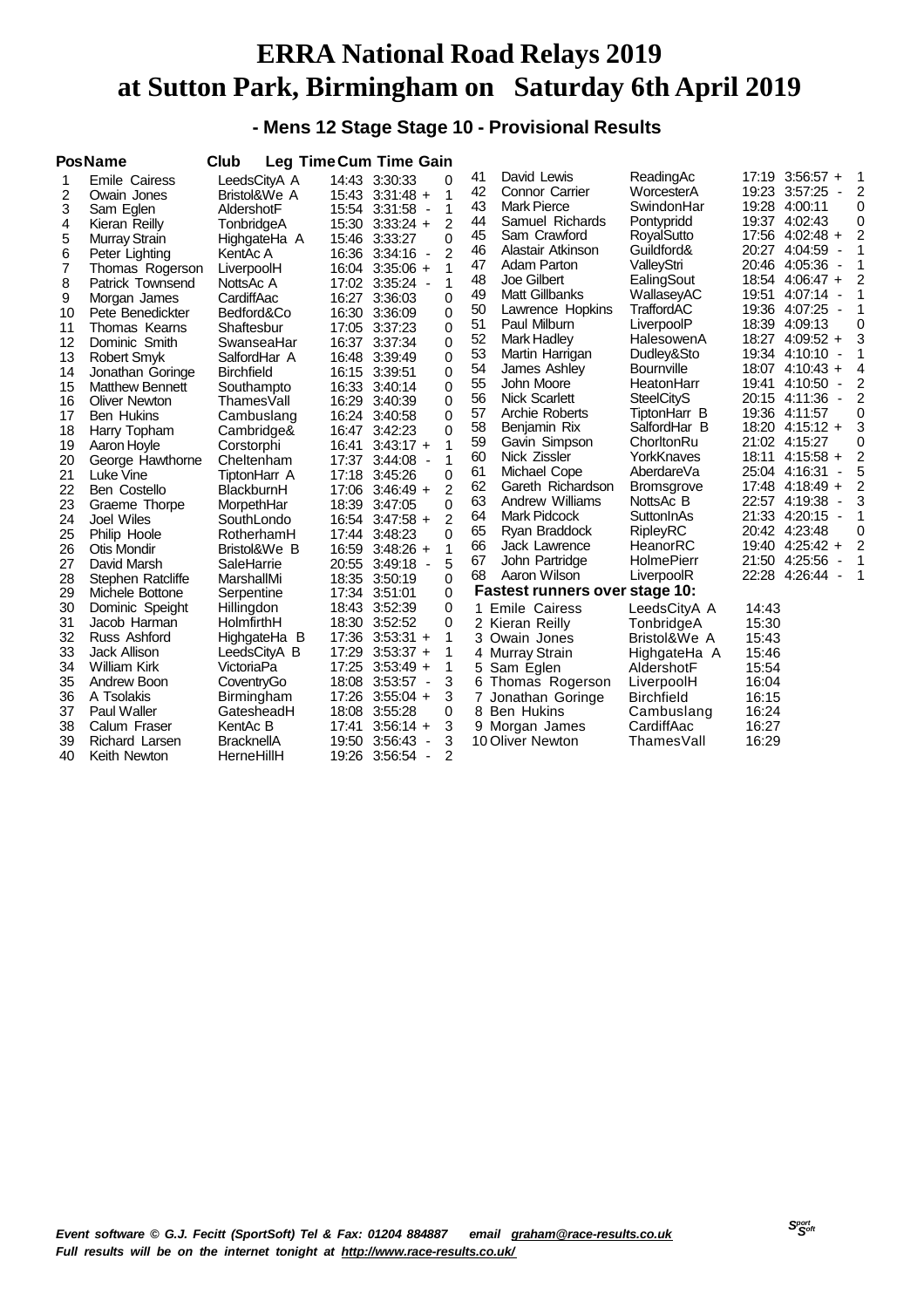#### **- Mens 12 Stage Stage 10 - Provisional Results**

|    | <b>PosName</b>         | Club              |       | <b>Leg Time Cum Time Gain</b>             |                |    |                                |                   |       |                                           |                |
|----|------------------------|-------------------|-------|-------------------------------------------|----------------|----|--------------------------------|-------------------|-------|-------------------------------------------|----------------|
| 1  | <b>Emile Cairess</b>   | LeedsCityA A      |       | 14:43 3:30:33                             | 0              | 41 | David Lewis                    | ReadingAc         | 17:19 | $3:56:57 +$                               | 1              |
| 2  | Owain Jones            | Bristol&We A      |       | 15:43 3:31:48 +                           | 1              | 42 | <b>Connor Carrier</b>          | WorcesterA        |       | 19:23 3:57:25<br>$\overline{\phantom{a}}$ | $\overline{2}$ |
| 3  | Sam Eglen              | AldershotF        |       | 15:54 3:31:58<br>$\overline{\phantom{a}}$ | 1              | 43 | <b>Mark Pierce</b>             | SwindonHar        |       | 19:28 4:00:11                             | 0              |
| 4  | Kieran Reilly          | TonbridgeA        |       | 15:30 3:33:24 +                           | 2              | 44 | Samuel Richards                | Pontypridd        |       | 19:37 4:02:43                             | 0              |
| 5  | Murray Strain          | HighgateHa A      |       | 15:46 3:33:27                             | 0              | 45 | Sam Crawford                   | RoyalSutto        |       | 17:56 4:02:48 +                           | $\overline{2}$ |
| 6  | Peter Lighting         | KentAc A          |       | 16:36 3:34:16<br>$\blacksquare$           | $\overline{c}$ | 46 | Alastair Atkinson              | Guildford&        |       | 20:27 4:04:59<br>$\overline{\phantom{a}}$ | 1              |
| 7  | Thomas Rogerson        | LiverpoolH        |       | 16:04 3:35:06 +                           | 1              | 47 | Adam Parton                    | ValleyStri        |       | 20:46 4:05:36 -                           | 1              |
| 8  | Patrick Townsend       | NottsAc A         |       | 17:02 3:35:24 -                           | 1              | 48 | Joe Gilbert                    | EalingSout        |       | 18:54 4:06:47 +                           | 2              |
| 9  | Morgan James           | CardiffAac        | 16:27 | 3:36:03                                   | 0              | 49 | Matt Gillbanks                 | WallaseyAC        | 19:51 | 4:07:14<br>$\overline{\phantom{a}}$       | 1              |
| 10 | Pete Benedickter       | Bedford&Co        |       | 16:30 3:36:09                             | 0              | 50 | Lawrence Hopkins               | TraffordAC        |       | 19:36 4:07:25<br>$\overline{\phantom{a}}$ | 1              |
| 11 | Thomas Kearns          | Shaftesbur        |       | 17:05 3:37:23                             | 0              | 51 | Paul Milburn                   | LiverpoolP        |       | 18:39 4:09:13                             | 0              |
| 12 | Dominic Smith          | SwanseaHar        |       | 16:37 3:37:34                             | 0              | 52 | <b>Mark Hadley</b>             | HalesowenA        |       | 18:27 4:09:52 +                           | 3              |
| 13 | <b>Robert Smyk</b>     | SalfordHar A      |       | 16:48 3:39:49                             | 0              | 53 | Martin Harrigan                | Dudley&Sto        |       | 19:34 4:10:10 -                           | 1              |
| 14 | Jonathan Goringe       | <b>Birchfield</b> |       | 16:15 3:39:51                             | 0              | 54 | James Ashley                   | <b>Bournville</b> |       | $18:07$ 4:10:43 +                         | 4              |
| 15 | <b>Matthew Bennett</b> | Southampto        |       | 16:33 3:40:14                             | 0              | 55 | John Moore                     | HeatonHarr        | 19:41 | 4:10:50<br>$\overline{\phantom{a}}$       | 2              |
| 16 | <b>Oliver Newton</b>   | ThamesVall        |       | 16:29 3:40:39                             | 0              | 56 | Nick Scarlett                  | <b>SteelCityS</b> |       | 20:15 4:11:36<br>$\blacksquare$           | 2              |
| 17 | <b>Ben Hukins</b>      | Cambuslang        | 16:24 | 3:40:58                                   | 0              | 57 | Archie Roberts                 | TiptonHarr B      |       | 19:36 4:11:57                             | 0              |
| 18 | Harry Topham           | Cambridge&        |       | 16:47 3:42:23                             | 0              | 58 | Benjamin Rix                   | SalfordHar B      |       | 18:20 4:15:12 +                           | 3              |
| 19 | Aaron Hoyle            | Corstorphi        | 16:41 | $3:43:17 +$                               | 1              | 59 | Gavin Simpson                  | ChorltonRu        |       | 21:02 4:15:27                             | 0              |
| 20 | George Hawthorne       | Cheltenham        | 17:37 | 3:44:08<br>$\overline{\phantom{a}}$       | 1              | 60 | Nick Zissler                   | YorkKnaves        |       | 18:11 4:15:58 +                           | 2              |
| 21 | Luke Vine              | TiptonHarr A      |       | 17:18 3:45:26                             | 0              | 61 | Michael Cope                   | AberdareVa        |       | 25:04 4:16:31                             | 5              |
| 22 | Ben Costello           | BlackburnH        |       | $17:06$ 3:46:49 +                         | 2              | 62 | Gareth Richardson              | <b>Bromsgrove</b> |       | $17:48$ 4:18:49 +                         | 2              |
| 23 | Graeme Thorpe          | MorpethHar        |       | 18:39 3:47:05                             | 0              | 63 | Andrew Williams                | NottsAc B         |       | 22:57 4:19:38<br>$\overline{\phantom{a}}$ | 3              |
| 24 | <b>Joel Wiles</b>      | SouthLondo        |       | 16:54 3:47:58 +                           | 2              | 64 | <b>Mark Pidcock</b>            | SuttonInAs        |       | 21:33 4:20:15 -                           | 1              |
| 25 | Philip Hoole           | RotherhamH        | 17:44 | 3:48:23                                   | 0              | 65 | Ryan Braddock                  | <b>RipleyRC</b>   |       | 20:42 4:23:48                             | 0              |
| 26 | Otis Mondir            | Bristol&We B      |       | 16:59 3:48:26 +                           | 1              | 66 | Jack Lawrence                  | HeanorRC          |       | 19:40 4:25:42 +                           | 2              |
| 27 | David Marsh            | SaleHarrie        |       | 20:55 3:49:18<br>$\blacksquare$           | 5              | 67 | John Partridge                 | HolmePierr        |       | 21:50 4:25:56<br>$\blacksquare$           | 1              |
| 28 | Stephen Ratcliffe      | MarshallMi        |       | 18:35 3:50:19                             | 0              | 68 | Aaron Wilson                   | LiverpoolR        | 22:28 | 4:26:44<br>$\overline{\phantom{a}}$       | 1              |
| 29 | Michele Bottone        | Serpentine        |       | 17:34 3:51:01                             | 0              |    | Fastest runners over stage 10: |                   |       |                                           |                |
| 30 | Dominic Speight        | Hillingdon        |       | 18:43 3:52:39                             | 0              | 1  | <b>Emile Cairess</b>           | LeedsCityA A      | 14:43 |                                           |                |
| 31 | Jacob Harman           | HolmfirthH        |       | 18:30 3:52:52                             | 0              |    | 2 Kieran Reilly                | TonbridgeA        | 15:30 |                                           |                |
| 32 | Russ Ashford           | HighgateHa B      |       | $17:36$ 3:53:31 +                         | 1              |    | 3 Owain Jones                  | Bristol&We A      | 15:43 |                                           |                |
| 33 | <b>Jack Allison</b>    | LeedsCityA B      | 17:29 | $3:53:37 +$                               | 1              |    | 4 Murray Strain                | HighgateHa A      | 15:46 |                                           |                |
| 34 | William Kirk           | VictoriaPa        |       | 17:25 3:53:49 +                           | 1              | 5  | Sam Eglen                      | AldershotF        | 15:54 |                                           |                |
| 35 | Andrew Boon            | CoventryGo        |       | 18:08 3:53:57<br>$\overline{\phantom{a}}$ | 3              | 6  | Thomas Rogerson                | LiverpoolH        | 16:04 |                                           |                |
| 36 | A Tsolakis             | Birmingham        |       | 17:26 3:55:04 +                           | 3              | 7  | Jonathan Goringe               | <b>Birchfield</b> | 16:15 |                                           |                |
| 37 | Paul Waller            | GatesheadH        |       | 18:08 3:55:28                             | 0              |    | 8 Ben Hukins                   | Cambuslang        | 16:24 |                                           |                |
| 38 | Calum Fraser           | KentAc B          | 17:41 | $3:56:14 +$                               | 3              |    | 9 Morgan James                 | CardiffAac        | 16:27 |                                           |                |
| 39 | Richard Larsen         | <b>BracknellA</b> |       | 19:50 3:56:43<br>$\overline{\phantom{a}}$ | 3              |    | 10 Oliver Newton               | ThamesVall        | 16:29 |                                           |                |
| 40 | Keith Newton           | HerneHillH        |       | 19:26 3:56:54 -                           | 2              |    |                                |                   |       |                                           |                |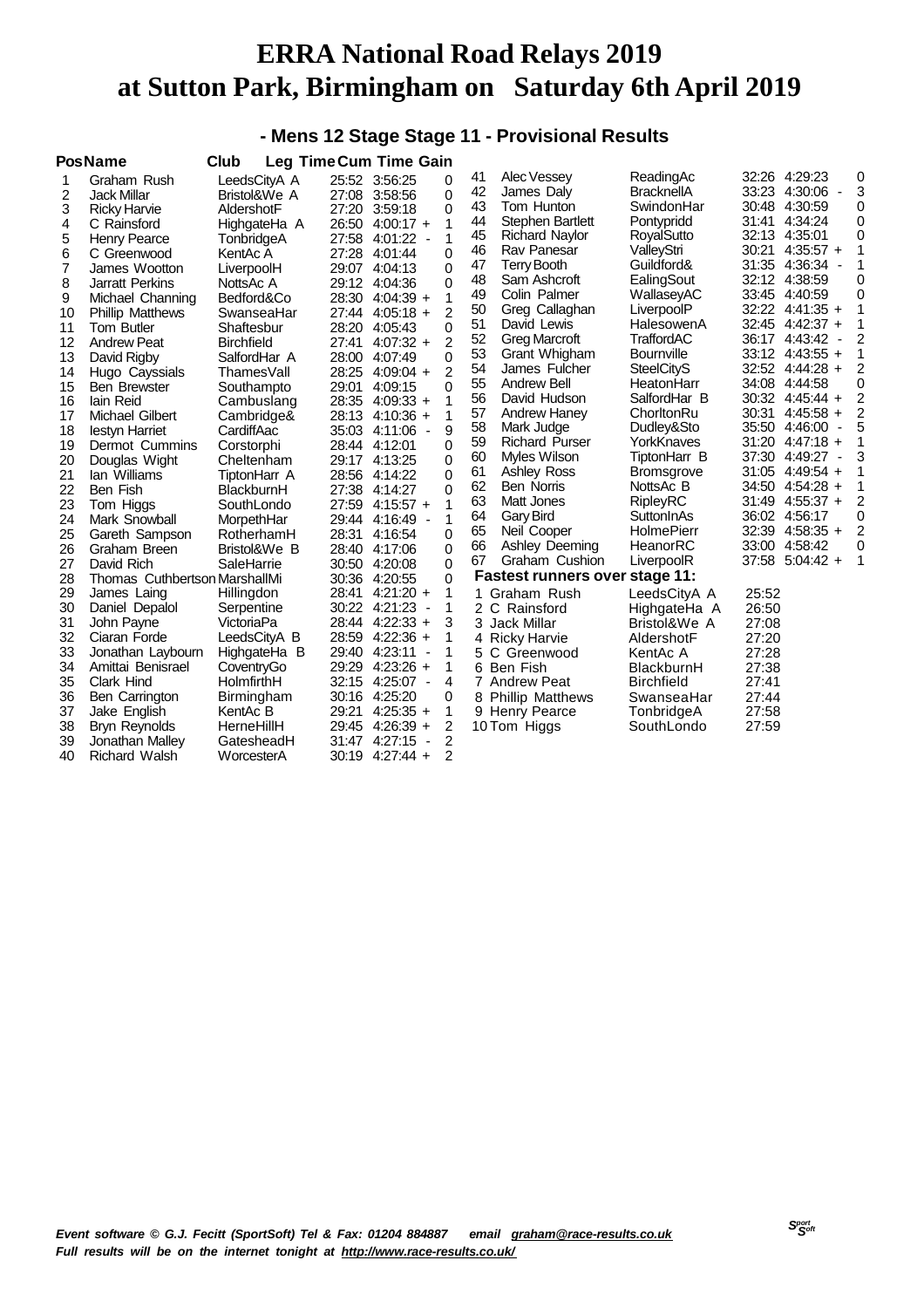#### **- Mens 12 Stage Stage 11 - Provisional Results**

|                                                                                           | <b>PosName</b>                                                                                                                                                                                                                                                                                                                      | Club                                                                                                                                                                                                                                                   | <b>Leg Time Cum Time Gain</b>                                                                                                                                                                                                                                                                                       |                               |                                                                                                             |                                                                                                    |                                                                                                                                                                                                                                                                                                                          |                                                                                                                                                                                                                                                                  |                                           |                                                                                                                                                                                                                                                                                             |                                                                                                          |
|-------------------------------------------------------------------------------------------|-------------------------------------------------------------------------------------------------------------------------------------------------------------------------------------------------------------------------------------------------------------------------------------------------------------------------------------|--------------------------------------------------------------------------------------------------------------------------------------------------------------------------------------------------------------------------------------------------------|---------------------------------------------------------------------------------------------------------------------------------------------------------------------------------------------------------------------------------------------------------------------------------------------------------------------|-------------------------------|-------------------------------------------------------------------------------------------------------------|----------------------------------------------------------------------------------------------------|--------------------------------------------------------------------------------------------------------------------------------------------------------------------------------------------------------------------------------------------------------------------------------------------------------------------------|------------------------------------------------------------------------------------------------------------------------------------------------------------------------------------------------------------------------------------------------------------------|-------------------------------------------|---------------------------------------------------------------------------------------------------------------------------------------------------------------------------------------------------------------------------------------------------------------------------------------------|----------------------------------------------------------------------------------------------------------|
| 1<br>2<br>3<br>4<br>5<br>6<br>7<br>8<br>9<br>10<br>11<br>12<br>13<br>14<br>15<br>16<br>17 | Graham Rush<br>Jack Millar<br><b>Ricky Harvie</b><br>C Rainsford<br><b>Henry Pearce</b><br>C Greenwood<br>James Wootton<br><b>Jarratt Perkins</b><br>Michael Channing<br><b>Phillip Matthews</b><br><b>Tom Butler</b><br><b>Andrew Peat</b><br>David Rigby<br>Hugo Cayssials<br><b>Ben Brewster</b><br>lain Reid<br>Michael Gilbert | LeedsCityA A<br>Bristol&We A<br>AldershotF<br>HighgateHa A<br>TonbridgeA<br>KentAc A<br>LiverpoolH<br>NottsAc A<br>Bedford&Co<br>SwanseaHar<br>Shaftesbur<br><b>Birchfield</b><br>SalfordHar A<br>ThamesVall<br>Southampto<br>Cambuslang<br>Cambridge& | 25:52 3:56:25<br>27:08 3:58:56<br>27:20 3:59:18<br>26:50 4:00:17 +<br>27:58 4:01:22<br>27:28 4:01:44<br>29:07 4:04:13<br>29:12 4:04:36<br>28:30 4:04:39 +<br>27:44 4:05:18 +<br>28:20 4:05:43<br>27:41<br>$4:07:32 +$<br>28:00 4:07:49<br>28:25 4:09:04 +<br>29:01<br>4:09:15<br>28:35 4:09:33 +<br>28:13 4:10:36 + | $\overline{\phantom{a}}$      | 0<br>0<br>0<br>1<br>1<br>0<br>0<br>0<br>1<br>$\overline{2}$<br>0<br>2<br>0<br>$\overline{2}$<br>0<br>1<br>1 | 41<br>42<br>43<br>44<br>45<br>46<br>47<br>48<br>49<br>50<br>51<br>52<br>53<br>54<br>55<br>56<br>57 | Alec Vessey<br>James Daly<br>Tom Hunton<br><b>Stephen Bartlett</b><br><b>Richard Naylor</b><br>Rav Panesar<br><b>Terry Booth</b><br>Sam Ashcroft<br>Colin Palmer<br>Greg Callaghan<br>David Lewis<br><b>Greg Marcroft</b><br>Grant Whigham<br>James Fulcher<br><b>Andrew Bell</b><br>David Hudson<br><b>Andrew Haney</b> | ReadingAc<br><b>BracknellA</b><br>SwindonHar<br>Pontypridd<br>RoyalSutto<br>ValleyStri<br>Guildford&<br>EalingSout<br>WallaseyAC<br>LiverpoolP<br>HalesowenA<br>TraffordAC<br><b>Bournville</b><br><b>SteelCityS</b><br>HeatonHarr<br>SalfordHar B<br>ChorltonRu | 30:48<br>31:41<br>30:21<br>30:31          | 32:26 4:29:23<br>33:23 4:30:06<br>4:30:59<br>4:34:24<br>32:13 4:35:01<br>$4:35:57 +$<br>31:35 4:36:34<br>32:12 4:38:59<br>33:45 4:40:59<br>32:22 4:41:35 +<br>32:45 4:42:37 +<br>36:17 4:43:42 -<br>$33:12$ 4:43:55 +<br>32:52 4:44:28 +<br>34:08 4:44:58<br>30:32 4:45:44 +<br>$4:45:58 +$ | 0<br>3<br>0<br>0<br>0<br>1<br>1<br>0<br>$\mathbf 0$<br>1<br>1<br>2<br>1<br>2<br>0<br>2<br>$\overline{2}$ |
| 18<br>19<br>20                                                                            | lestyn Harriet<br>Dermot Cummins<br>Douglas Wight                                                                                                                                                                                                                                                                                   | CardiffAac<br>Corstorphi<br>Cheltenham                                                                                                                                                                                                                 | 35:03 4:11:06<br>28:44 4:12:01<br>29:17 4:13:25                                                                                                                                                                                                                                                                     | $\overline{\phantom{a}}$      | 9<br>0<br>0                                                                                                 | 58<br>59<br>60                                                                                     | Mark Judge<br><b>Richard Purser</b><br>Myles Wilson                                                                                                                                                                                                                                                                      | Dudley&Sto<br>YorkKnaves<br>TiptonHarr B                                                                                                                                                                                                                         |                                           | 35:50 4:46:00<br>$\overline{\phantom{a}}$<br>$31:20$ 4:47:18 +<br>37:30 4:49:27 -                                                                                                                                                                                                           | 5<br>1<br>3                                                                                              |
| 21<br>22<br>23                                                                            | lan Williams<br>Ben Fish<br>Tom Higgs                                                                                                                                                                                                                                                                                               | TiptonHarr A<br>BlackburnH<br>SouthLondo                                                                                                                                                                                                               | 28:56 4:14:22<br>27:38 4:14:27<br>27:59 4:15:57 +                                                                                                                                                                                                                                                                   |                               | 0<br>0<br>1                                                                                                 | 61<br>62<br>63                                                                                     | Ashley Ross<br><b>Ben Norris</b><br>Matt Jones                                                                                                                                                                                                                                                                           | <b>Bromsgrove</b><br>NottsAc B<br><b>RipleyRC</b>                                                                                                                                                                                                                |                                           | $31:05$ 4:49:54 +<br>34:50 4:54:28 +<br>$31:49$ 4:55:37 +                                                                                                                                                                                                                                   | 1<br>1<br>2                                                                                              |
| 24<br>25<br>26                                                                            | Mark Snowball<br>Gareth Sampson<br>Graham Breen                                                                                                                                                                                                                                                                                     | MorpethHar<br>RotherhamH<br>Bristol&We B                                                                                                                                                                                                               | 29:44 4:16:49<br>28:31<br>4:16:54<br>28:40 4:17:06                                                                                                                                                                                                                                                                  | $\overline{\phantom{a}}$      | 1<br>0<br>0                                                                                                 | 64<br>65<br>66                                                                                     | Gary Bird<br>Neil Cooper<br>Ashley Deeming                                                                                                                                                                                                                                                                               | SuttonInAs<br><b>HolmePierr</b><br>HeanorRC                                                                                                                                                                                                                      |                                           | 36:02 4:56:17<br>32:39 4:58:35 +<br>33:00 4:58:42                                                                                                                                                                                                                                           | 0<br>2<br>0                                                                                              |
| 27<br>28<br>29                                                                            | David Rich<br><b>Thomas Cuthbertson MarshallMi</b><br>James Laing                                                                                                                                                                                                                                                                   | SaleHarrie<br>Hillingdon                                                                                                                                                                                                                               | 30:50 4:20:08<br>30:36 4:20:55<br>28:41<br>$4:21:20 +$                                                                                                                                                                                                                                                              |                               | 0<br>0<br>1                                                                                                 | 67                                                                                                 | Graham Cushion<br><b>Fastest runners over stage 11:</b><br>1 Graham Rush                                                                                                                                                                                                                                                 | LiverpoolR<br>LeedsCityA A                                                                                                                                                                                                                                       | 37:58<br>25:52                            | $5:04:42 +$                                                                                                                                                                                                                                                                                 | 1                                                                                                        |
| 30<br>31<br>32<br>33                                                                      | Daniel Depalol<br>John Payne<br>Ciaran Forde<br>Jonathan Laybourn                                                                                                                                                                                                                                                                   | Serpentine<br>VictoriaPa<br>LeedsCityA B<br>HighgateHa B                                                                                                                                                                                               | 30:22 4:21:23<br>28:44 4:22:33 +<br>28:59 4:22:36 +<br>29:40 4:23:11                                                                                                                                                                                                                                                | $\overline{\phantom{a}}$<br>÷ | 1<br>3<br>1<br>1                                                                                            | 3<br>4<br>5                                                                                        | 2 C Rainsford<br>Jack Millar<br><b>Ricky Harvie</b><br>C Greenwood                                                                                                                                                                                                                                                       | HighgateHa A<br>Bristol&We A<br>AldershotF<br>KentAc A                                                                                                                                                                                                           | 26:50<br>27:08<br>27:20<br>27:28          |                                                                                                                                                                                                                                                                                             |                                                                                                          |
| 34<br>35<br>36<br>37<br>38                                                                | Amittai Benisrael<br>Clark Hind<br>Ben Carrington<br>Jake English<br>Bryn Reynolds                                                                                                                                                                                                                                                  | CoventryGo<br>HolmfirthH<br>Birmingham<br>KentAc B<br>HerneHillH                                                                                                                                                                                       | 29:29 4:23:26 +<br>32:15 4:25:07<br>30:16 4:25:20<br>29:21<br>$4:25:35 +$<br>29:45 4:26:39 +                                                                                                                                                                                                                        | $\overline{\phantom{a}}$      | 1<br>4<br>0<br>1<br>2                                                                                       |                                                                                                    | 6 Ben Fish<br>7 Andrew Peat<br>8 Phillip Matthews<br>9 Henry Pearce<br>10 Tom Higgs                                                                                                                                                                                                                                      | BlackburnH<br><b>Birchfield</b><br>SwanseaHar<br>TonbridgeA<br>SouthLondo                                                                                                                                                                                        | 27:38<br>27:41<br>27:44<br>27:58<br>27:59 |                                                                                                                                                                                                                                                                                             |                                                                                                          |
| 39<br>40                                                                                  | Jonathan Malley<br><b>Richard Walsh</b>                                                                                                                                                                                                                                                                                             | GatesheadH<br>WorcesterA                                                                                                                                                                                                                               | 31:47 4:27:15<br>30:19 4:27:44 +                                                                                                                                                                                                                                                                                    | $\overline{\phantom{a}}$      | 2<br>2                                                                                                      |                                                                                                    |                                                                                                                                                                                                                                                                                                                          |                                                                                                                                                                                                                                                                  |                                           |                                                                                                                                                                                                                                                                                             |                                                                                                          |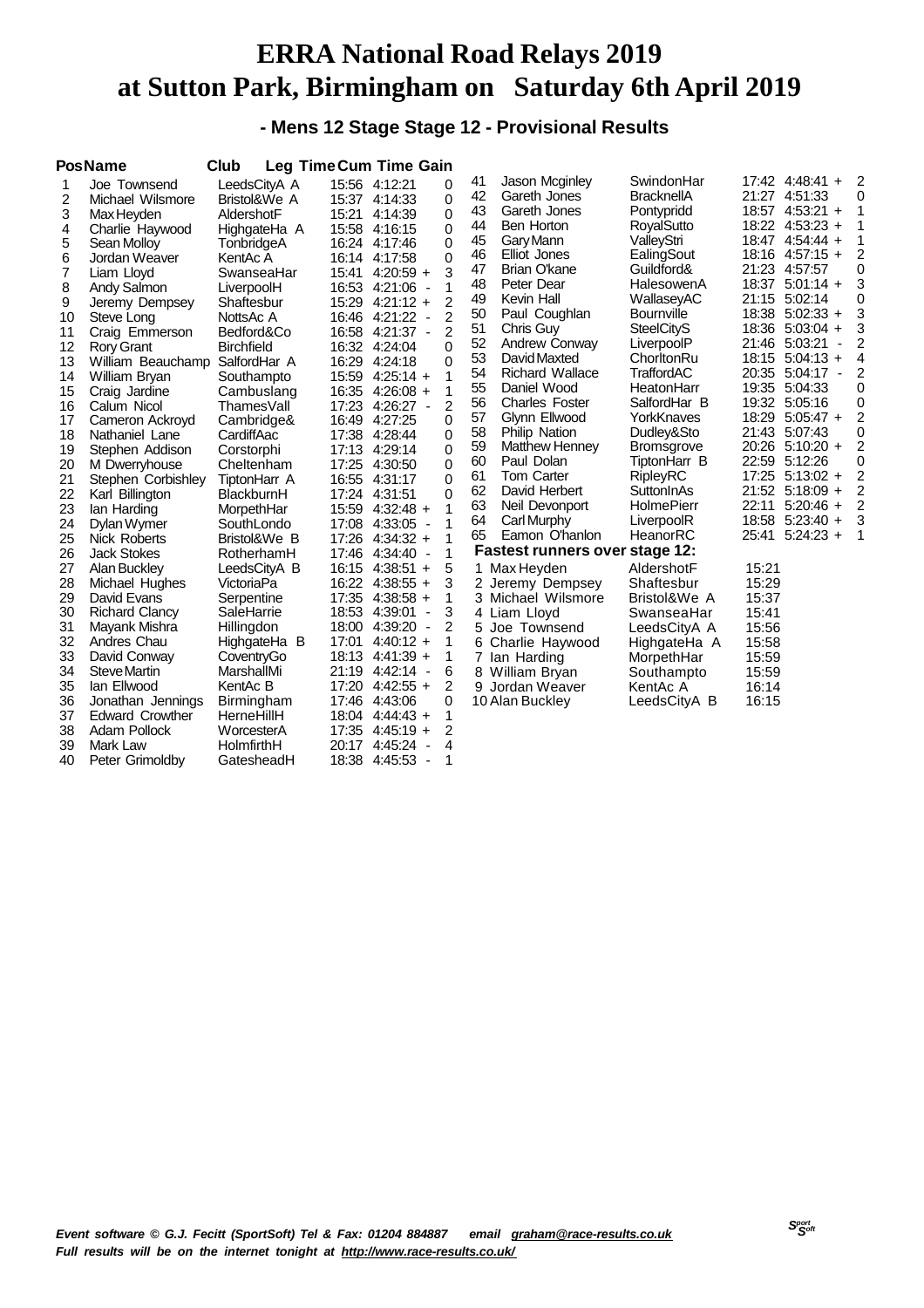**- Mens 12 Stage Stage 12 - Provisional Results**

|    | <b>PosName</b>         | Club              |       | Leg Time Cum Time Gain                    |   |    |                                       |                   |       |                                 |                |  |
|----|------------------------|-------------------|-------|-------------------------------------------|---|----|---------------------------------------|-------------------|-------|---------------------------------|----------------|--|
| 1  | Joe Townsend           | LeedsCityA A      |       | 15:56 4:12:21                             | 0 | 41 | Jason Mcginley                        | SwindonHar        |       | 17:42 4:48:41 +                 | 2              |  |
| 2  | Michael Wilsmore       | Bristol&We A      |       | 15:37 4:14:33                             | 0 | 42 | Gareth Jones                          | <b>BracknellA</b> |       | 21:27 4:51:33                   | 0              |  |
| 3  | Max Heyden             | AldershotF        |       | 15:21 4:14:39                             | 0 | 43 | Gareth Jones                          | Pontypridd        |       | 18:57 4:53:21 +                 | 1              |  |
| 4  | Charlie Haywood        | HighgateHa A      |       | 15:58 4:16:15                             | 0 | 44 | <b>Ben Horton</b>                     | RoyalSutto        |       | 18:22 4:53:23 +                 | 1              |  |
| 5  | Sean Molloy            | TonbridgeA        |       | 16:24 4:17:46                             | 0 | 45 | Gary Mann                             | ValleyStri        |       | 18:47 4:54:44 +                 | 1              |  |
| 6  | Jordan Weaver          | KentAc A          |       | 16:14 4:17:58                             | 0 | 46 | <b>Elliot Jones</b>                   | EalingSout        |       | $18:16$ 4:57:15 +               | 2              |  |
| 7  | Liam Lloyd             | SwanseaHar        |       | 15:41 4:20:59 +                           | 3 | 47 | Brian O'kane                          | Guildford&        |       | 21:23 4:57:57                   | 0              |  |
| 8  | Andy Salmon            | LiverpoolH        |       | 16:53 4:21:06<br>$\blacksquare$           | 1 | 48 | Peter Dear                            | HalesowenA        |       | 18:37 5:01:14 +                 | 3              |  |
| 9  | Jeremy Dempsey         | Shaftesbur        |       | $15:29$ 4:21:12 +                         | 2 | 49 | Kevin Hall                            | WallaseyAC        |       | 21:15 5:02:14                   | 0              |  |
| 10 | Steve Long             | NottsAc A         |       | 16:46 4:21:22<br>$\overline{\phantom{a}}$ | 2 | 50 | Paul Coughlan                         | <b>Bournville</b> |       | 18:38 5:02:33 +                 | 3              |  |
| 11 | Craig Emmerson         | Bedford&Co        |       | 16:58 4:21:37 -                           | 2 | 51 | Chris Guy                             | <b>SteelCityS</b> |       | 18:36 5:03:04 +                 | 3              |  |
| 12 | Rory Grant             | <b>Birchfield</b> |       | 16:32 4:24:04                             | 0 | 52 | <b>Andrew Conway</b>                  | LiverpoolP        |       | 21:46 5:03:21<br>÷,             | 2              |  |
| 13 | William Beauchamp      | SalfordHar A      |       | 16:29 4:24:18                             | 0 | 53 | David Maxted                          | ChorltonRu        |       | 18:15 5:04:13 +                 | 4              |  |
| 14 | William Bryan          | Southampto        |       | 15:59 4:25:14 +                           | 1 | 54 | <b>Richard Wallace</b>                | <b>TraffordAC</b> |       | 20:35 5:04:17<br>$\blacksquare$ | 2              |  |
| 15 | Craig Jardine          | Cambuslang        |       | 16:35 4:26:08 +                           | 1 | 55 | Daniel Wood                           | HeatonHarr        |       | 19:35 5:04:33                   | 0              |  |
| 16 | Calum Nicol            | ThamesVall        |       | 17:23 4:26:27<br>$\blacksquare$           | 2 | 56 | <b>Charles Foster</b>                 | SalfordHar B      |       | 19:32 5:05:16                   | 0              |  |
| 17 | Cameron Ackroyd        | Cambridge&        |       | 16:49 4:27:25                             | 0 | 57 | Glynn Ellwood                         | YorkKnaves        | 18:29 | $5:05:47 +$                     | $\overline{c}$ |  |
| 18 | Nathaniel Lane         | CardiffAac        |       | 17:38 4:28:44                             | 0 | 58 | <b>Philip Nation</b>                  | Dudley&Sto        |       | 21:43 5:07:43                   | 0              |  |
| 19 | Stephen Addison        | Corstorphi        |       | 17:13 4:29:14                             | 0 | 59 | <b>Matthew Henney</b>                 | <b>Bromsgrove</b> |       | $20:26$ 5:10:20 +               | 2              |  |
| 20 | M Dwerryhouse          | Cheltenham        |       | 17:25 4:30:50                             | 0 | 60 | Paul Dolan                            | TiptonHarr B      |       | 22:59 5:12:26                   | 0              |  |
| 21 | Stephen Corbishley     | TiptonHarr A      |       | 16:55 4:31:17                             | 0 | 61 | <b>Tom Carter</b>                     | RipleyRC          |       | $17:25$ 5:13:02 +               | 2              |  |
| 22 | Karl Billington        | BlackburnH        |       | 17:24 4:31:51                             | 0 | 62 | David Herbert                         | SuttonInAs        |       | 21:52 5:18:09 +                 | $\overline{c}$ |  |
| 23 | lan Harding            | MorpethHar        |       | 15:59 4:32:48 +                           | 1 | 63 | Neil Devonport                        | <b>HolmePierr</b> | 22:11 | $5:20:46 +$                     | $\overline{c}$ |  |
| 24 | Dylan Wymer            | SouthLondo        |       | 17:08 4:33:05<br>$\overline{\phantom{a}}$ | 1 | 64 | <b>Carl Murphy</b>                    | LiverpoolR        |       | 18:58 5:23:40 +                 | 3              |  |
| 25 | Nick Roberts           | Bristol&We B      |       | 17:26 4:34:32 +                           | 1 | 65 | Eamon O'hanlon                        | HeanorRC          | 25:41 | $5:24:23 +$                     | 1              |  |
| 26 | <b>Jack Stokes</b>     | RotherhamH        |       | 17:46 4:34:40<br>$\overline{a}$           | 1 |    | <b>Fastest runners over stage 12:</b> |                   |       |                                 |                |  |
| 27 | Alan Buckley           | LeedsCityA B      | 16:15 | $4:38:51 +$                               | 5 |    | 1 Max Heyden                          | AldershotF        | 15:21 |                                 |                |  |
| 28 | Michael Hughes         | VictoriaPa        |       | 16:22 4:38:55 +                           | 3 |    | 2 Jeremy Dempsey                      | Shaftesbur        | 15:29 |                                 |                |  |
| 29 | David Evans            | Serpentine        |       | 17:35 4:38:58 +                           | 1 |    | 3 Michael Wilsmore                    | Bristol&We A      | 15:37 |                                 |                |  |
| 30 | <b>Richard Clancy</b>  | SaleHarrie        |       | 18:53 4:39:01<br>$\blacksquare$           | 3 |    | 4 Liam Lloyd                          | SwanseaHar        | 15:41 |                                 |                |  |
| 31 | Mayank Mishra          | Hillingdon        |       | 18:00 4:39:20<br>$\overline{\phantom{a}}$ | 2 |    | 5 Joe Townsend                        | LeedsCityA A      | 15:56 |                                 |                |  |
| 32 | Andres Chau            | HighgateHa B      | 17:01 | $4:40:12 +$                               | 1 |    | 6 Charlie Haywood                     | HighgateHa A      | 15:58 |                                 |                |  |
| 33 | David Conway           | CoventryGo        |       | 18:13 4:41:39 +                           | 1 | 7  | lan Harding                           | MorpethHar        | 15:59 |                                 |                |  |
| 34 | <b>Steve Martin</b>    | MarshallMi        |       | 21:19 4:42:14<br>$\overline{\phantom{a}}$ | 6 |    | 8 William Bryan                       | Southampto        | 15:59 |                                 |                |  |
| 35 | lan Ellwood            | KentAc B          |       | 17:20 4:42:55 +                           | 2 | 9  | Jordan Weaver                         | KentAc A          | 16:14 |                                 |                |  |
| 36 | Jonathan Jennings      | Birmingham        |       | 17:46 4:43:06                             | 0 |    | 10 Alan Buckley                       | LeedsCityA B      | 16:15 |                                 |                |  |
| 37 | <b>Edward Crowther</b> | HerneHillH        |       | 18:04 4:44:43 +                           | 1 |    |                                       |                   |       |                                 |                |  |
| 38 | Adam Pollock           | WorcesterA        |       | 17:35 4:45:19 +                           | 2 |    |                                       |                   |       |                                 |                |  |
| 39 | Mark Law               | HolmfirthH        | 20:17 | 4:45:24<br>$\overline{a}$                 | 4 |    |                                       |                   |       |                                 |                |  |
| 40 | Peter Grimoldby        | GatesheadH        | 18:38 | 4:45:53<br>$\overline{\phantom{a}}$       | 1 |    |                                       |                   |       |                                 |                |  |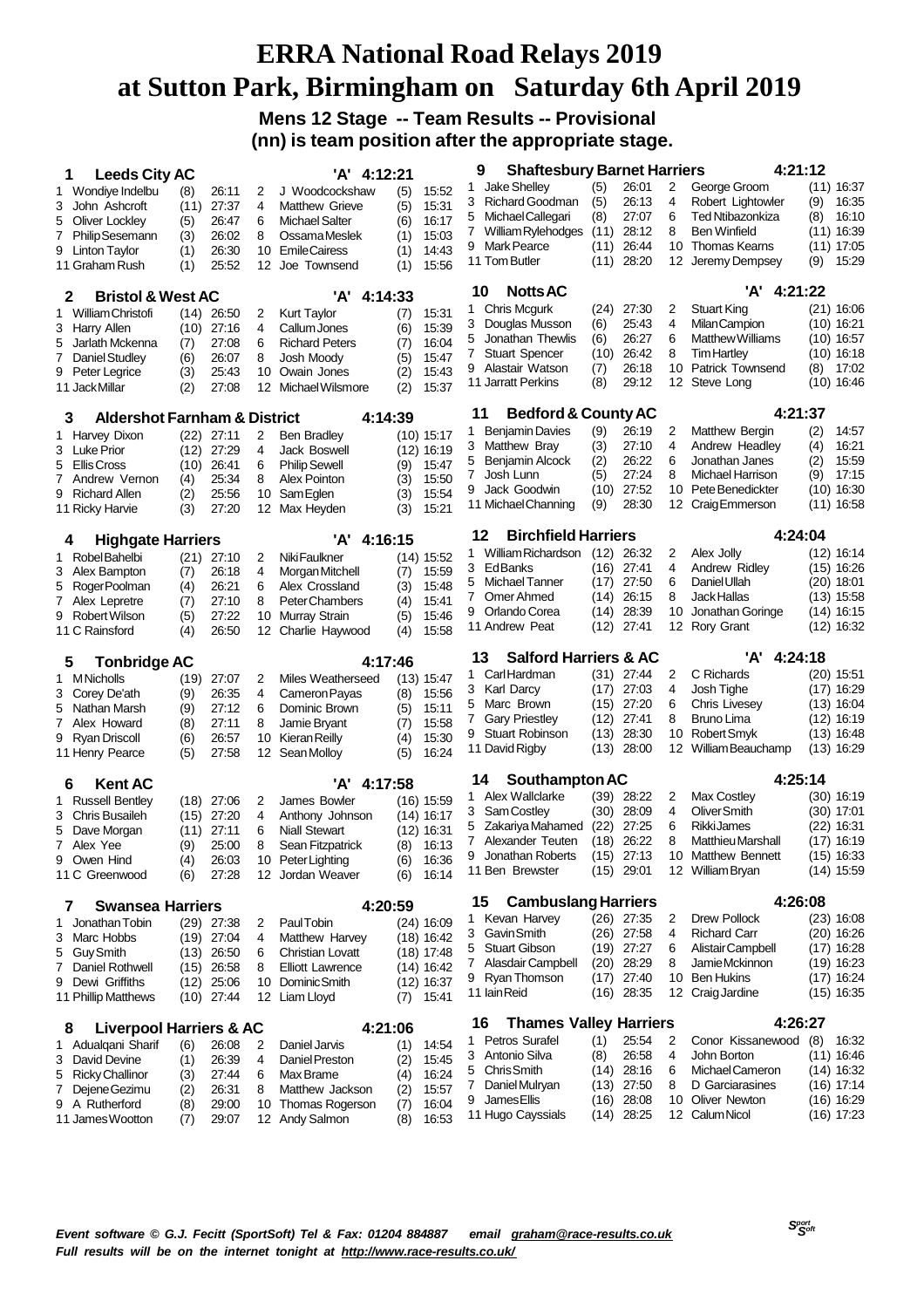**Mens 12 Stage -- Team Results -- Provisional (nn) is team position after the appropriate stage.**

| <b>Leeds City AC</b><br>1                                     |            |                       |         | 'A' 4:12:21                              |            |                       | 9  | <b>Shaftesbury Barnet Harriers</b>    |              |                              |        |                                            | 4:21:12 |                              |
|---------------------------------------------------------------|------------|-----------------------|---------|------------------------------------------|------------|-----------------------|----|---------------------------------------|--------------|------------------------------|--------|--------------------------------------------|---------|------------------------------|
| Wondiye Indelbu<br>1                                          | (8)        | 26:11                 | 2       | J Woodcockshaw                           | (5)        | 15:52                 | 1  | Jake Shelley                          | (5)          | 26:01                        | 2      | George Groom                               |         | $(11)$ 16:37                 |
| 3<br>John Ashcroft                                            | (11)       | 27:37                 | 4       | <b>Matthew Grieve</b>                    | (5)        | 15:31                 | 3  | <b>Richard Goodman</b>                | (5)          | 26:13                        | 4      | Robert Lightowler                          | (9)     | 16:35                        |
| Oliver Lockley<br>5                                           | (5)        | 26:47                 | 6       | <b>Michael Salter</b>                    | (6)        | 16:17                 | 5  | Michael Callegari                     | (8)          | 27:07                        | 6      | Ted Ntibazonkiza                           | (8)     | 16:10                        |
| <b>Philip Sesemann</b><br>7                                   | (3)        | 26:02                 | 8       | Ossama Meslek                            | (1)        | 15:03                 | 7  | William Rylehodges                    | (11)         | 28:12                        | 8      | <b>Ben Winfield</b>                        |         | $(11)$ 16:39                 |
| Linton Taylor<br>9                                            | (1)        | 26:30                 | 10      | <b>EmileCairess</b>                      | (1)        | 14:43                 |    | 9 Mark Pearce                         | (11)         | 26:44                        | 10     | Thomas Kearns                              |         | $(11)$ 17:05                 |
| 11 Graham Rush                                                | (1)        | 25:52                 | 12      | Joe Townsend                             | (1)        | 15:56                 |    | 11 Tom Butler                         | (11)         | 28:20                        | 12     | Jeremy Dempsey                             | (9)     | 15:29                        |
| <b>Bristol &amp; West AC</b><br>2                             |            |                       |         | 'A' 4:14:33                              |            |                       | 10 | <b>Notts AC</b>                       |              |                              |        | 'A' 4:21:22                                |         |                              |
| William Christofi<br>1                                        | (14)       | 26:50                 | 2       | Kurt Taylor                              | (7)        | 15:31                 | 1  | <b>Chris Mcgurk</b>                   |              | $(24)$ 27:30                 | 2      | <b>Stuart King</b>                         |         | $(21)$ 16:06                 |
| Harry Allen<br>3                                              | (10)       | 27:16                 | 4       | Callum Jones                             | (6)        | 15:39                 | 3  | Douglas Musson                        | (6)          | 25:43                        | 4      | <b>MilanCampion</b>                        |         | $(10)$ 16:21                 |
| Jarlath Mckenna<br>5                                          | (7)        | 27:08                 | 6       | <b>Richard Peters</b>                    | (7)        | 16:04                 | 5  | Jonathan Thewlis                      | (6)          | 26:27                        | 6      | Matthew Williams                           |         | $(10)$ 16:57                 |
| Daniel Studley<br>7                                           | (6)        | 26:07                 | 8       | Josh Moody                               | (5)        | 15:47                 | 7  | <b>Stuart Spencer</b>                 | (10)         | 26:42                        | 8      | <b>Tim Hartley</b>                         |         | $(10)$ 16:18                 |
| Peter Legrice<br>9                                            | (3)        | 25:43                 | 10      | Owain Jones                              | (2)        | 15:43                 | 9  | Alastair Watson                       | (7)          | 26:18                        | 10     | <b>Patrick Townsend</b>                    | (8)     | 17:02                        |
| 11 Jack Millar                                                | (2)        | 27:08                 | 12      | Michael Wilsmore                         | (2)        | 15:37                 |    | 11 Jarratt Perkins                    | (8)          | 29:12                        | 12     | Steve Long                                 |         | $(10)$ 16:46                 |
| <b>Aldershot Farnham &amp; District</b><br>3                  |            |                       |         | 4:14:39                                  |            |                       | 11 | <b>Bedford &amp; County AC</b>        |              |                              |        |                                            | 4:21:37 |                              |
| Harvey Dixon<br>1.                                            | (22)       | 27:11                 | 2       | <b>Ben Bradley</b>                       |            | (10) 15:17            | 1  | <b>Benjamin Davies</b>                | (9)          | 26:19                        | 2      | Matthew Bergin                             | (2)     | 14:57                        |
| 3 Luke Prior                                                  | (12)       | 27:29                 | 4       | Jack Boswell                             |            | (12) 16:19            | 3  | Matthew Bray                          | (3)          | 27:10                        | 4      | Andrew Headley                             | (4)     | 16:21                        |
| Ellis Cross<br>5                                              | (10)       | 26:41                 | 6       | <b>Philip Sewell</b>                     | (9)        | 15:47                 | 5  | Benjamin Alcock                       | (2)          | 26:22                        | 6      | Jonathan Janes                             | (2)     | 15:59                        |
| Andrew Vernon<br>7                                            | (4)        | 25:34                 | 8       | <b>Alex Pointon</b>                      | (3)        | 15:50                 | 7  | Josh Lunn                             | (5)          | 27:24                        | 8      | Michael Harrison                           | (9)     | 17:15                        |
| 9<br><b>Richard Allen</b>                                     | (2)        | 25:56                 | 10      | Sam Eglen                                | (3)        | 15:54                 | 9  | Jack Goodwin                          | (10)         | 27:52                        | 10     | Pete Benedickter                           | (10)    | 16:30                        |
| 11 Ricky Harvie                                               | (3)        | 27:20                 | 12      | Max Heyden                               | (3)        | 15:21                 |    | 11 Michael Channing                   | (9)          | 28:30                        |        | 12 Craig Emmerson                          |         | $(11)$ 16:58                 |
| <b>Highgate Harriers</b><br>4                                 |            |                       |         | 'A' 4:16:15                              |            |                       | 12 | <b>Birchfield Harriers</b>            |              |                              |        |                                            | 4:24:04 |                              |
| Robel Bahelbi<br>1                                            | (21)       | 27:10                 | 2       | Niki Faulkner                            |            | $(14)$ 15:52          | 1  | William Richardson                    | (12)         | 26:32                        | 2      | Alex Jolly                                 |         | $(12)$ 16:14                 |
| 3 Alex Bampton                                                | (7)        | 26:18                 | 4       | Morgan Mitchell                          | (7)        | 15:59                 | 3  | EdBanks                               | (16)         | 27:41                        | 4      | Andrew Ridley                              |         | $(15)$ 16:26                 |
| RogerPoolman<br>5                                             | (4)        | 26:21                 | 6       | Alex Crossland                           | (3)        | 15:48                 | 5  | Michael Tanner                        | (17)         | 27:50                        | 6      | Daniel Ullah                               |         | $(20)$ 18:01                 |
| 7 Alex Lepretre                                               | (7)        | 27:10                 | 8       | Peter Chambers                           | (4)        | 15:41                 | 7  | Omer Ahmed                            | (14)         | 26:15                        | 8      | Jack Hallas                                |         | $(13)$ 15:58                 |
| Robert Wilson<br>9                                            | (5)        | 27:22                 | 10      | Murray Strain                            | (5)        | 15:46                 |    | 9 Orlando Corea                       | (14)         | 28:39                        | 10     | Jonathan Goringe                           | (14)    | 16:15                        |
| 11 C Rainsford                                                | (4)        | 26:50                 | 12      | Charlie Haywood                          | (4)        | 15:58                 |    | 11 Andrew Peat                        | (12)         | 27:41                        | 12     | Rory Grant                                 |         | $(12)$ 16:32                 |
|                                                               |            |                       |         |                                          |            |                       |    |                                       |              |                              |        |                                            |         |                              |
| 5                                                             |            |                       |         | 4:17:46                                  |            |                       | 13 | <b>Salford Harriers &amp; AC</b>      |              |                              |        | 'A' 4:24:18                                |         |                              |
| <b>Tonbridge AC</b><br><b>M</b> Nicholls<br>1                 | (19)       | 27:07                 | 2       | Miles Weatherseed                        |            | $(13)$ 15:47          | 1  | CarlHardman                           |              | $(31)$ 27:44                 | 2      | C Richards                                 |         | $(20)$ 15:51                 |
| Corey De'ath<br>3                                             | (9)        | 26:35                 | 4       | Cameron Payas                            | (8)        | 15:56                 |    | 3 Karl Darcy                          | (17)         | 27:03                        | 4      | Josh Tighe                                 |         | $(17)$ 16:29                 |
| Nathan Marsh<br>5                                             | (9)        | 27:12                 | 6       | Dominic Brown                            | (5)        | 15:11                 | 5  | Marc Brown                            | (15)         | 27:20                        | 6      | Chris Livesey                              |         | $(13)$ 16:04                 |
| Alex Howard<br>7                                              | (8)        | 27:11                 | 8       | Jamie Bryant                             | (7)        | 15:58                 | 7  | <b>Gary Priestley</b>                 | (12)         | 27:41                        | 8      | Bruno Lima                                 |         | $(12)$ 16:19                 |
| Ryan Driscoll<br>9                                            | (6)        | 26:57                 | 10      | Kieran Reilly                            | (4)        | 15:30                 |    | 9 Stuart Robinson                     | (13)         | 28:30                        | 10     | Robert Smyk                                |         | $(13)$ 16:48                 |
| 11 Henry Pearce                                               | (5)        | 27:58                 | 12      | Sean Molloy                              | (5)        | 16:24                 |    | 11 David Rigby                        |              | (13) 28:00                   | 12     | William Beauchamp                          |         | $(13)$ 16:29                 |
| <b>Kent AC</b><br>6                                           |            |                       |         | 'A' 4:17:58                              |            |                       | 14 | Southampton AC                        |              |                              |        |                                            | 4:25:14 |                              |
| <b>Russell Bentley</b><br>1                                   |            | $(18)$ 27:06          | 2       | James Bowler                             |            | $(16)$ 15:59          |    | 1 Alex Wallclarke                     | (39)         | 28:22                        | 2      | Max Costley                                |         | (30) 16:19                   |
| <b>Chris Busaileh</b><br>3                                    | (15)       | 27:20                 | 4       | Anthony Johnson                          |            | $(14)$ 16:17          | 3  | Sam Costley                           | (30)         | 28:09                        | 4      | Oliver Smith                               |         | (30) 17:01                   |
| Dave Morgan<br>5                                              | (11)       | 27:11                 | 6       | <b>Niall Stewart</b>                     |            | (12) 16:31            | 5  | Zakariya Mahamed                      | (22)         | 27:25                        | 6      | <b>RikkiJames</b>                          |         | (22) 16:31                   |
| 7 Alex Yee                                                    | (9)        | 25:00                 | 8       | Sean Fitzpatrick                         | (8)        | 16:13                 | 7  | Alexander Teuten                      | (18)         | 26:22                        | 8      | <b>Matthieu Marshall</b>                   |         | (17) 16:19                   |
| 9<br>Owen Hind                                                | (4)        | 26:03<br>27:28        |         | 10 Peter Lighting                        | (6)        | 16:36<br>16:14        |    | 9 Jonathan Roberts<br>11 Ben Brewster |              | $(15)$ 27:13<br>$(15)$ 29:01 |        | 10 Matthew Bennett<br>12 William Bryan     |         | (15) 16:33<br>$(14)$ 15:59   |
| 11 C Greenwood                                                | (6)        |                       |         | 12 Jordan Weaver                         | (6)        |                       |    |                                       |              |                              |        |                                            |         |                              |
| <b>Swansea Harriers</b><br>7                                  |            |                       |         | 4:20:59                                  |            |                       | 15 | <b>Cambuslang Harriers</b>            |              |                              |        |                                            | 4:26:08 |                              |
| Jonathan Tobin<br>1                                           |            | $(29)$ 27:38          | 2       | Paul Tobin                               |            | $(24)$ 16:09          | 1  | Kevan Harvey<br>3 GavinSmith          |              | $(26)$ 27:35<br>(26) 27:58   | 2<br>4 | <b>Drew Pollock</b><br><b>Richard Carr</b> |         | $(23)$ 16:08<br>$(20)$ 16:26 |
| 3 Marc Hobbs                                                  | (19)       | 27:04                 | 4       | Matthew Harvey                           |            | $(18)$ 16:42          | 5  | <b>Stuart Gibson</b>                  |              | $(19)$ 27:27                 | 6      | Alistair Campbell                          |         | $(17)$ 16:28                 |
| <b>Guy Smith</b><br>5                                         | (13)       | 26:50                 | 6       | <b>Christian Lovatt</b>                  |            | $(18)$ 17:48          |    | 7 Alasdair Campbell                   | (20)         | 28:29                        | 8      | Jamie Mckinnon                             |         | $(19)$ 16:23                 |
| Daniel Rothwell<br>7<br>9 Dewi Griffiths                      | (15)       | 26.58<br>$(12)$ 25:06 | 8<br>10 | <b>Elliott Lawrence</b><br>Dominic Smith |            | $(14)$ 16:42          |    | 9 Ryan Thomson                        | (17)         | 27:40                        | 10     | <b>Ben Hukins</b>                          |         | $(17)$ 16:24                 |
| 11 Phillip Matthews                                           |            | $(10)$ 27:44          | 12      | Liam Lloyd                               | (7)        | $(12)$ 16:37<br>15:41 |    | 11 Iain Reid                          | (16)         | 28:35                        |        | 12 Craig Jardine                           |         | $(15)$ 16:35                 |
|                                                               |            |                       |         |                                          |            |                       | 16 | <b>Thames Valley Harriers</b>         |              |                              |        |                                            | 4:26:27 |                              |
| <b>Liverpool Harriers &amp; AC</b><br>8<br>1 Adualgani Sharif | (6)        | 26:08                 | 2       | 4:21:06<br>Daniel Jarvis                 | (1)        | 14:54                 | 1  | Petros Surafel                        | (1)          | 25:54                        | 2      | Conor Kissanewood                          | (8)     | 16:32                        |
| David Devine<br>3                                             | (1)        | 26:39                 | 4       | Daniel Preston                           | (2)        | 15:45                 |    | 3 Antonio Silva                       | (8)          | 26:58                        | 4      | John Borton                                |         | $(11)$ 16:46                 |
| <b>Ricky Challinor</b><br>5                                   | (3)        | 27:44                 | 6       | Max Brame                                | (4)        | 16:24                 | 5  | <b>ChrisSmith</b>                     |              | $(14)$ 28:16                 | 6      | Michael Cameron                            |         | $(14)$ 16:32                 |
| Dejene Gezimu<br>$\prime$                                     | (2)        | 26:31                 | 8       | Matthew Jackson                          | (2)        | 15:57                 |    | 7 Daniel Mulryan                      |              | $(13)$ 27:50                 | 8      | D Garciarasines                            |         | $(16)$ 17:14                 |
| 9 A Rutherford<br>11 James Wootton                            | (8)<br>(7) | 29:00<br>29:07        |         | 10 Thomas Rogerson<br>12 Andy Salmon     | (7)<br>(8) | 16:04<br>16:53        |    | 9 James Ellis<br>11 Hugo Cayssials    | (16)<br>(14) | 28:08<br>28:25               | 10     | Oliver Newton<br>12 Calum Nicol            |         | $(16)$ 16:29<br>$(16)$ 17:23 |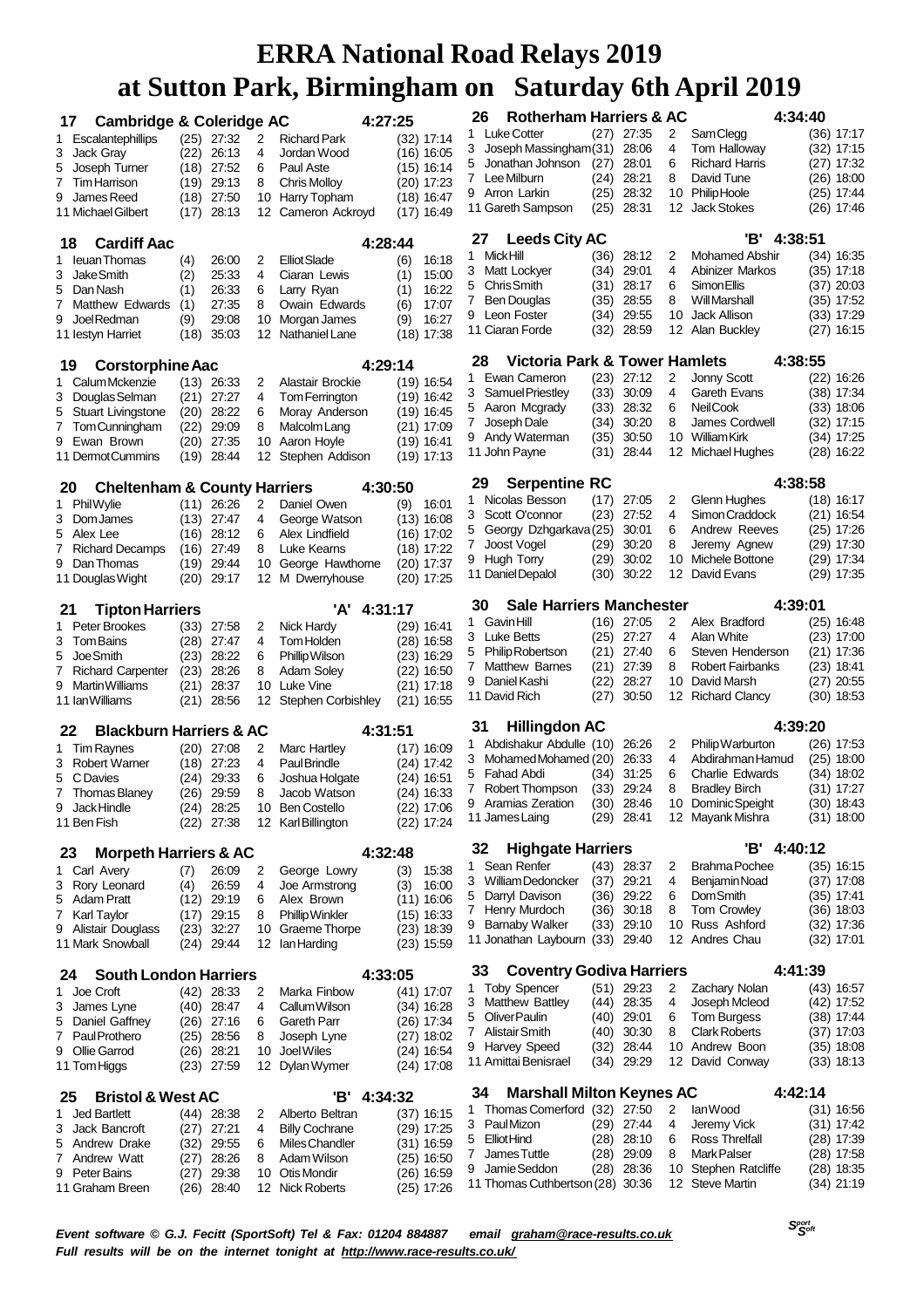| 17                                   | <b>Cambridge &amp; Coleridge AC</b>     |              |                     |          | 4:27:25                                |     |                              | 26      | <b>Rotherham Harriers &amp; AC</b>              |              |                       |          | 4:34:40                                |                              |
|--------------------------------------|-----------------------------------------|--------------|---------------------|----------|----------------------------------------|-----|------------------------------|---------|-------------------------------------------------|--------------|-----------------------|----------|----------------------------------------|------------------------------|
| 1 Escalantephillips                  |                                         |              | $(25)$ 27:32        | 2        | <b>Richard Park</b>                    |     | (32) 17:14                   | 1       | <b>Luke Cotter</b>                              |              | $(27)$ 27:35          | 2        | Sam Clegg                              | $(36)$ 17:17                 |
| 3 Jack Gray                          |                                         | (22)         | 26:13               | 4        | Jordan Wood                            |     | (16) 16:05                   | 3       | Joseph Massingham(31)                           |              | 28:06                 | 4        | Tom Halloway                           | $(32)$ 17:15                 |
| 5 Joseph Turner                      |                                         |              | $(18)$ 27:52        | 6        | Paul Aste                              |     | $(15)$ 16:14                 | 5       | Jonathan Johnson                                | (27)         | 28:01                 | 6        | <b>Richard Harris</b>                  | $(27)$ 17:32                 |
| Tim Harrison<br>7                    |                                         | (19)         | 29:13               | 8        | <b>Chris Molloy</b>                    |     | (20) 17:23                   | 7       | Lee Milburn                                     | (24)         | 28:21                 | 8        | David Tune                             | $(26)$ 18:00                 |
| 9 James Reed                         |                                         | (18)         | 27:50               | 10       | Harry Topham                           |     | $(18)$ 16:47                 |         | 9 Arron Larkin<br>11 Gareth Sampson             | (25)<br>(25) | 28:32<br>28:31        | 10<br>12 | Philip Hoole<br><b>Jack Stokes</b>     | (25) 17:44<br>$(26)$ 17:46   |
| 11 Michael Gilbert                   |                                         | (17)         | 28:13               | 12       | Cameron Ackroyd                        |     | $(17)$ 16:49                 |         |                                                 |              |                       |          |                                        |                              |
| 18                                   | <b>Cardiff Aac</b>                      |              |                     |          | 4:28:44                                |     |                              | 27      | <b>Leeds City AC</b>                            |              |                       |          | 'B'<br>4:38:51                         |                              |
| 1 leuan Thomas                       |                                         | (4)          | 26:00               | 2        | <b>Elliot Slade</b>                    | (6) | 16:18                        | 1       | <b>Mick Hill</b>                                | (36)         | 28:12                 | 2        | Mohamed Abshir                         | (34) 16:35                   |
| 3 JakeSmith                          |                                         | (2)          | 25:33               | 4        | Ciaran Lewis                           | (1) | 15:00                        | 3       | Matt Lockyer                                    | (34)         | 29:01                 | 4        | Abinizer Markos                        | $(35)$ 17:18                 |
| 5 Dan Nash                           |                                         | (1)          | 26:33               | 6        | Larry Ryan                             | (1) | 16:22                        | 5       | Chris Smith                                     | (31)         | 28:17                 | 6        | Simon Ellis                            | $(37)$ 20:03                 |
|                                      | 7 Matthew Edwards                       | (1)          | 27:35               | 8        | Owain Edwards                          | (6) | 17:07                        | 7       | <b>Ben Douglas</b>                              | (35)         | 28:55                 | 8        | <b>Will Marshall</b>                   | $(35)$ 17:52                 |
| 9 Joel Redman                        |                                         | (9)          | 29:08               | 10       | Morgan James                           | (9) | 16:27                        | 9       | Leon Foster<br>11 Ciaran Forde                  | (34)<br>(32) | 29:55<br>28:59        | 10<br>12 | <b>Jack Allison</b><br>Alan Buckley    | $(33)$ 17:29<br>$(27)$ 16:15 |
| 11 lestyn Harriet                    |                                         | (18)         | 35:03               | 12       | Nathaniel Lane                         |     | $(18)$ 17:38                 |         |                                                 |              |                       |          |                                        |                              |
| 19                                   | <b>Corstorphine Aac</b>                 |              |                     |          | 4:29:14                                |     |                              | 28      | Victoria Park & Tower Hamlets                   |              |                       |          | 4:38:55                                |                              |
| 1 Calum Mckenzie                     |                                         |              | $(13)$ 26:33        | 2        | Alastair Brockie                       |     | $(19)$ 16:54                 | 1       | Ewan Cameron                                    | (23)         | 27:12                 | 2        | Jonny Scott                            | $(22)$ 16:26                 |
| 3 Douglas Selman                     |                                         | (21)         | 27:27               | 4        | Tom Ferrington                         |     | $(19)$ 16:42                 | 3       | Samuel Priestley                                | (33)         | 30:09                 | 4        | Gareth Evans                           | $(38)$ 17:34                 |
| 5                                    | <b>Stuart Livingstone</b>               | (20)         | 28:22               | 6        | Moray Anderson                         |     | $(19)$ 16:45                 | 5       | Aaron Mcgrady                                   | (33)         | 28:32                 | 6        | Neil Cook                              | $(33)$ 18:06                 |
|                                      | 7 Tom Cunningham                        | (22)         | 29:09               | 8        | Malcolm Lang                           |     | $(21)$ 17:09                 | 7       | Joseph Dale<br>9 Andy Waterman                  | (34)<br>(35) | 30:20<br>30:50        | 8        | James Cordwell<br>10 William Kirk      | $(32)$ 17:15<br>$(34)$ 17:25 |
| 9 Ewan Brown                         |                                         | (20)         | 27:35               | 10       | Aaron Hoyle                            |     | $(19)$ 16:41                 |         | 11 John Payne                                   | (31)         | 28:44                 |          | 12 Michael Hughes                      | $(28)$ 16:22                 |
| 11 Dermot Cummins                    |                                         |              | (19) 28:44          | 12       | Stephen Addison                        |     | (19) 17:13                   |         |                                                 |              |                       |          |                                        |                              |
| 20                                   | <b>Cheltenham &amp; County Harriers</b> |              |                     |          | 4:30:50                                |     |                              | 29      | <b>Serpentine RC</b>                            |              |                       |          | 4:38:58                                |                              |
| 1 Phil Wylie                         |                                         |              | $(11)$ 26:26        | 2        | Daniel Owen                            | (9) | 16:01                        | 1       | Nicolas Besson                                  | (17)         | 27:05                 | 2        | Glenn Hughes                           | $(18)$ 16:17                 |
| 3 Dom James                          |                                         | (13)         | 27:47               | 4        | George Watson                          |     | $(13)$ 16:08                 | 3       | Scott O'connor                                  | (23)         | 27:52                 | 4        | Simon Craddock                         | $(21)$ 16:54                 |
| 5 Alex Lee                           |                                         | (16)         | 28:12               | 6        | Alex Lindfield                         |     | $(16)$ 17:02                 | 5       | Georgy Dzhgarkava (25)                          |              | 30:01                 | 6<br>8   | Andrew Reeves                          | (25) 17:26                   |
|                                      | 7 Richard Decamps                       | (16)         | 27:49               | 8        | Luke Kearns                            |     | $(18)$ 17:22                 | 7.      | Joost Vogel<br>9 Hugh Torry                     | (29)<br>(29) | 30:20<br>30:02        | 10       | Jeremy Agnew<br>Michele Bottone        | $(29)$ 17:30<br>$(29)$ 17:34 |
| 9 Dan Thomas                         |                                         | (19)         | 29:44               | 10       | George Hawthorne                       |     | $(20)$ 17:37                 |         | 11 Daniel Depalol                               | (30)         | 30:22                 | 12       | David Evans                            | $(29)$ 17:35                 |
| 11 Douglas Wight                     |                                         | (20)         | 29:17               | 12       | M Dwerryhouse                          |     | $(20)$ 17:25                 |         |                                                 |              |                       |          |                                        |                              |
| 21                                   | <b>Tipton Harriers</b>                  |              |                     |          | 'A' 4:31:17                            |     |                              | 30      | <b>Sale Harriers Manchester</b>                 |              |                       |          | 4:39:01                                |                              |
| 1 Peter Brookes                      |                                         | (33)         | 27:58               | 2        | Nick Hardy                             |     | (29) 16:41                   | 1       | <b>Gavin Hill</b>                               |              | $(16)$ 27:05          | 2        | Alex Bradford                          | $(25)$ 16:48                 |
| 3 Tom Bains                          |                                         | (28)         | 27:47               | 4        | Tom Holden                             |     | $(28)$ 16:58                 | 3<br>5  | Luke Betts<br><b>Philip Robertson</b>           | (25)         | 27:27<br>$(21)$ 27:40 | 4<br>6   | Alan White<br>Steven Henderson         | $(23)$ 17:00                 |
| Joe Smith<br>5                       |                                         | (23)         | 28:22               | 6        | Phillip Wilson                         |     | $(23)$ 16:29                 | 7       | <b>Matthew Barnes</b>                           | (21)         | 27:39                 | 8        | <b>Robert Fairbanks</b>                | (21) 17:36<br>$(23)$ 18:41   |
|                                      | 7 Richard Carpenter                     | (23)         | 28:26               | 8        | <b>Adam Soley</b>                      |     | $(22)$ 16:50                 | 9       | Daniel Kashi                                    | (22)         | 28:27                 | 10       | David Marsh                            | $(27)$ 20:55                 |
| 9 Martin Williams<br>11 Ian Williams |                                         | (21)<br>(21) | 28:37<br>28:56      | 10<br>12 | Luke Vine<br><b>Stephen Corbishley</b> |     | $(21)$ 17:18<br>$(21)$ 16:55 |         | 11 David Rich                                   | (27)         | 30.50                 | 12       | <b>Richard Clancy</b>                  | $(30)$ 18:53                 |
|                                      |                                         |              |                     |          |                                        |     |                              |         |                                                 |              |                       |          |                                        |                              |
| 22                                   | <b>Blackburn Harriers &amp; AC</b>      |              |                     |          | 4:31:51                                |     |                              | 31      | Hillingdon AC                                   |              |                       |          | 4:39:20                                |                              |
| 1 Tim Ravnes                         |                                         |              | $(20)$ 27:08        | 2        | Marc Hartley                           |     | $(17)$ 16:09                 | 3       | Abdishakur Abdulle (10)<br>Mohamed Mohamed (20) |              | 26:26<br>26:33        | 2<br>4   | Philip Warburton<br>Abdirahman Hamud   | (26) 17:53<br>$(25)$ 18:00   |
| 3 Robert Warner                      |                                         | (18)         | 27:23               | 4        | Paul Brindle                           |     | $(24)$ 17:42                 |         | 5 Fahad Abdi                                    | (34)         | 31:25                 | 6        | <b>Charlie Edwards</b>                 | $(34)$ 18:02                 |
| 5 CDavies                            |                                         | (24)         | 29:33               | 6        | Joshua Holgate                         |     | (24) 16:51                   | 7       | Robert Thompson                                 | (33)         | 29:24                 | 8        | <b>Bradley Birch</b>                   | (31) 17:27                   |
| 7 Thomas Blaney<br>9 Jack Hindle     |                                         | (26)         | 29:59<br>(24) 28:25 | 8<br>10  | Jacob Watson<br><b>Ben Costello</b>    |     | (24) 16:33<br>(22) 17:06     | 9       | Aramias Zeration                                | (30)         | 28:46                 |          | 10 Dominic Speight                     | $(30)$ 18:43                 |
| 11 Ben Fish                          |                                         |              | $(22)$ 27:38        |          | 12 Karl Billington                     |     | $(22)$ 17:24                 |         | 11 James Laing                                  |              | $(29)$ 28:41          |          | 12 Mayank Mishra                       | $(31)$ 18:00                 |
|                                      |                                         |              |                     |          |                                        |     |                              |         |                                                 |              |                       |          |                                        |                              |
| 23                                   | <b>Morpeth Harriers &amp; AC</b>        |              |                     |          | 4:32:48                                |     |                              | 32<br>1 | <b>Highgate Harriers</b><br>Sean Renfer         |              | $(43)$ 28:37          | 2        | 'В'<br>4:40:12<br><b>Brahma Pochee</b> | $(35)$ 16:15                 |
| 1 Carl Avery                         |                                         | (7)          | 26:09               | 2        | George Lowry                           | (3) | 15:38                        | 3       | William Dedoncker                               | (37)         | 29:21                 | 4        | Benjamin Noad                          | $(37)$ 17:08                 |
| 3 Rory Leonard<br>5 Adam Pratt       |                                         | (4)<br>(12)  | 26:59<br>29:19      | 4<br>6   | Joe Armstrong<br>Alex Brown            | (3) | 16:00<br>$(11)$ 16:06        |         | 5 Darryl Davison                                | (36)         | 29:22                 | 6        | <b>DomSmith</b>                        | $(35)$ 17:41                 |
| 7 Karl Taylor                        |                                         | (17)         | 29:15               | 8        | <b>Phillip Winkler</b>                 |     | (15) 16:33                   |         | 7 Henry Murdoch                                 | (36)         | 30:18                 | 8        | <b>Tom Crowley</b>                     | $(36)$ 18:03                 |
| 9 Alistair Douglass                  |                                         | (23)         | 32:27               | 10       | Graeme Thorpe                          |     | $(23)$ 18:39                 |         | 9 Barnaby Walker                                | (33)         | 29:10                 | 10       | Russ Ashford                           | $(32)$ 17:36                 |
| 11 Mark Snowball                     |                                         | (24)         | 29:44               | 12       | lan Harding                            |     | $(23)$ 15:59                 |         | 11 Jonathan Laybourn (33) 29:40                 |              |                       |          | 12 Andres Chau                         | $(32)$ 17:01                 |
| 24                                   | <b>South London Harriers</b>            |              |                     |          | 4:33:05                                |     |                              | 33      | <b>Coventry Godiva Harriers</b>                 |              |                       |          | 4:41:39                                |                              |
| Joe Croft<br>1.                      |                                         |              | $(42)$ 28:33        | 2        | Marka Finbow                           |     | $(41)$ 17:07                 | 1       | <b>Toby Spencer</b>                             |              | $(51)$ 29:23          | 2        | Zachary Nolan                          | $(43)$ 16:57                 |
| 3 James Lyne                         |                                         |              | $(40)$ 28:47        | 4        | Callum Wilson                          |     | $(34)$ 16:28                 |         | 3 Matthew Battley                               |              | $(44)$ 28:35          | 4        | Joseph Mcleod                          | $(42)$ 17:52                 |
| 5 Daniel Gaffney                     |                                         |              | $(26)$ 27:16        | 6        | Gareth Parr                            |     | (26) 17:34                   | 5       | Oliver Paulin                                   | (40)         | 29:01                 | 6        | Tom Burgess                            | $(38)$ 17:44                 |
| 7 Paul Prothero                      |                                         | (25)         | 28:56               | 8        | Joseph Lyne                            |     | (27) 18:02                   |         | 7 Alistair Smith<br>9 Harvey Speed              | (40)<br>(32) | 30:30<br>28:44        | 8<br>10  | <b>Clark Roberts</b><br>Andrew Boon    | $(37)$ 17:03<br>$(35)$ 18:08 |
| 9 Ollie Garrod                       |                                         | (26)         | 28:21               | 10       | Joel Wiles                             |     | (24) 16:54                   |         | 11 Amittai Benisrael                            |              | (34) 29:29            |          | 12 David Conway                        | $(33)$ 18:13                 |
| 11 Tom Higgs                         |                                         |              | $(23)$ 27:59        | 12       | Dylan Wymer                            |     | $(24)$ 17:08                 |         |                                                 |              |                       |          |                                        |                              |
| 25                                   | <b>Bristol &amp; West AC</b>            |              |                     |          | 'B'<br>4:34:32                         |     |                              | 34      | <b>Marshall Milton Keynes AC</b>                |              |                       |          | 4:42:14                                |                              |
| <b>Jed Bartlett</b><br>1             |                                         |              | (44) 28:38          | 2        | Alberto Beltran                        |     | $(37)$ 16:15                 | 1       | Thomas Comerford (32) 27:50                     |              |                       | 2        | lan Wood                               | (31) 16:56                   |
| 3 Jack Bancroft                      |                                         | (27)         | 27:21               | 4        | <b>Billy Cochrane</b>                  |     | (29) 17:25                   |         | 3 PaulMizon<br><b>Elliot Hind</b>               |              | (29) 27:44            | 4<br>6   | Jeremy Vick<br>Ross Threlfall          | (31) 17:42                   |
| 5 Andrew Drake                       |                                         | (32)         | 29:55               | 6        | Miles Chandler                         |     | $(31)$ 16:59                 | 5<br>7  | James Tuttle                                    | (28)<br>(28) | 28:10<br>29:09        | 8        | <b>MarkPalser</b>                      | $(28)$ 17:39<br>(28) 17:58   |
| Andrew Watt<br>7.<br>9 Peter Bains   |                                         | (27)<br>(27) | 28:26<br>29:38      | 8<br>10  | Adam Wilson<br>Otis Mondir             |     | $(25)$ 16:50                 | 9       | Jamie Seddon                                    | (28)         | 28:36                 | 10       | Stephen Ratcliffe                      | $(28)$ 18:35                 |
| 11 Graham Breen                      |                                         |              | $(26)$ 28:40        |          | 12 Nick Roberts                        |     | (26) 16:59<br>$(25)$ 17:26   |         | 11 Thomas Cuthbertson (28) 30:36                |              |                       |          | 12 Steve Martin                        | $(34)$ 21:19                 |

 *Soft Event software © G.J. Fecitt (SportSoft) Tel & Fax: 01204 884887 email [graham@race-results.co.uk](mailto:graham@race-results.co.uk) Full results will be on the internet tonight at <http://www.race-results.co.uk/>*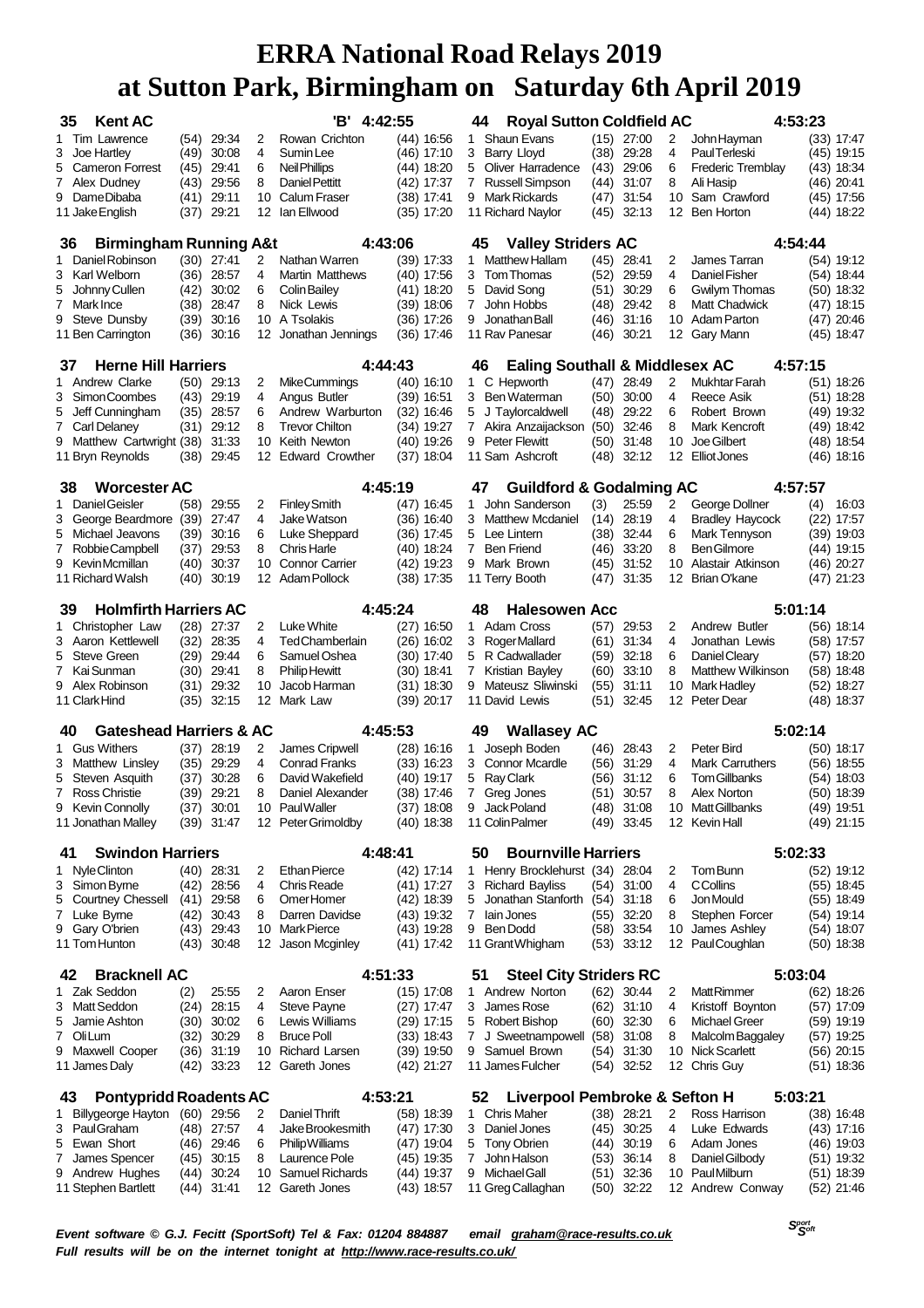| <b>Kent AC</b><br>35                            |                                                                                  |                       |          | 'B' 4:42:55                             |                            |   | <b>Royal Sutton Coldfield AC</b><br>44                                  |              |                              |                     | 4:53:23                              |     |                              |
|-------------------------------------------------|----------------------------------------------------------------------------------|-----------------------|----------|-----------------------------------------|----------------------------|---|-------------------------------------------------------------------------|--------------|------------------------------|---------------------|--------------------------------------|-----|------------------------------|
| 1 Tim Lawrence                                  | (54)                                                                             | 29:34                 | 2        | Rowan Crichton                          | (44) 16:56                 |   | <b>Shaun Evans</b><br>1                                                 |              | $(15)$ 27:00                 | 2                   | John Hayman                          |     | (33) 17:47                   |
| 3 Joe Hartley                                   | (49)                                                                             | 30:08                 | 4        | Sumin Lee                               | (46) 17:10                 |   | 3<br>Barry Lloyd                                                        | (38)         | 29:28                        | 4                   | Paul Terleski                        |     | (45) 19:15                   |
| <b>Cameron Forrest</b><br>5                     | (45)                                                                             | 29:41                 | 6        | Neil Phillips                           | (44) 18:20                 | 5 | Oliver Harradence                                                       | (43)         | 29:06                        | 6                   | <b>Frederic Tremblay</b>             |     | (43) 18:34                   |
| 7 Alex Dudney                                   | (43)                                                                             | 29:56                 | 8        | Daniel Pettitt                          | (42) 17:37                 |   | 7<br>Russell Simpson                                                    | (44)         | 31:07                        | 8                   | Ali Hasip                            |     | $(46)$ 20:41                 |
| 9 DameDibaba<br>11 Jake English                 | (41)<br>(37)                                                                     | 29:11<br>29:21        | 10<br>12 | <b>Calum Fraser</b><br>lan Ellwood      | (38) 17:41<br>$(35)$ 17:20 |   | <b>Mark Rickards</b><br>9<br>11 Richard Naylor                          | (47)<br>(45) | 31:54<br>32:13               | 10                  | Sam Crawford<br>12 Ben Horton        |     | (45) 17:56<br>$(44)$ 18:22   |
|                                                 |                                                                                  |                       |          |                                         |                            |   |                                                                         |              |                              |                     |                                      |     |                              |
| <b>Birmingham Running A&amp;t</b><br>36         |                                                                                  |                       |          | 4:43:06                                 |                            |   | <b>Valley Striders AC</b><br>45                                         |              |                              |                     | 4:54:44                              |     |                              |
| Daniel Robinson<br>1.<br>3 Karl Welborn         | (30)<br>(36)                                                                     | 27:41<br>28:57        | 2<br>4   | Nathan Warren<br><b>Martin Matthews</b> | (39) 17:33                 | 1 | <b>Matthew Hallam</b><br>3 Tom Thomas                                   | (45)         | 28:41<br>29:59               | 2<br>$\overline{4}$ | James Tarran<br>Daniel Fisher        |     | $(54)$ 19:12<br>$(54)$ 18:44 |
| Johnny Cullen<br>5                              | (42)                                                                             | 30:02                 | 6        | <b>Colin Bailey</b>                     | (40) 17:56<br>$(41)$ 18:20 | 5 | David Song                                                              | (52)<br>(51) | 30:29                        | 6                   | Gwilym Thomas                        |     | $(50)$ 18:32                 |
| 7 Mark Ince                                     | (38)                                                                             | 28:47                 | 8        | Nick Lewis                              | $(39)$ 18:06               |   | John Hobbs<br>7                                                         | (48)         | 29:42                        | 8                   | Matt Chadwick                        |     | (47) 18:15                   |
| 9 Steve Dunsby                                  | (39)                                                                             | 30:16                 | 10       | A Tsolakis                              | $(36)$ 17:26               | 9 | Jonathan Ball                                                           | (46)         | 31:16                        | 10                  | <b>Adam Parton</b>                   |     | (47) 20:46                   |
| 11 Ben Carrington                               | (36)                                                                             | 30:16                 | 12       | Jonathan Jennings                       | $(36)$ 17:46               |   | 11 Rav Panesar                                                          | (46)         | 30:21                        | 12                  | Gary Mann                            |     | $(45)$ 18:47                 |
| <b>Herne Hill Harriers</b><br>37                |                                                                                  |                       |          | 4:44:43                                 |                            |   | <b>Ealing Southall &amp; Middlesex AC</b><br>46                         |              |                              |                     | 4:57:15                              |     |                              |
| 1 Andrew Clarke                                 | (50)                                                                             | 29:13                 | 2        | MikeCummings                            | $(40)$ 16:10               |   | C Hepworth<br>$\mathbf{1}$                                              | (47)         | 28:49                        | 2                   | Mukhtar Farah                        |     | (51) 18:26                   |
| 3 Simon Coombes                                 | (43)                                                                             | 29:19                 | 4        | Angus Butler                            | $(39)$ 16:51               |   | Ben Waterman<br>3.                                                      | (50)         | 30:00                        | 4                   | Reece Asik                           |     | $(51)$ 18:28                 |
| 5 Jeff Cunningham                               | (35)                                                                             | 28:57                 | 6        | Andrew Warburton                        | (32) 16:46                 | 5 | J Taylorcaldwell                                                        | (48)         | 29:22                        | 6                   | Robert Brown                         |     | $(49)$ 19:32                 |
| 7 Carl Delaney                                  | (31)                                                                             | 29:12                 | 8        | <b>Trevor Chilton</b>                   | $(34)$ 19:27               |   | $\overline{7}$<br>Akira Anzaijackson                                    | (50)         | 32:46                        | 8                   | Mark Kencroft                        |     | (49) 18:42                   |
| 9 Matthew Cartwright (38)                       |                                                                                  | 31:33                 | 10       | Keith Newton                            | $(40)$ 19:26               |   | <b>Peter Flewitt</b><br>9                                               | (50)         | 31:48                        | 10                  | Joe Gilbert                          |     | (48) 18:54                   |
| 11 Bryn Reynolds                                | (38)                                                                             | 29:45                 | 12       | <b>Edward Crowther</b>                  | (37) 18:04                 |   | 11 Sam Ashcroft                                                         | (48)         | 32:12                        | 12                  | Elliot Jones                         |     | $(46)$ 18:16                 |
| <b>Worcester AC</b><br>38                       |                                                                                  |                       |          | 4:45:19                                 |                            |   | <b>Guildford &amp; Godalming AC</b><br>47                               |              |                              |                     | 4:57:57                              |     |                              |
| Daniel Geisler<br>1.                            | (58)                                                                             | 29:55                 | 2        | <b>Finley Smith</b>                     | (47) 16:45                 |   | John Sanderson<br>1                                                     | (3)          | 25:59                        | 2                   | George Dollner                       | (4) | 16:03                        |
| 3 George Beardmore                              | (39)                                                                             | 27:47                 | 4        | Jake Watson                             | (36) 16:40                 |   | 3 Matthew Mcdaniel                                                      | (14)         | 28:19                        | 4                   | <b>Bradley Haycock</b>               |     | $(22)$ 17:57                 |
| 5 Michael Jeavons                               | (39)                                                                             | 30:16<br>29:53        | 6<br>8   | Luke Sheppard<br><b>Chris Harle</b>     | (36) 17:45                 |   | 5<br>Lee Lintern<br><b>Ben Friend</b><br>7                              | (38)         | 32:44<br>33:20               | 6<br>8              | Mark Tennyson<br><b>BenGilmore</b>   |     | $(39)$ 19:03                 |
| 7<br>Robbie Campbell<br>9 Kevin Mcmillan        | (37)<br>(40)                                                                     | 30:37                 | 10       | <b>Connor Carrier</b>                   | (40) 18:24<br>(42) 19:23   |   | Mark Brown<br>9                                                         | (46)<br>(45) | 31:52                        | 10                  | Alastair Atkinson                    |     | (44) 19:15<br>(46) 20:27     |
| 11 Richard Walsh                                | (40)                                                                             | 30:19                 | 12       | Adam Pollock                            | $(38)$ 17:35               |   | 11 Terry Booth                                                          | (47)         | 31:35                        | 12                  | Brian O'kane                         |     | (47) 21:23                   |
| 39                                              | 4:45:24<br><b>Holmfirth Harriers AC</b><br>48<br><b>Halesowen Acc</b><br>5:01:14 |                       |          |                                         |                            |   |                                                                         |              |                              |                     |                                      |     |                              |
| 1 Christopher Law                               |                                                                                  | $(28)$ 27:37          | 2        | Luke White                              | $(27)$ 16:50               |   | 1 Adam Cross                                                            | (57)         | 29:53                        | 2                   | Andrew Butler                        |     | $(56)$ 18:14                 |
| 3 Aaron Kettlewell                              | (32)                                                                             | 28:35                 | 4        | <b>TedChamberlain</b>                   | $(26)$ 16:02               |   | 3<br>Roger Mallard                                                      | (61)         | 31:34                        | 4                   | Jonathan Lewis                       |     | $(58)$ 17:57                 |
| 5 Steve Green                                   | (29)                                                                             | 29:44                 | 6        | Samuel Oshea                            | (30) 17:40                 |   | R Cadwallader<br>5                                                      | (59)         | 32:18                        | 6                   | Daniel Cleary                        |     | $(57)$ 18:20                 |
| 7 Kai Sunman                                    | (30)                                                                             | 29:41                 | 8        | <b>Philip Hewitt</b>                    | (30) 18:41                 |   | $\overline{7}$<br>Kristian Bayley                                       | (60)         | 33:10                        | 8                   | Matthew Wilkinson                    |     | $(58)$ 18:48                 |
| 9 Alex Robinson                                 | (31)                                                                             | 29:32                 | 10       | Jacob Harman                            | $(31)$ 18:30               |   | Mateusz Sliwinski<br>9                                                  | (55)         | 31:11                        | 10                  | Mark Hadley                          |     | $(52)$ 18:27                 |
| 11 Clark Hind                                   | (35)                                                                             | 32:15                 | 12       | Mark Law                                | $(39)$ 20:17               |   | 11 David Lewis                                                          | (51)         | 32:45                        | 12                  | Peter Dear                           |     | $(48)$ 18:37                 |
| <b>Gateshead Harriers &amp; AC</b><br>40        |                                                                                  |                       |          | 4:45:53                                 |                            |   | <b>Wallasey AC</b><br>49                                                |              |                              |                     | 5:02:14                              |     |                              |
| <b>Gus Withers</b><br>1                         | (37)                                                                             | 28:19                 | 2        | James Cripwell                          | (28) 16:16                 | 1 | Joseph Boden                                                            | (46)         | 28:43                        | 2                   | Peter Bird                           |     | $(50)$ 18:17                 |
| 3 Matthew Linsley                               | (35)                                                                             | 29:29                 | 4        | <b>Conrad Franks</b>                    | $(33)$ 16:23               |   | <b>Connor Mcardle</b><br>3                                              | (56)         | 31:29                        | 4                   | <b>Mark Carruthers</b>               |     | (56) 18:55                   |
| 5 Steven Asquith                                | (37)                                                                             | 30:28                 | 6        | David Wakefield                         | (40) 19:17                 |   | 5<br>Ray Clark                                                          | (56)         | 31:12                        | 6                   | <b>Tom Gillbanks</b>                 |     | (54) 18:03                   |
| 7 Ross Christie<br>9 Kevin Connolly             | (39)                                                                             | 29:21<br>$(37)$ 30:01 | 8        | Daniel Alexander<br>10 Paul Waller      | (38) 17:46<br>$(37)$ 18:08 |   | 7<br>Greg Jones<br>Jack Poland<br>9                                     | (51)         | 30:57<br>$(48)$ 31:08        | 8                   | Alex Norton<br>10 Matt Gillbanks     |     | (50) 18:39<br>$(49)$ 19:51   |
| 11 Jonathan Malley                              |                                                                                  | $(39)$ 31:47          |          | 12 Peter Grimoldby                      | $(40)$ 18:38               |   | 11 Colin Palmer                                                         |              | $(49)$ 33:45                 |                     | 12 Kevin Hall                        |     | $(49)$ 21:15                 |
|                                                 |                                                                                  |                       |          |                                         |                            |   |                                                                         |              |                              |                     |                                      |     |                              |
| <b>Swindon Harriers</b><br>41<br>1 Nyle Clinton |                                                                                  | (40) 28:31            | 2        | 4:48:41<br><b>Ethan Pierce</b>          | $(42)$ 17:14               |   | <b>Bournville Harriers</b><br>50<br>Henry Brocklehurst (34) 28:04<br>1. |              |                              | 2                   | 5:02:33<br>Tom Bunn                  |     | $(52)$ 19:12                 |
| 3 Simon Byrne                                   | (42)                                                                             | 28:56                 | 4        | <b>Chris Reade</b>                      | (41) 17:27                 |   | 3 Richard Bayliss                                                       |              | $(54)$ 31:00                 | 4                   | <b>CCollins</b>                      |     | $(55)$ 18:45                 |
| 5 Courtney Chessell                             | (41)                                                                             | 29:58                 | 6        | OmerHomer                               | (42) 18:39                 |   | Jonathan Stanforth (54) 31:18<br>5                                      |              |                              | 6                   | Jon Mould                            |     | $(55)$ 18:49                 |
| 7 Luke Byrne                                    | (42)                                                                             | 30:43                 | 8        | Darren Davidse                          | (43) 19:32                 | 7 | lain Jones                                                              |              | $(55)$ 32:20                 | 8                   | Stephen Forcer                       |     | $(54)$ 19:14                 |
| 9 Gary O'brien                                  | (43)                                                                             | 29:43                 | 10       | <b>Mark Pierce</b>                      | (43) 19:28                 |   | 9 Ben Dodd                                                              |              | $(58)$ 33:54                 |                     | 10 James Ashley                      |     | $(54)$ 18:07                 |
| 11 Tom Hunton                                   | (43)                                                                             | 30:48                 | 12       | Jason Mcginley                          | (41) 17:42                 |   | 11 Grant Whigham                                                        |              | $(53)$ 33:12                 |                     | 12 Paul Coughlan                     |     | $(50)$ 18:38                 |
| <b>Bracknell AC</b><br>42                       |                                                                                  |                       |          | 4:51:33                                 |                            |   | <b>Steel City Striders RC</b><br>51                                     |              |                              |                     | 5:03:04                              |     |                              |
| 1 Zak Seddon                                    | (2)                                                                              | 25:55                 | 2        | Aaron Enser                             | (15) 17:08                 |   | 1 Andrew Norton                                                         |              | $(62)$ 30:44                 | 2                   | <b>MattRimmer</b>                    |     | $(62)$ 18:26                 |
| 3 Matt Seddon                                   | (24)                                                                             | 28:15                 | 4        | <b>Steve Payne</b>                      | $(27)$ 17:47               |   | James Rose<br>3                                                         |              | $(62)$ 31:10                 | 4                   | Kristoff Boynton                     |     | $(57)$ 17:09                 |
| 5 Jamie Ashton                                  | (30)                                                                             | 30:02                 | 6        | Lewis Williams                          | (29) 17:15                 |   | 5 Robert Bishop                                                         |              | $(60)$ 32:30                 | 6                   | <b>Michael Greer</b>                 |     | $(59)$ 19:19                 |
| Oli Lum<br>7                                    | (32)                                                                             | 30:29                 | 8        | <b>Bruce Poll</b>                       | $(33)$ 18:43               |   | 7<br>J Sweetnampowell (58)                                              |              | 31:08                        | 8                   | Malcolm Baggaley                     |     | $(57)$ 19:25                 |
| 9 Maxwell Cooper<br>11 James Daly               | (36)<br>(42)                                                                     | 31:19<br>33:23        | 10<br>12 | <b>Richard Larsen</b><br>Gareth Jones   | $(39)$ 19:50<br>(42) 21:27 |   | 9 Samuel Brown<br>11 James Fulcher                                      |              | $(54)$ 31:30<br>$(54)$ 32:52 | 10                  | <b>Nick Scarlett</b><br>12 Chris Guy |     | $(56)$ 20:15<br>$(51)$ 18:36 |
|                                                 |                                                                                  |                       |          |                                         |                            |   |                                                                         |              |                              |                     |                                      |     |                              |
| <b>Pontypridd Roadents AC</b><br>43             |                                                                                  | $(60)$ 29:56          | 2        | 4:53:21<br>Daniel Thrift                |                            |   | Liverpool Pembroke & Sefton H<br>52<br><b>Chris Maher</b><br>1.         |              |                              | 2                   | 5:03:21<br>Ross Harrison             |     |                              |
| 1 Billygeorge Hayton<br>3 PaulGraham            |                                                                                  | $(48)$ 27:57          | 4        | Jake Brookesmith                        | (58) 18:39<br>$(47)$ 17:30 |   | Daniel Jones<br>3                                                       |              | (38) 28:21<br>$(45)$ 30:25   | 4                   | Luke Edwards                         |     | $(38)$ 16:48<br>$(43)$ 17:16 |
| 5 Ewan Short                                    |                                                                                  | $(46)$ 29:46          | 6        | PhilipWilliams                          | (47) 19:04                 |   | <b>Tony Obrien</b><br>5                                                 |              | $(44)$ 30:19                 | 6                   | Adam Jones                           |     | $(46)$ 19:03                 |
| James Spencer<br>7                              | (45)                                                                             | 30:15                 | 8        | Laurence Pole                           | (45) 19:35                 |   | John Halson<br>7                                                        | (53)         | 36:14                        | 8                   | Daniel Gilbody                       |     | $(51)$ 19:32                 |
| 9 Andrew Hughes                                 | (44)                                                                             | 30:24                 | 10       | <b>Samuel Richards</b>                  | $(44)$ 19:37               |   | 9 Michael Gall                                                          | (51)         | 32:36                        |                     | 10 Paul Milburn                      |     | $(51)$ 18:39                 |
| 11 Stephen Bartlett                             |                                                                                  | $(44)$ 31:41          |          | 12 Gareth Jones                         | $(43)$ 18:57               |   | 11 Greg Callaghan                                                       |              | $(50)$ 32:22                 |                     | 12 Andrew Conway                     |     | $(52)$ 21:46                 |

 *Soft Event software © G.J. Fecitt (SportSoft) Tel & Fax: 01204 884887 email [graham@race-results.co.uk](mailto:graham@race-results.co.uk) Full results will be on the internet tonight at <http://www.race-results.co.uk/>*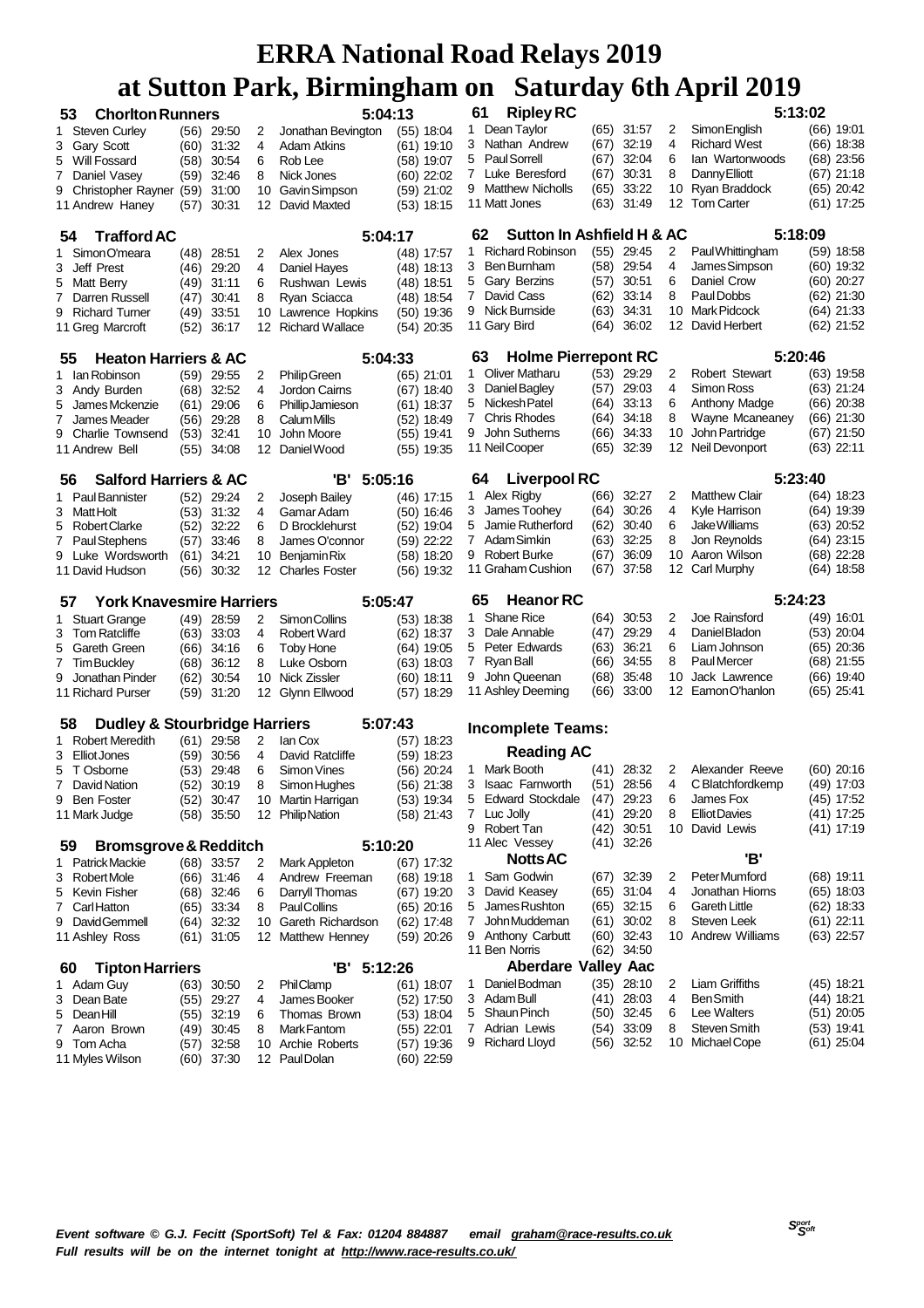| 53 | <b>Chorlton Runners</b>                              |              |                |          | 5:04:13                         | ິ                            | 61           | <b>Ripley RC</b>                         |              |                |          | 5:13:02                             |                            |
|----|------------------------------------------------------|--------------|----------------|----------|---------------------------------|------------------------------|--------------|------------------------------------------|--------------|----------------|----------|-------------------------------------|----------------------------|
|    |                                                      |              |                |          |                                 |                              | 1.           | Dean Taylor                              |              | $(65)$ 31:57   |          | Simon English                       | (66) 19:01                 |
|    | 1 Steven Curley                                      |              | $(56)$ 29:50   | 2        | Jonathan Bevington              | $(55)$ 18:04                 | 3            | Nathan Andrew                            | (67)         | 32:19          | 2<br>4   | <b>Richard West</b>                 | $(66)$ 18:38               |
| 3  | Gary Scott                                           | (60)         | 31:32          | 4        | Adam Atkins                     | (61) 19:10                   | 5            | <b>Paul Sorrell</b>                      |              | 32:04          | 6        | lan Wartonwoods                     |                            |
| 5  | Will Fossard                                         | (58)         | 30:54          | 6        | Rob Lee                         | (58) 19:07                   |              |                                          | (67)         |                |          |                                     | (68) 23:56                 |
|    | 7 Daniel Vasey                                       | (59)         | 32:46          | 8        | Nick Jones                      | $(60)$ 22:02                 | 7            | Luke Beresford                           | (67)         | 30:31          | 8        | Danny Elliott                       | (67) 21:18                 |
| 9  | Christopher Rayner (59)<br>11 Andrew Haney           | (57)         | 31:00<br>30:31 | 10<br>12 | Gavin Simpson<br>David Maxted   | $(59)$ 21:02<br>$(53)$ 18:15 | 9            | <b>Matthew Nicholls</b><br>11 Matt Jones | (65)<br>(63) | 33:22<br>31:49 | 10<br>12 | Ryan Braddock<br><b>Tom Carter</b>  | (65) 20:42<br>(61) 17:25   |
|    |                                                      |              |                |          |                                 |                              |              |                                          |              |                |          |                                     |                            |
| 54 | <b>Trafford AC</b>                                   |              |                |          | 5:04:17                         |                              | 62           | Sutton In Ashfield H & AC                |              |                |          | 5:18:09                             |                            |
|    | 1 SimonO'meara                                       | (48)         | 28:51          | 2        | Alex Jones                      | (48) 17:57                   | 1            | <b>Richard Robinson</b>                  | (55)         | 29:45          | 2        | PaulWhittingham                     | $(59)$ 18:58               |
| 3  | Jeff Prest                                           | (46)         | 29:20          | 4        | Daniel Hayes                    | $(48)$ 18:13                 | 3            | <b>Ben Burnham</b>                       | (58)         | 29:54          | 4        | James Simpson                       | (60) 19:32                 |
| 5  | Matt Berry                                           | (49)         | 31:11          | 6        | Rushwan Lewis                   | $(48)$ 18:51                 | 5            | Gary Berzins                             | (57)         | 30:51          | 6        | Daniel Crow                         | (60) 20:27                 |
| 7  | Darren Russell                                       | (47)         | 30:41          | 8        | Ryan Sciacca                    | (48) 18:54                   | 7            | David Cass                               | (62)         | 33:14          | 8        | Paul Dobbs                          | (62) 21:30                 |
| 9  | <b>Richard Turner</b>                                | (49)         | 33:51          | 10       | Lawrence Hopkins                | $(50)$ 19:36                 |              | 9 Nick Burnside                          | (63)         | 34:31          | 10       | Mark Pidcock                        | (64) 21:33                 |
|    | 11 Greg Marcroft                                     | (52)         | 36:17          | 12       | <b>Richard Wallace</b>          | (54) 20:35                   |              | 11 Gary Bird                             | (64)         | 36:02          | 12       | David Herbert                       | (62) 21:52                 |
| 55 | <b>Heaton Harriers &amp; AC</b>                      |              |                |          | 5:04:33                         |                              | 63           | <b>Holme Pierrepont RC</b>               |              |                |          | 5:20:46                             |                            |
|    | 1 Ian Robinson                                       | (59)         | 29:55          | 2        | <b>Philip Green</b>             | $(65)$ 21:01                 | 1.           | <b>Oliver Matharu</b>                    |              | $(53)$ 29:29   | 2        | <b>Robert Stewart</b>               | $(63)$ 19:58               |
|    | 3 Andy Burden                                        | (68)         | 32:52          | 4        | Jordon Cairns                   | (67) 18:40                   | 3            | Daniel Bagley                            | (57)         | 29:03          | 4        | Simon Ross                          | $(63)$ 21:24               |
| 5  | James Mckenzie                                       | (61)         | 29:06          | 6        | <b>Phillip Jamieson</b>         | $(61)$ 18:37                 | 5            | Nickesh Patel                            | (64)         | 33:13          | 6        | <b>Anthony Madge</b>                | (66) 20:38                 |
| 7  | James Meader                                         | (56)         | 29:28          | 8        | <b>CalumMills</b>               | (52) 18:49                   | $\mathbf{7}$ | <b>Chris Rhodes</b>                      | (64)         | 34:18          | 8        | Wayne Mcaneaney                     | (66) 21:30                 |
|    | 9 Charlie Townsend                                   | (53)         | 32:41          | 10       | John Moore                      | $(55)$ 19:41                 | 9            | John Sutherns                            | (66)         | 34:33          | 10       | John Partridge                      | (67) 21:50                 |
|    | 11 Andrew Bell                                       | (55)         | 34:08          | 12       | Daniel Wood                     | $(55)$ 19:35                 |              | 11 Neil Cooper                           | (65)         | 32:39          | 12       | Neil Devonport                      | (63) 22:11                 |
|    |                                                      |              |                |          |                                 |                              | 64           | <b>Liverpool RC</b>                      |              |                |          | 5:23:40                             |                            |
| 56 | <b>Salford Harriers &amp; AC</b><br>1 Paul Bannister | (52)         | 29:24          | 2        | 'В'<br>5:05:16<br>Joseph Bailey | $(46)$ 17:15                 |              | 1 Alex Rigby                             | (66)         | 32:27          | 2        | <b>Matthew Clair</b>                | (64) 18:23                 |
|    | 3 MattHolt                                           | (53)         | 31:32          | 4        | Gamar Adam                      | $(50)$ 16:46                 | 3            | James Toohey                             | (64)         | 30:26          | 4        | Kyle Harrison                       | (64) 19:39                 |
| 5  | Robert Clarke                                        | (52)         | 32:22          | 6        | D Brocklehurst                  | (52) 19:04                   | 5            | Jamie Rutherford                         | (62)         | 30:40          | 6        | Jake Williams                       | (63) 20:52                 |
|    | 7 Paul Stephens                                      | (57)         | 33:46          | 8        | James O'connor                  | (59) 22:22                   |              | 7 Adam Simkin                            | (63)         | 32:25          | 8        | Jon Revnolds                        | $(64)$ 23:15               |
| 9  | Luke Wordsworth                                      | (61)         | 34:21          | 10       | <b>Benjamin Rix</b>             | (58) 18:20                   | 9            | <b>Robert Burke</b>                      | (67)         | 36:09          | 10       | Aaron Wilson                        | $(68)$ 22:28               |
|    | 11 David Hudson                                      | (56)         | 30:32          | 12       | <b>Charles Foster</b>           | (56) 19:32                   |              | 11 Graham Cushion                        | (67)         | 37:58          | 12       | Carl Murphy                         | (64) 18:58                 |
|    |                                                      |              |                |          |                                 |                              |              |                                          |              |                |          |                                     |                            |
|    |                                                      |              |                |          |                                 |                              |              |                                          |              |                |          |                                     |                            |
| 57 | <b>York Knavesmire Harriers</b>                      |              |                |          | 5:05:47                         |                              | 65<br>1      | <b>Heanor RC</b><br><b>Shane Rice</b>    | (64)         | 30.53          | 2        | 5:24:23<br>Joe Rainsford            | (49) 16:01                 |
|    | 1 Stuart Grange<br>3 Tom Ratcliffe                   |              | $(49)$ 28:59   | 2<br>4   | Simon Collins                   | $(53)$ 18:38                 |              | 3 Dale Annable                           | (47)         | 29:29          | 4        | Daniel Bladon                       | (53) 20:04                 |
| 5  |                                                      |              | $(63)$ 33:03   | 6        | <b>Robert Ward</b>              | (62) 18:37                   | 5            | Peter Edwards                            | (63)         | 36:21          | 6        | Liam Johnson                        | $(65)$ 20:36               |
|    | Gareth Green<br>7 Tim Buckley                        | (66)<br>(68) | 34:16<br>36:12 | 8        | <b>Toby Hone</b><br>Luke Osborn | (64) 19:05                   | 7            | Ryan Ball                                | (66)         | 34:55          | 8        | Paul Mercer                         | (68) 21:55                 |
| 9  | Jonathan Pinder                                      |              | 30:54          | 10       | Nick Zissler                    | $(63)$ 18:03                 | 9            | John Queenan                             | (68)         | 35:48          | 10       | Jack Lawrence                       | (66) 19:40                 |
|    | 11 Richard Purser                                    | (62)<br>(59) | 31:20          | 12       | Glynn Ellwood                   | (60) 18:11<br>(57) 18:29     |              | 11 Ashley Deeming                        | (66)         | 33:00          | 12       | Eamon O'hanlon                      | $(65)$ 25:41               |
|    |                                                      |              |                |          |                                 |                              |              |                                          |              |                |          |                                     |                            |
| 58 | <b>Dudley &amp; Stourbridge Harriers</b>             |              |                |          | 5:07:43                         |                              |              | <b>Incomplete Teams:</b>                 |              |                |          |                                     |                            |
|    | 1 Robert Meredith                                    | (61)         | 29:58          | 2        | lan Cox                         | (57) 18:23                   |              | <b>Reading AC</b>                        |              |                |          |                                     |                            |
|    | 3 Elliot Jones<br>T Osborne                          | (59)         | 30:56          | 4<br>6   | David Ratcliffe                 | $(59)$ 18:23                 | 1            | Mark Booth                               | (41)         | 28:32          | 2        | Alexander Reeve                     | (60) 20:16                 |
| 5  | 7 David Nation                                       | (53)         | 29:48          |          | Simon Vines                     | (56) 20:24                   | 3            | <b>Isaac Farnworth</b>                   |              | (51) 28:56     | 4        | C Blatchfordkemp                    | (49) 17:03                 |
|    | 9 Ben Foster                                         | (52)         | 30:19          | 8        | Simon Hughes                    | (56) 21:38                   |              | 5 Edward Stockdale                       | (41)         | 29.23          | 6        | James Fox                           |                            |
|    |                                                      |              | (52) 30:47     |          | 10 Martin Harrigan              | (53) 19:34                   |              | 7 Luc Jolly                              | (41)         | 29:20          | 8        |                                     | $(45)$ 17:52<br>(41) 17:25 |
|    | 11 Mark Judge                                        |              | $(58)$ 35:50   |          | 12 Philip Nation                | (58) 21:43                   |              | 9 Robert Tan                             | (42)         | 30:51          | 10       | <b>Elliot Davies</b><br>David Lewis | (41) 17:19                 |
| 59 | <b>Bromsgrove &amp; Redditch</b>                     |              |                |          | 5:10:20                         |                              |              | 11 Alec Vessey                           | (41)         | 32:26          |          |                                     |                            |
| 1  | <b>Patrick Mackie</b>                                |              | $(68)$ 33:57   | 2        | Mark Appleton                   | $(67)$ 17:32                 |              | <b>Notts AC</b>                          |              |                |          | 'В'                                 |                            |
|    | 3 Robert Mole                                        |              | (66) 31:46     | 4        | Andrew Freeman                  | $(68)$ 19:18                 | 1            | Sam Godwin                               | (67)         | 32:39          | 2        | Peter Mumford                       | (68) 19:11                 |
| 5  | Kevin Fisher                                         | (68)         | 32:46          | 6        | Darryll Thomas                  | (67) 19:20                   | 3            | David Keasey                             | (65)         | 31:04          | 4        | Jonathan Hioms                      | (65) 18:03                 |
| 7  | CarlHatton                                           | (65)         | 33:34          | 8        | Paul Collins                    | $(65)$ 20:16                 |              | 5 James Rushton                          | (65)         | 32:15          | 6        | <b>Gareth Little</b>                | $(62)$ 18:33               |
|    | 9 David Gemmell                                      | (64)         | 32:32          | 10       | Gareth Richardson               | (62) 17:48                   |              | 7 John Muddeman                          | (61)         | 30:02          | 8        | Steven Leek                         | $(61)$ 22:11               |
|    | 11 Ashley Ross                                       |              | $(61)$ 31:05   | 12       | <b>Matthew Henney</b>           | $(59)$ 20:26                 |              | 9 Anthony Carbutt                        | (60)         | 32:43          | 10       | <b>Andrew Williams</b>              | $(63)$ 22:57               |
|    |                                                      |              |                |          |                                 |                              |              | 11 Ben Norris                            |              | $(62)$ 34:50   |          |                                     |                            |
| 60 | <b>Tipton Harriers</b>                               |              |                |          | 'В'<br>5:12:26                  |                              |              | <b>Aberdare Valley Aac</b>               |              |                |          |                                     |                            |
|    | 1 Adam Guy                                           | (63)         | 30:50          | 2        | <b>Phil Clamp</b>               | $(61)$ 18:07                 | 1            | Daniel Bodman                            |              | $(35)$ 28:10   | 2        | Liam Griffiths                      | $(45)$ 18:21               |
|    | 3 Dean Bate                                          | (55)         | 29:27          | 4        | James Booker                    | (52) 17:50                   | 5            | 3 Adam Bull                              |              | (41) 28:03     | 4<br>6   | <b>BenSmith</b><br>Lee Walters      | (44) 18:21                 |
| 5  | DeanHill                                             | (55)         | 32:19          | 6        | Thomas Brown                    | $(53)$ 18:04                 |              | Shaun Pinch<br>7 Adrian Lewis            |              | (50) 32:45     | 8        | <b>Steven Smith</b>                 | $(51)$ 20:05               |
| 7  | Aaron Brown<br>9 Tom Acha                            | (49)<br>(57) | 30:45<br>32:58 | 8<br>10  | Mark Fantom<br>Archie Roberts   | $(55)$ 22:01<br>$(57)$ 19:36 |              | 9 Richard Lloyd                          | (54)<br>(56) | 33:09<br>32:52 | 10       | Michael Cope                        | (53) 19:41<br>$(61)$ 25:04 |